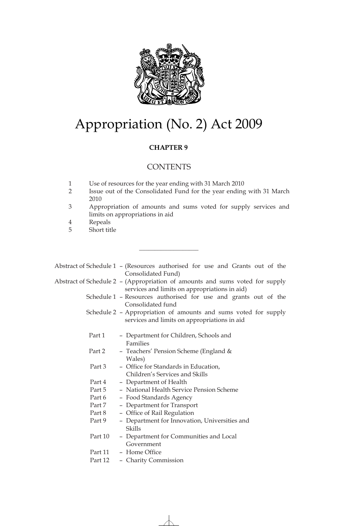

# Appropriation (No. 2) Act 2009

# **CHAPTER 9**

# **CONTENTS**

 $\_$ 

- 1 Use of resources for the year ending with 31 March 2010
- 2 Issue out of the Consolidated Fund for the year ending with 31 March 2010
- 3 Appropriation of amounts and sums voted for supply services and limits on appropriations in aid
- 4 Repeals
- 5 Short title

|         | Abstract of Schedule 1 - (Resources authorised for use and Grants out of the<br>Consolidated Fund)                            |
|---------|-------------------------------------------------------------------------------------------------------------------------------|
|         | Abstract of Schedule 2 - (Appropriation of amounts and sums voted for supply<br>services and limits on appropriations in aid) |
|         | Schedule 1 - Resources authorised for use and grants out of the<br>Consolidated fund                                          |
|         | Schedule 2 - Appropriation of amounts and sums voted for supply<br>services and limits on appropriations in aid               |
| Part 1  | - Department for Children, Schools and<br>Families                                                                            |
| Part 2  | - Teachers' Pension Scheme (England $&$<br>Wales)                                                                             |
| Part 3  | - Office for Standards in Education,<br>Children's Services and Skills                                                        |
| Part 4  | - Department of Health                                                                                                        |
| Part 5  | - National Health Service Pension Scheme                                                                                      |
| Part 6  | - Food Standards Agency                                                                                                       |
| Part 7  | - Department for Transport                                                                                                    |
| Part 8  | - Office of Rail Regulation                                                                                                   |
| Part 9  | - Department for Innovation, Universities and<br>Skills                                                                       |
| Part 10 | - Department for Communities and Local<br>Government                                                                          |
| Part 11 | - Home Office                                                                                                                 |
| Part 12 | - Charity Commission                                                                                                          |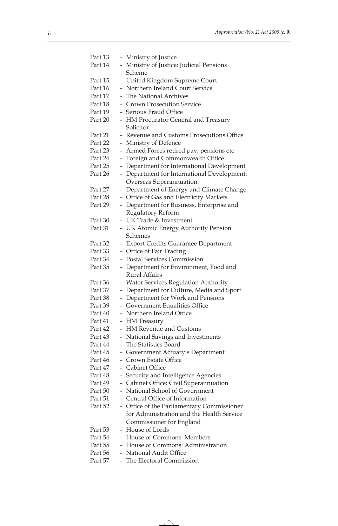| Part 13 | - Ministry of Justice                                                                    |
|---------|------------------------------------------------------------------------------------------|
| Part 14 | - Ministry of Justice: Judicial Pensions                                                 |
|         | Scheme                                                                                   |
| Part 15 |                                                                                          |
| Part 16 | - United Kingdom Supreme Court<br>- Northern Ireland Court Service                       |
|         |                                                                                          |
| Part 17 | - The National Archives                                                                  |
| Part 18 | - Crown Prosecution Service                                                              |
| Part 19 | - Serious Fraud Office                                                                   |
| Part 20 | - HM Procurator General and Treasury                                                     |
|         | Solicitor                                                                                |
| Part 21 | - Revenue and Customs Prosecutions Office                                                |
| Part 22 | - Ministry of Defence                                                                    |
| Part 23 | - Armed Forces retired pay, pensions etc                                                 |
| Part 24 | - Foreign and Commonwealth Office                                                        |
| Part 25 | - Department for International Development                                               |
| Part 26 | - Department for International Development:                                              |
|         | Overseas Superannuation                                                                  |
| Part 27 | Department of Energy and Climate Change<br>$\overline{\phantom{0}}$                      |
| Part 28 | - Office of Gas and Electricity Markets                                                  |
| Part 29 | - Department for Business, Enterprise and                                                |
|         | Regulatory Reform                                                                        |
| Part 30 | - UK Trade & Investment                                                                  |
| Part 31 | - UK Atomic Energy Authority Pension                                                     |
|         | Schemes                                                                                  |
| Part 32 | - Export Credits Guarantee Department                                                    |
| Part 33 | - Office of Fair Trading                                                                 |
| Part 34 | <b>Postal Services Commission</b>                                                        |
| Part 35 |                                                                                          |
|         | Department for Environment, Food and<br>$\overline{\phantom{0}}$<br><b>Rural Affairs</b> |
|         |                                                                                          |
| Part 36 | - Water Services Regulation Authority                                                    |
| Part 37 | - Department for Culture, Media and Sport                                                |
| Part 38 | - Department for Work and Pensions                                                       |
| Part 39 | - Government Equalities Office                                                           |
| Part 40 | - Northern Ireland Office                                                                |
| Part 41 | - HM Treasury                                                                            |
| Part 42 | - HM Revenue and Customs                                                                 |
| Part 43 | - National Savings and Investments                                                       |
| Part 44 | - The Statistics Board                                                                   |
| Part 45 | - Government Actuary's Department                                                        |
| Part 46 | - Crown Estate Office                                                                    |
| Part 47 | - Cabinet Office                                                                         |
| Part 48 | - Security and Intelligence Agencies                                                     |
| Part 49 | - Cabinet Office: Civil Superannuation                                                   |
| Part 50 | - National School of Government                                                          |
| Part 51 | - Central Office of Information                                                          |
| Part 52 | - Office of the Parliamentary Commissioner                                               |
|         | for Administration and the Health Service                                                |
|         | Commissioner for England                                                                 |
| Part 53 | - House of Lords                                                                         |
| Part 54 | - House of Commons: Members                                                              |
| Part 55 | - House of Commons: Administration                                                       |
| Part 56 | - National Audit Office                                                                  |
| Part 57 | - The Electoral Commission                                                               |
|         |                                                                                          |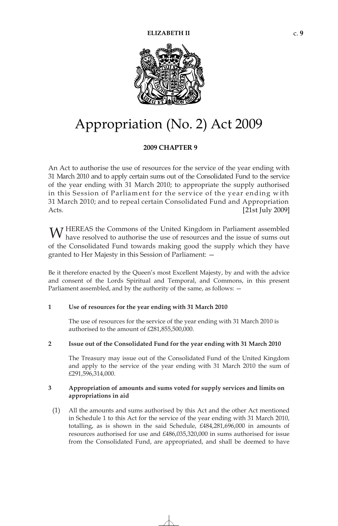

# Appropriation (No. 2) Act 2009

# **2009 CHA ER PT 9**

An Act to authorise the use of resources for the service of the year ending with 31 March 2010 and to apply certain sums out of the Consolidated Fund to the service of the year ending with 31 March 2010; to appropriate the supply authorised Acts. in this Session of Parliament for the service of the year ending with 31 March 2010; and to repeal certain Consolidated Fund and Appropriation [21st July 2009]

W HEREAS the Commons of the United Kingdom in Parliament assembled have resolved to authorise the use of resources and the issue of sums out have resolved to authorise the use of resources and the issue of sums out of the Consolidated Fund towards making good the supply which they have granted to Her Majesty in this Session of Parliament: —

Be it therefore enacted by the Queen's most Excellent Majesty, by and with the advice and consent of the Lords Spiritual and Temporal, and Commons, in this present Parliament assembled, and by the authority of the same, as follows: —

#### **1 Use of resources for the year ending with 31 March 2010**

The use of resources for the service of the year ending with 31 March 2010 is authorised to the amount of £281,855,500,000.

#### **2 Issue out of the Consolidated Fund for the year ending with 31 March 2010**

The Treasury may issue out of the Consolidated Fund of the United Kingdom and apply to the service of the year ending with 31 March 2010 the sum of £291,596,314,000.

# **3 Appropriation of amounts and sums voted for supply services and limits on appropriations in aid**

(1) All the amounts and sums authorised by this Act and the other Act mentioned in Schedule 1 to this Act for the service of the year ending with 31 March 2010, totalling, as is shown in the said Schedule, £484,281,696,000 in amounts of resources authorised for use and £486,035,320,000 in sums authorised for issue from the Consolidated Fund, are appropriated, and shall be deemed to have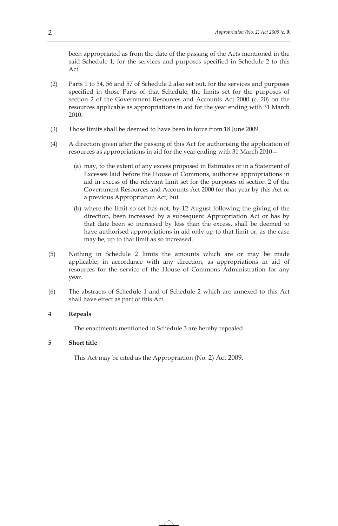been appropriated as from the date of the passing of the Acts mentioned in the said Schedule 1, for the services and purposes specified in Schedule 2 to this Act.

- (2) Parts 1 to 54, 56 and 57 of Schedule 2 also set out, for the services and purposes specified in those Parts of that Schedule, the limits set for the purposes of section 2 of the Government Resources and Accounts Act 2000 (c. 20) on the resources applicable as appropriations in aid for the year ending with 31 March 2010.
- (3) Those limits shall be deemed to have been in force from 18 June 2009.
- (4) A direction given after the passing of this Act for authorising the application of resources as appropriations in aid for the year ending with 31 March 2010—
	- (a) may, to the extent of any excess proposed in Estimates or in a Statement of Excesses laid before the House of Commons, authorise appropriations in aid in excess of the relevant limit set for the purposes of section 2 of the Government Resources and Accounts Act 2000 for that year by this Act or a previous Appropriation Act; but
	- (b) where the limit so set has not, by 12 August following the giving of the direction, been increased by a subsequent Appropriation Act or has by that date been so increased by less than the excess, shall be deemed to have authorised appropriations in aid only up to that limit or, as the case may be, up to that limit as so increased.
- (5) Nothing in Schedule 2 limits the amounts which are or may be made applicable, in accordance with any direction, as appropriations in aid of resources for the service of the House of Commons Administration for any year.
- (6) The abstracts of Schedule 1 and of Schedule 2 which are annexed to this Act shall have effect as part of this Act.

#### **4 Repeals**

The enactments mentioned in Schedule 3 are hereby repealed.

#### **5 Short title**

This Act may be cited as the Appropriation (No. 2) Act 2009.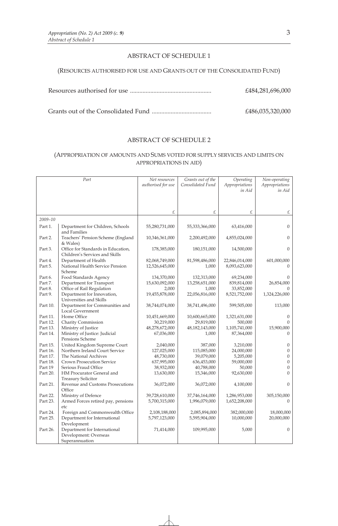# ABSTRACT OF SCHEDULE 1

#### (RESOURCES AUTHORISED FOR USE AND GRANTS OUT OF THE CONSOLIDATED FUND)

Resources authorised for use .................................................... £484,281,696,000

Grants out of the Consolidated Fund ...................................... £486,035,320,000

#### ABSTRACT OF SCHEDULE 2

# (APPROPRIATION OF AMOUNTS AND SUMS VOTED FOR SUPPLY SERVICES AND LIMITS ON APPROPRIATIONS IN AID)

|          | Part                                                   | Net resources      | Grants out of the | Operating      | Non-operating  |
|----------|--------------------------------------------------------|--------------------|-------------------|----------------|----------------|
|          |                                                        | authorised for use | Consolidated Fund | Appropriations | Appropriations |
|          |                                                        |                    |                   | in Aid         | in Aid         |
|          |                                                        |                    |                   |                |                |
|          |                                                        |                    |                   |                |                |
|          |                                                        |                    |                   |                |                |
|          |                                                        | £                  | £                 | £              | £              |
| 2009-10  |                                                        |                    |                   |                |                |
| Part 1.  | Department for Children, Schools<br>and Families       | 55,280,731,000     | 55,333,366,000    | 63,416,000     | $\overline{0}$ |
| Part 2.  | Teachers' Pension Scheme (England<br>& Wales)          | 10,346,361,000     | 2,200,492,000     | 4,855,024,000  | $\Omega$       |
| Part 3.  | Office for Standards in Education,                     | 178,385,000        | 180,151,000       | 14,500,000     | $\Omega$       |
|          | Children's Services and Skills                         |                    |                   |                |                |
| Part 4.  | Department of Health                                   | 82,068,749,000     | 81,598,486,000    | 22,846,014,000 | 601,000,000    |
| Part 5.  | National Health Service Pension<br>Scheme              | 12,526,645,000     | 1,000             | 8,093,623,000  | $\Omega$       |
| Part 6.  | Food Standards Agency                                  | 134,370,000        | 132,313,000       | 69,234,000     | $\Omega$       |
| Part 7.  | Department for Transport                               | 15,630,092,000     | 13,258,651,000    | 839,814,000    | 26,854,000     |
| Part 8.  | Office of Rail Regulation                              | 2,000              | 1,000             | 33,852,000     |                |
| Part 9.  | Department for Innovation,<br>Universities and Skills  | 19,455,878,000     | 22,056,816,000    | 8,521,752,000  | 1,324,226,000  |
| Part 10. | Department for Communities and<br>Local Government     | 38,744,074,000     | 38,741,496,000    | 599,505,000    | 113,000        |
| Part 11. | Home Office                                            | 10,451,669,000     | 10,600,665,000    | 1,321,631,000  | $\Omega$       |
| Part 12. | Charity Commission                                     | 30,219,000         | 29,819,000        | 500,000        | $\Omega$       |
| Part 13. | Ministry of Justice                                    | 48,278,672,000     | 48,182,143,000    | 1,105,741,000  | 15,900,000     |
| Part 14. | Ministry of Justice: Judicial                          | 67,036,000         | 1,000             | 87,364,000     | $\Omega$       |
|          | Pensions Scheme                                        |                    |                   |                |                |
| Part 15. | United Kingdom Supreme Court                           | 2,040,000          | 387,000           | 3,210,000      | $\mathbf{0}$   |
| Part 16. | Northern Ireland Court Service                         | 127,025,000        | 115,085,000       | 24,000,000     | $\overline{0}$ |
| Part 17. | The National Archives                                  | 48,730,000         | 39,079,000        | 5,205,000      | $\theta$       |
| Part 18. | Crown Prosecution Service                              | 637,995,000        | 636,453,000       | 59,000,000     | $\overline{0}$ |
| Part 19  | Serious Fraud Office                                   | 38,932,000         | 40,788,000        | 50,000         | $\overline{0}$ |
| Part 20. | HM Procurator General and<br><b>Treasury Solicitor</b> | 13,630,000         | 15,346,000        | 92,630,000     | $\Omega$       |
| Part 21. | Revenue and Customs Prosecutions<br>Office             | 36,072,000         | 36,072,000        | 4,100,000      | $\Omega$       |
| Part 22. | Ministry of Defence                                    | 39,728,610,000     | 37,746,164,000    | 1,286,953,000  | 305,150,000    |
| Part 23. | Armed Forces retired pay, pensions                     | 5,700,315,000      | 1,996,079,000     | 1,652,208,000  | $\Omega$       |
|          | etc                                                    |                    |                   |                |                |
| Part 24. | Foreign and Commonwealth Office                        | 2,108,188,000      | 2,085,894,000     | 382,000,000    | 18,000,000     |
| Part 25. | Department for International                           | 5,797,123,000      | 5,595,904,000     | 10,000,000     | 20,000,000     |
|          | Development                                            |                    |                   |                |                |
| Part 26. | Department for International                           | 71,414,000         | 109,995,000       | 5,000          | $\Omega$       |
|          | Development: Overseas                                  |                    |                   |                |                |
|          | Superannuation                                         |                    |                   |                |                |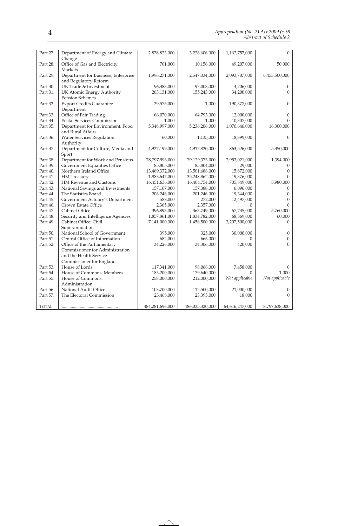| Part 27.     | Department of Energy and Climate                | 2,878,823,000      | 3,226,606,000      | 1,162,757,000          | $\Omega$         |
|--------------|-------------------------------------------------|--------------------|--------------------|------------------------|------------------|
|              | Change                                          |                    |                    |                        |                  |
| Part 28.     | Office of Gas and Electricity                   | 701,000            | 10,156,000         | 49,207,000             | 50,000           |
|              | <b>Markets</b>                                  |                    |                    |                        |                  |
| Part 29.     | Department for Business, Enterprise             | 1,996,271,000      | 2,547,034,000      | 2,093,707,000          | 6,453,500,000    |
|              | and Regulatory Reform                           |                    |                    |                        |                  |
| Part 30.     | UK Trade & Investment                           | 96,383,000         | 97,003,000         | 4,706,000              | $\theta$         |
| Part 31.     | UK Atomic Energy Authority                      | 263,131,000        | 155,243,000        | 34,200,000             | $\Omega$         |
|              | <b>Pension Schemes</b>                          |                    |                    |                        |                  |
| Part 32.     | <b>Export Credits Guarantee</b>                 | 29,575,000         | 1,000              | 190,377,000            | $\theta$         |
|              | Department                                      |                    |                    |                        |                  |
| Part 33.     | Office of Fair Trading                          | 66,070,000         | 64,793,000         | 12,000,000             | $\theta$         |
| Part 34.     | Postal Services Commission                      | 1,000              | 1,000              | 10,307,000             | $\Omega$         |
| Part 35.     | Department for Environment, Food                | 5,348,997,000      | 5,236,206,000      | 1,070,646,000          | 16,300,000       |
|              | and Rural Affairs                               |                    |                    |                        |                  |
| Part 36.     | Water Services Regulation                       | 60,000             | 1,135,000          | 18,899,000             | $\Omega$         |
|              | Authority                                       |                    |                    |                        |                  |
| Part 37.     | Department for Culture, Media and               | 4,927,199,000      | 4,917,820,000      | 863,526,000            | 5,350,000        |
|              | Sport                                           |                    |                    |                        |                  |
| Part 38.     | Department for Work and Pensions                | 78,797,996,000     | 79,129,373,000     | 2,953,021,000          | 1,394,000        |
| Part 39.     | Government Equalities Office                    | 85,805,000         | 85,804,000         | 29,000                 | $\theta$         |
| Part 40.     | Northern Ireland Office                         | 13,469,372,000     | 13,501,688,000     | 15,872,000             | $\Omega$         |
| Part 41.     | HM Treasury                                     | 1,883,647,000      | 35,248,862,000     | 19,376,000             | $\Omega$         |
| Part 42.     | HM Revenue and Customs                          | 16,451,636,000     | 16,404,754,000     | 705,849,000            | 3,980,000        |
| Part 43.     | National Savings and Investments                | 157,107,000        | 157,388,000        | 6,096,000              | $\theta$         |
| Part 44.     | The Statistics Board                            | 206,246,000        | 201,246,000        | 19,344,000             | $\theta$         |
| Part 45.     | Government Actuary's Department                 | 588,000            | 272,000            | 12,497,000             | $\boldsymbol{0}$ |
| Part 46.     | Crown Estate Office                             | 2,365,000          | 2,357,000          | $\Omega$               | $\theta$         |
| Part 47.     | Cabinet Office                                  | 396,893,000        | 363,749,000        | 67,735,000             | 5,760,000        |
| Part 48.     | Security and Intelligence Agencies              | 1,857,861,000      | 1,834,782,000      | 68,369,000             | 60,000           |
| Part 49.     | Cabinet Office: Civil                           | 7,141,000,000      | 1,456,500,000      | 3,207,500,000          | $\theta$         |
| Part 50.     | Superannuation<br>National School of Government |                    |                    |                        | $\boldsymbol{0}$ |
| Part 51.     | Central Office of Information                   | 395,000<br>682,000 | 325,000<br>666,000 | 30,000,000<br>$\Omega$ | $\boldsymbol{0}$ |
| Part 52.     | Office of the Parliamentary                     | 34,226,000         | 34,306,000         | 420,000                | $\Omega$         |
|              | Commissioner for Administration                 |                    |                    |                        |                  |
|              | and the Health Service                          |                    |                    |                        |                  |
|              | Commissioner for England                        |                    |                    |                        |                  |
| Part 53.     | House of Lords                                  | 117,341,000        | 98,068,000         | 7,458,000              | $\Omega$         |
| Part 54.     | House of Commons: Members                       | 183,200,000        | 179,640,000        | $\Omega$               | 1,000            |
| Part 55.     | House of Commons:                               | 258,000,000        | 212,000,000        | Not applicable         | Not applicable   |
|              | Administration                                  |                    |                    |                        |                  |
| Part 56.     | National Audit Office                           | 103,700,000        | 112,500,000        | 21,000,000             | $\mathbf{0}$     |
| Part 57.     | The Electoral Commission                        | 23,468,000         | 23,395,000         | 18,000                 | $\Omega$         |
|              |                                                 |                    |                    |                        |                  |
| <b>TOTAL</b> |                                                 | 484,281,696,000    | 486,035,320,000    | 64,616,247,000         | 8,797,638,000    |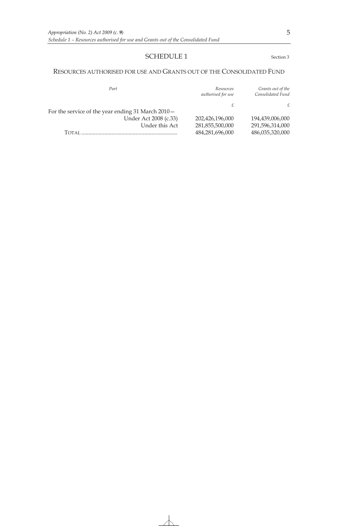# SCHEDULE 1 Section 3

#### RESOURCES AUTHORISED FOR USE AND GRANTS OUT OF THE CONSOLIDATED FUND

| Part                                               | Resources<br>authorised for use | Grants out of the<br>Consolidated Fund |
|----------------------------------------------------|---------------------------------|----------------------------------------|
|                                                    |                                 | £                                      |
| For the service of the year ending 31 March 2010 - |                                 |                                        |
| Under Act 2008 (c.33)                              | 202,426,196,000                 | 194,439,006,000                        |
| Under this Act                                     | 281,855,500,000                 | 291,596,314,000                        |
| Тотаі                                              | 484,281,696,000                 | 486,035,320,000                        |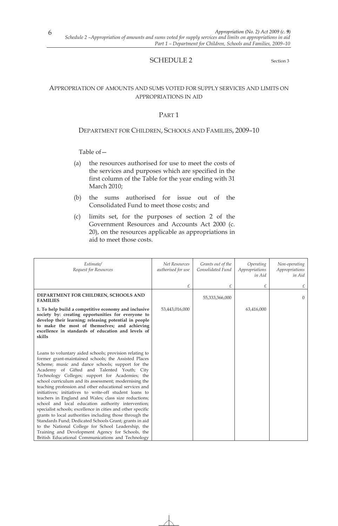# SCHEDULE 2 Section 3

# APPROPRIATION OF AMOUNTS AND SUMS VOTED FOR SUPPLY SERVICES AND LIMITS ON APPROPRIATIONS IN AID

# PART 1

#### DEPARTMENT FOR CHILDREN, SCHOOLS AND FAMILIES, 2009–10

- (a) the resources authorised for use to meet the costs of the services and purposes which are specified in the first column of the Table for the year ending with 31 March 2010;
- (b) the sums authorised for issue out of the Consolidated Fund to meet those costs; and
- (c) limits set, for the purposes of section 2 of the Government Resources and Accounts Act 2000 (c. 20), on the resources applicable as appropriations in aid to meet those costs.

| Estimate/<br>Request for Resources                                                                                                                                                                                                                                                                                                                                                                                                                                                                                                                                                                                                                                                                                                                                                                                                                                                                                  | Net Resources<br>authorised for use | Grants out of the<br>Consolidated Fund | Operating<br>Appropriations<br>in Aid | Non-operating<br>Appropriations<br>in Aid |
|---------------------------------------------------------------------------------------------------------------------------------------------------------------------------------------------------------------------------------------------------------------------------------------------------------------------------------------------------------------------------------------------------------------------------------------------------------------------------------------------------------------------------------------------------------------------------------------------------------------------------------------------------------------------------------------------------------------------------------------------------------------------------------------------------------------------------------------------------------------------------------------------------------------------|-------------------------------------|----------------------------------------|---------------------------------------|-------------------------------------------|
|                                                                                                                                                                                                                                                                                                                                                                                                                                                                                                                                                                                                                                                                                                                                                                                                                                                                                                                     | £                                   | £                                      | £                                     | £                                         |
| DEPARTMENT FOR CHILDREN, SCHOOLS AND<br><b>FAMILIES</b>                                                                                                                                                                                                                                                                                                                                                                                                                                                                                                                                                                                                                                                                                                                                                                                                                                                             |                                     | 55,333,366,000                         |                                       | $\overline{0}$                            |
| 1. To help build a competitive economy and inclusive<br>society by: creating opportunities for everyone to<br>develop their learning; releasing potential in people<br>to make the most of themselves; and achieving<br>excellence in standards of education and levels of<br>skills                                                                                                                                                                                                                                                                                                                                                                                                                                                                                                                                                                                                                                | 53,443,016,000                      |                                        | 63,416,000                            |                                           |
| Loans to voluntary aided schools; provision relating to<br>former grant-maintained schools; the Assisted Places<br>Scheme; music and dance schools; support for the<br>Academy of Gifted and Talented Youth; City<br>Technology Colleges; support for Academies; the<br>school curriculum and its assessment; modernising the<br>teaching profession and other educational services and<br>initiatives; initiatives to write-off student loans to<br>teachers in England and Wales; class size reductions;<br>school and local education authority intervention;<br>specialist schools; excellence in cities and other specific<br>grants to local authorities including those through the<br>Standards Fund; Dedicated Schools Grant; grants in aid<br>to the National College for School Leadership, the<br>Training and Development Agency for Schools, the<br>British Educational Communications and Technology |                                     |                                        |                                       |                                           |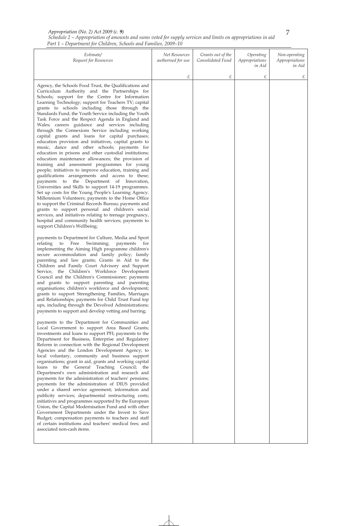*Schedule 2 – Appropriation of amounts and sums voted for supply services and limits on appropriations in aid Part 1 – Department for Children, Schools and Families, 2009–10* 

| Estimate/<br>Request for Resources                                                                                                                                                                                                                                                                                                                                                                                                                                                                                                                                                                                                                                                                                                                                                                                                                                                                                                                                                                                                                                                                                                                                                                                                                                                                                                                                                                                                                                                                                                                                                                                                                                                                                                                                                                                                                                                                                                                                                                                                                                                                                                                                                                                                                                                                                                                                                                                                                                                                                                                                                                                                                                                                                                                                                                                                                                                                                                                                                                                                                                                                                                        | Net Resources<br>authorised for use | Grants out of the<br>Consolidated Fund | Operating<br>Appropriations<br>in Aid | Non-operating<br>Appropriations<br>in Aid |
|-------------------------------------------------------------------------------------------------------------------------------------------------------------------------------------------------------------------------------------------------------------------------------------------------------------------------------------------------------------------------------------------------------------------------------------------------------------------------------------------------------------------------------------------------------------------------------------------------------------------------------------------------------------------------------------------------------------------------------------------------------------------------------------------------------------------------------------------------------------------------------------------------------------------------------------------------------------------------------------------------------------------------------------------------------------------------------------------------------------------------------------------------------------------------------------------------------------------------------------------------------------------------------------------------------------------------------------------------------------------------------------------------------------------------------------------------------------------------------------------------------------------------------------------------------------------------------------------------------------------------------------------------------------------------------------------------------------------------------------------------------------------------------------------------------------------------------------------------------------------------------------------------------------------------------------------------------------------------------------------------------------------------------------------------------------------------------------------------------------------------------------------------------------------------------------------------------------------------------------------------------------------------------------------------------------------------------------------------------------------------------------------------------------------------------------------------------------------------------------------------------------------------------------------------------------------------------------------------------------------------------------------------------------------------------------------------------------------------------------------------------------------------------------------------------------------------------------------------------------------------------------------------------------------------------------------------------------------------------------------------------------------------------------------------------------------------------------------------------------------------------------------|-------------------------------------|----------------------------------------|---------------------------------------|-------------------------------------------|
|                                                                                                                                                                                                                                                                                                                                                                                                                                                                                                                                                                                                                                                                                                                                                                                                                                                                                                                                                                                                                                                                                                                                                                                                                                                                                                                                                                                                                                                                                                                                                                                                                                                                                                                                                                                                                                                                                                                                                                                                                                                                                                                                                                                                                                                                                                                                                                                                                                                                                                                                                                                                                                                                                                                                                                                                                                                                                                                                                                                                                                                                                                                                           | £                                   | £                                      | £                                     | £                                         |
| Agency, the Schools Food Trust, the Qualifications and<br>Curriculum Authority and the Partnerships for<br>Schools; support for the Centre for Information<br>Learning Technology; support for Teachers TV; capital<br>grants to schools including those through the<br>Standards Fund; the Youth Service including the Youth<br>Task Force and the Respect Agenda in England and<br>Wales; careers guidance and services including<br>through the Connexions Service including working<br>capital grants and loans for capital purchases;<br>education provision and initiatives, capital grants to<br>music, dance and other schools; payments for<br>education in prisons and other custodial institutions;<br>education maintenance allowances; the provision of<br>training and assessment programmes for young<br>people; initiatives to improve education, training and<br>qualifications arrangements and access to these;<br>payments to the Department of Innovation,<br>Universities and Skills to support 14-19 programmes.<br>Set up costs for the Young People's Learning Agency.<br>Millennium Volunteers; payments to the Home Office<br>to support the Criminal Records Bureau; payments and<br>grants to support personal and children's social<br>services, and initiatives relating to teenage pregnancy,<br>hospital and community health services; payments to<br>support Children's Wellbeing;<br>payments to Department for Culture, Media and Sport<br>relating<br>Free<br>Swimming;<br>payments<br>to<br>for<br>implementing the Aiming High programme children's<br>secure accommodation and family policy; family<br>parenting and law grants; Grants in Aid to the<br>Children and Family Court Advisory and Support<br>Service, the Children's Workforce Development<br>Council and the Children's Commissioner; payments<br>and grants to support parenting and parenting<br>organisations; children's workforce and development;<br>grants to support Strengthening Families, Marriages<br>and Relationships; payments for Child Trust Fund top<br>ups, including through the Devolved Administrations;<br>payments to support and develop vetting and barring;<br>payments to the Department for Communities and<br>Local Government to support Area Based Grants;<br>investments and loans to support PFI; payments to the<br>Department for Business, Enterprise and Regulatory<br>Reform in connection with the Regional Development<br>Agencies and the London Development Agency; to<br>local voluntary, community and business support<br>organisations; grant in aid, grants and working capital<br>loans to the General Teaching Council; the<br>Department's own administration and research and<br>payments for the administration of teachers' pensions;<br>payments for the administration of DIUS provided<br>under a shared service agreement; information and<br>publicity services; departmental restructuring costs;<br>initiatives and programmes supported by the European<br>Union, the Capital Modernisation Fund and with other<br>Government Departments under the Invest to Save |                                     |                                        |                                       |                                           |
| Budget; compensation payments to teachers and staff<br>of certain institutions and teachers' medical fees; and<br>associated non-cash items.                                                                                                                                                                                                                                                                                                                                                                                                                                                                                                                                                                                                                                                                                                                                                                                                                                                                                                                                                                                                                                                                                                                                                                                                                                                                                                                                                                                                                                                                                                                                                                                                                                                                                                                                                                                                                                                                                                                                                                                                                                                                                                                                                                                                                                                                                                                                                                                                                                                                                                                                                                                                                                                                                                                                                                                                                                                                                                                                                                                              |                                     |                                        |                                       |                                           |
|                                                                                                                                                                                                                                                                                                                                                                                                                                                                                                                                                                                                                                                                                                                                                                                                                                                                                                                                                                                                                                                                                                                                                                                                                                                                                                                                                                                                                                                                                                                                                                                                                                                                                                                                                                                                                                                                                                                                                                                                                                                                                                                                                                                                                                                                                                                                                                                                                                                                                                                                                                                                                                                                                                                                                                                                                                                                                                                                                                                                                                                                                                                                           |                                     |                                        |                                       |                                           |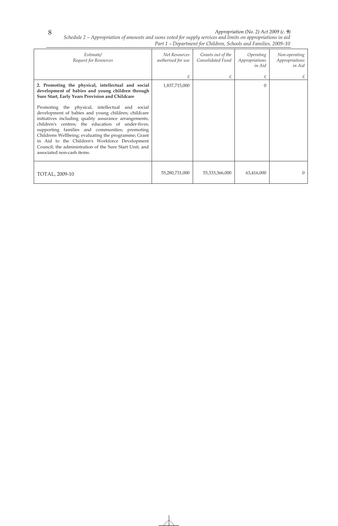*Schedule 2 – Appropriation of amounts and sums voted for supply services and limits on appropriations in aid Part 1 – Department for Children, Schools and Families, 2009–10* 

| Estimate/<br>Request for Resources                                                                                                                                                                                                                                                                                                                                                                                                                                                                                                                                                                                                     | Net Resources<br>authorised for use | Grants out of the<br>Consolidated Fund | Operating<br>Appropriations<br>in Aid | Non-operating<br>Appropriations<br>in Aid |
|----------------------------------------------------------------------------------------------------------------------------------------------------------------------------------------------------------------------------------------------------------------------------------------------------------------------------------------------------------------------------------------------------------------------------------------------------------------------------------------------------------------------------------------------------------------------------------------------------------------------------------------|-------------------------------------|----------------------------------------|---------------------------------------|-------------------------------------------|
|                                                                                                                                                                                                                                                                                                                                                                                                                                                                                                                                                                                                                                        | £                                   |                                        | £                                     |                                           |
| 2. Promoting the physical, intellectual and social<br>development of babies and young children through<br>Sure Start, Early Years Provision and Childcare<br>Promoting the physical, intellectual and social<br>development of babies and young children; childcare<br>initiatives including quality assurance arrangements,<br>children's centres; the education of under-fives;<br>supporting families and communities; promoting<br>Childrens Wellbeing; evaluating the programme; Grant<br>in Aid to the Children's Workforce Development<br>Council; the administration of the Sure Start Unit; and<br>associated non-cash items. | 1,837,715,000                       |                                        | $\Omega$                              |                                           |
| TOTAL, 2009-10                                                                                                                                                                                                                                                                                                                                                                                                                                                                                                                                                                                                                         | 55,280,731,000                      | 55,333,366,000                         | 63,416,000                            | $\Omega$                                  |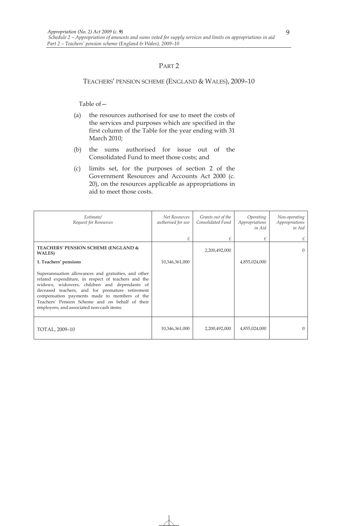#### TEACHERS' PENSION SCHEME (ENGLAND & WALES), 2009–10

- (a) the resources authorised for use to meet the costs of the services and purposes which are specified in the first column of the Table for the year ending with 31 March 2010;
- (b) the sums authorised for issue out of the Consolidated Fund to meet those costs; and
- (c) limits set, for the purposes of section 2 of the Government Resources and Accounts Act 2000 (c. 20), on the resources applicable as appropriations in aid to meet those costs.

| Estimate/<br>Request for Resources                                                                                                                                                                                                                                                                                                                            | Net Resources<br>authorised for use | Grants out of the<br>Consolidated Fund | Operating<br>Appropriations<br>in Aid | Non-operating<br>Appropriations<br>in Aid |
|---------------------------------------------------------------------------------------------------------------------------------------------------------------------------------------------------------------------------------------------------------------------------------------------------------------------------------------------------------------|-------------------------------------|----------------------------------------|---------------------------------------|-------------------------------------------|
|                                                                                                                                                                                                                                                                                                                                                               | £                                   |                                        |                                       | £                                         |
| <b>TEACHERS' PENSION SCHEME (ENGLAND &amp;</b><br><b>WALES</b> )                                                                                                                                                                                                                                                                                              |                                     | 2,200,492,000                          |                                       | $\Omega$                                  |
| 1. Teachers' pensions                                                                                                                                                                                                                                                                                                                                         | 10,346,361,000                      |                                        | 4,855,024,000                         |                                           |
| Superannuation allowances and gratuities, and other<br>related expenditure, in respect of teachers and the<br>widows, widowers, children and dependants of<br>deceased teachers, and for premature retirement<br>compensation payments made to members of the<br>Teachers' Pension Scheme and on behalf of their<br>employers; and associated non-cash items. |                                     |                                        |                                       |                                           |
| TOTAL, 2009-10                                                                                                                                                                                                                                                                                                                                                | 10,346,361,000                      | 2,200,492,000                          | 4,855,024,000                         | $\Omega$                                  |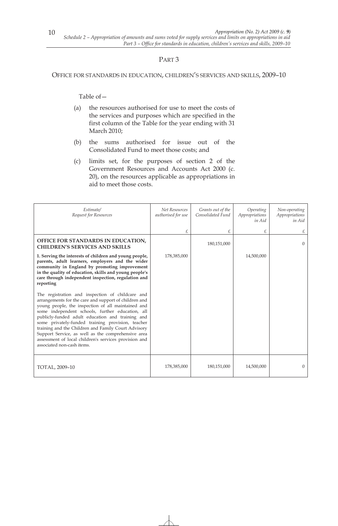### OFFICE FOR STANDARDS IN EDUCATION, CHILDREN'S SERVICES AND SKILLS, 2009–10

- (a) the resources authorised for use to meet the costs of the services and purposes which are specified in the first column of the Table for the year ending with 31 March 2010;
- (b) the sums authorised for issue out of the Consolidated Fund to meet those costs; and
- (c) limits set, for the purposes of section 2 of the Government Resources and Accounts Act 2000 (c. 20), on the resources applicable as appropriations in aid to meet those costs.

| Estimate/<br>Request for Resources                                                                                                                                                                                                                                                                                                                                                                                                                                                                                               | Net Resources<br>authorised for use | Grants out of the<br>Consolidated Fund | Operating<br>Appropriations<br>in Aid | Non-operating<br>Appropriations<br>in Aid |
|----------------------------------------------------------------------------------------------------------------------------------------------------------------------------------------------------------------------------------------------------------------------------------------------------------------------------------------------------------------------------------------------------------------------------------------------------------------------------------------------------------------------------------|-------------------------------------|----------------------------------------|---------------------------------------|-------------------------------------------|
|                                                                                                                                                                                                                                                                                                                                                                                                                                                                                                                                  | £                                   | £                                      | £                                     | £                                         |
| OFFICE FOR STANDARDS IN EDUCATION,<br><b>CHILDREN'S SERVICES AND SKILLS</b>                                                                                                                                                                                                                                                                                                                                                                                                                                                      |                                     | 180,151,000                            |                                       | $\Omega$                                  |
| 1. Serving the interests of children and young people,<br>parents, adult learners, employers and the wider<br>community in England by promoting improvement<br>in the quality of education, skills and young people's<br>care through independent inspection, regulation and<br>reporting                                                                                                                                                                                                                                        | 178,385,000                         |                                        | 14,500,000                            |                                           |
| The registration and inspection of childcare and<br>arrangements for the care and support of children and<br>young people, the inspection of all maintained and<br>some independent schools, further education, all<br>publicly-funded adult education and training and<br>some privately-funded training provision, teacher<br>training and the Children and Family Court Advisory<br>Support Service, as well as the comprehensive area<br>assessment of local children's services provision and<br>associated non-cash items. |                                     |                                        |                                       |                                           |
| TOTAL, 2009-10                                                                                                                                                                                                                                                                                                                                                                                                                                                                                                                   | 178,385,000                         | 180,151,000                            | 14,500,000                            | $\Omega$                                  |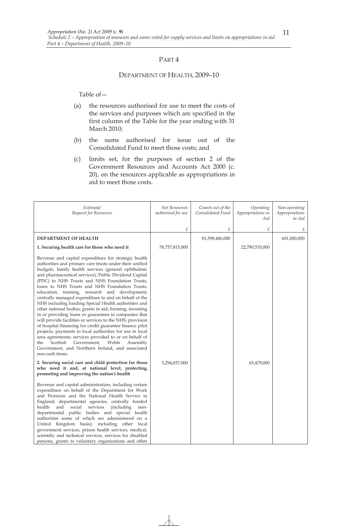#### DEPARTMENT OF HEALTH, 2009–10

- (a) the resources authorised for use to meet the costs of the services and purposes which are specified in the first column of the Table for the year ending with 31 March 2010;
- (b) the sums authorised for issue out of the Consolidated Fund to meet those costs; and
- (c) limits set, for the purposes of section 2 of the Government Resources and Accounts Act 2000 (c. 20), on the resources applicable as appropriations in aid to meet those costs.

| Estimate/<br>Request for Resources                                                                                                                                                                                                                                                                                                                                                                                                                                                                                                                                                                                                                                                                                                                                                                                                                                                                                                                                                                      | Net Resources<br>authorised for use | Grants out of the<br>Consolidated Fund | Operating<br>Appropriations in<br>Aid | Non-operating<br>Appropriations<br>in Aid |
|---------------------------------------------------------------------------------------------------------------------------------------------------------------------------------------------------------------------------------------------------------------------------------------------------------------------------------------------------------------------------------------------------------------------------------------------------------------------------------------------------------------------------------------------------------------------------------------------------------------------------------------------------------------------------------------------------------------------------------------------------------------------------------------------------------------------------------------------------------------------------------------------------------------------------------------------------------------------------------------------------------|-------------------------------------|----------------------------------------|---------------------------------------|-------------------------------------------|
|                                                                                                                                                                                                                                                                                                                                                                                                                                                                                                                                                                                                                                                                                                                                                                                                                                                                                                                                                                                                         | £                                   | £                                      | £                                     | £                                         |
| <b>DEPARTMENT OF HEALTH</b>                                                                                                                                                                                                                                                                                                                                                                                                                                                                                                                                                                                                                                                                                                                                                                                                                                                                                                                                                                             |                                     | 81,598,486,000                         |                                       | 601,000,000                               |
| 1. Securing health care for those who need it                                                                                                                                                                                                                                                                                                                                                                                                                                                                                                                                                                                                                                                                                                                                                                                                                                                                                                                                                           | 78,757,815,000                      |                                        | 22,780,535,000                        |                                           |
| Revenue and capital expenditure for strategic health<br>authorities and primary care trusts under their unified<br>budgets, family health services (general ophthalmic<br>and pharmaceutical services); Public Dividend Capital<br>(PDC) to NHS Trusts and NHS Foundation Trusts,<br>loans to NHS Trusts and NHS Foundation Trusts,<br>education, training, research and development;<br>centrally managed expenditure to and on behalf of the<br>NHS including funding Special Health authorities and<br>other national bodies; grants in aid; forming, investing<br>in or providing loans or guarantees to companies that<br>will provide facilities or services to the NHS; provision<br>of hospital financing for credit guarantee finance pilot<br>projects; payments to local authorities for use in local<br>area agreements; services provided to or on behalf of<br>Scottish<br>Government,<br>Welsh<br>Assembly<br>the<br>Government, and Northern Ireland, and associated<br>non-cash items. |                                     |                                        |                                       |                                           |
| 2. Securing social care and child protection for those<br>who need it and, at national level, protecting,<br>promoting and improving the nation's health                                                                                                                                                                                                                                                                                                                                                                                                                                                                                                                                                                                                                                                                                                                                                                                                                                                | 3,294,837,000                       |                                        | 65,479,000                            |                                           |
| Revenue and capital administration, including certain<br>expenditure on behalf of the Department for Work<br>and Pensions and the National Health Service in<br>England; departmental agencies, centrally funded<br>health and<br>social<br>services<br><i>(including)</i><br>non-<br>departmental public bodies and special health<br>authorities some of which are administered on a<br>United Kingdom basis); including other local<br>government services, prison health services, medical,<br>scientific and technical services, services for disabled<br>persons, grants to voluntary organisations and other                                                                                                                                                                                                                                                                                                                                                                                     |                                     |                                        |                                       |                                           |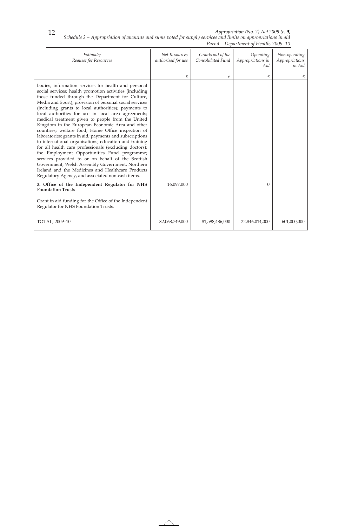*Schedule 2 – Appropriation of amounts and sums voted for supply services and limits on appropriations in aid Part 4 – Department of Health, 2009–10* 

| Estimate/<br>Request for Resources                                                                                                                                                                                                                                                                                                                                                                                                                                                                                                                                                                                                                                                                                                                                                                                                                                                                                                                           | Net Resources<br>authorised for use | Grants out of the<br>Consolidated Fund | Operating<br>Appropriations in<br>Aid | Non-operating<br>Appropriations<br>in Aid |
|--------------------------------------------------------------------------------------------------------------------------------------------------------------------------------------------------------------------------------------------------------------------------------------------------------------------------------------------------------------------------------------------------------------------------------------------------------------------------------------------------------------------------------------------------------------------------------------------------------------------------------------------------------------------------------------------------------------------------------------------------------------------------------------------------------------------------------------------------------------------------------------------------------------------------------------------------------------|-------------------------------------|----------------------------------------|---------------------------------------|-------------------------------------------|
|                                                                                                                                                                                                                                                                                                                                                                                                                                                                                                                                                                                                                                                                                                                                                                                                                                                                                                                                                              | £                                   | £                                      | £                                     | £                                         |
| bodies, information services for health and personal<br>social services; health promotion activities (including<br>those funded through the Department for Culture,<br>Media and Sport); provision of personal social services<br>(including grants to local authorities); payments to<br>local authorities for use in local area agreements;<br>medical treatment given to people from the United<br>Kingdom in the European Economic Area and other<br>countries; welfare food; Home Office inspection of<br>laboratories; grants in aid; payments and subscriptions<br>to international organisations; education and training<br>for all health care professionals (excluding doctors);<br>the Employment Opportunities Fund programme;<br>services provided to or on behalf of the Scottish<br>Government, Welsh Assembly Government, Northern<br>Ireland and the Medicines and Healthcare Products<br>Regulatory Agency, and associated non-cash items. |                                     |                                        |                                       |                                           |
| 3. Office of the Independent Regulator for NHS<br><b>Foundation Trusts</b>                                                                                                                                                                                                                                                                                                                                                                                                                                                                                                                                                                                                                                                                                                                                                                                                                                                                                   | 16,097,000                          |                                        | $\Omega$                              |                                           |
| Grant in aid funding for the Office of the Independent<br>Regulator for NHS Foundation Trusts.                                                                                                                                                                                                                                                                                                                                                                                                                                                                                                                                                                                                                                                                                                                                                                                                                                                               |                                     |                                        |                                       |                                           |
| TOTAL, 2009-10                                                                                                                                                                                                                                                                                                                                                                                                                                                                                                                                                                                                                                                                                                                                                                                                                                                                                                                                               | 82,068,749,000                      | 81,598,486,000                         | 22,846,014,000                        | 601,000,000                               |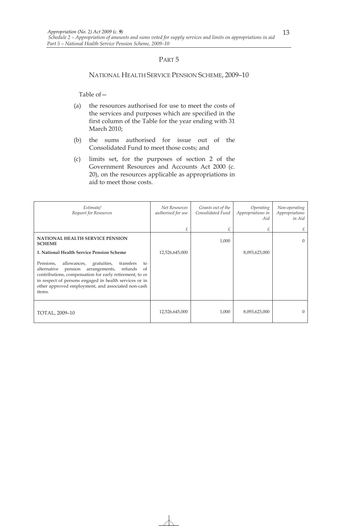#### NATIONAL HEALTH SERVICE PENSION SCHEME, 2009–10

- (a) the resources authorised for use to meet the costs of the services and purposes which are specified in the first column of the Table for the year ending with 31 March 2010;
- (b) the sums authorised for issue out of the Consolidated Fund to meet those costs; and
- (c) limits set, for the purposes of section 2 of the Government Resources and Accounts Act 2000 (c. 20), on the resources applicable as appropriations in aid to meet those costs.

| Estimate/<br>Request for Resources                                                                                                                                                                                                                                                                       | Net Resources<br>authorised for use | Grants out of the<br>Consolidated Fund | Operating<br>Appropriations in<br>Aid | Non-operating<br>Appropriations<br>in Aid |
|----------------------------------------------------------------------------------------------------------------------------------------------------------------------------------------------------------------------------------------------------------------------------------------------------------|-------------------------------------|----------------------------------------|---------------------------------------|-------------------------------------------|
|                                                                                                                                                                                                                                                                                                          | £                                   | £                                      | £                                     | £                                         |
| <b>NATIONAL HEALTH SERVICE PENSION</b><br><b>SCHEME</b>                                                                                                                                                                                                                                                  |                                     | 1,000                                  |                                       | $\Omega$                                  |
| 1. National Health Service Pension Scheme                                                                                                                                                                                                                                                                | 12,526,645,000                      |                                        | 8,093,623,000                         |                                           |
| Pensions,<br>allowances,<br>transfers<br>gratuities,<br>to<br>pension arrangements,<br>alternative<br>refunds<br>of<br>contributions, compensation for early retirement, to or<br>in respect of persons engaged in health services or in<br>other approved employment, and associated non-cash<br>items. |                                     |                                        |                                       |                                           |
| TOTAL, 2009-10                                                                                                                                                                                                                                                                                           | 12,526,645,000                      | 1,000                                  | 8,093,623,000                         | $\Omega$                                  |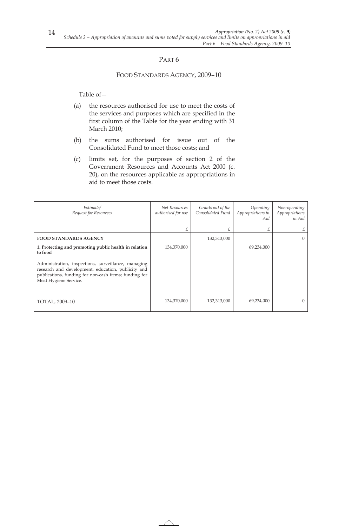### FOOD STANDARDS AGENCY, 2009–10

- (a) the resources authorised for use to meet the costs of the services and purposes which are specified in the first column of the Table for the year ending with 31 March 2010;
- (b) the sums authorised for issue out of the Consolidated Fund to meet those costs; and
- (c) limits set, for the purposes of section 2 of the Government Resources and Accounts Act 2000 (c. 20), on the resources applicable as appropriations in aid to meet those costs.

| Estimate/<br>Request for Resources                                                                                                                                                          | Net Resources<br>authorised for use | Grants out of the<br>Consolidated Fund | Operating<br>Appropriations in<br>Aid | Non-operating<br>Appropriations<br>in Aid |
|---------------------------------------------------------------------------------------------------------------------------------------------------------------------------------------------|-------------------------------------|----------------------------------------|---------------------------------------|-------------------------------------------|
|                                                                                                                                                                                             | £                                   | £                                      | £                                     | £                                         |
| <b>FOOD STANDARDS AGENCY</b>                                                                                                                                                                |                                     | 132,313,000                            |                                       | $\Omega$                                  |
| 1. Protecting and promoting public health in relation<br>to food                                                                                                                            | 134,370,000                         |                                        | 69,234,000                            |                                           |
| Administration, inspections, surveillance, managing<br>research and development, education, publicity and<br>publications, funding for non-cash items; funding for<br>Meat Hygiene Service. |                                     |                                        |                                       |                                           |
| TOTAL, 2009-10                                                                                                                                                                              | 134,370,000                         | 132,313,000                            | 69,234,000                            | $\Omega$                                  |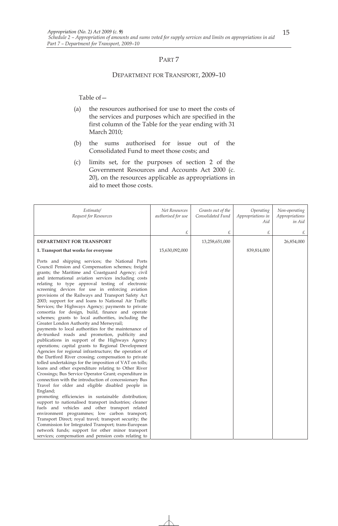# PART<sub>7</sub>

#### DEPARTMENT FOR TRANSPORT, 2009–10

- (a) the resources authorised for use to meet the costs of the services and purposes which are specified in the first column of the Table for the year ending with 31 March 2010;
- (b) the sums authorised for issue out of the Consolidated Fund to meet those costs; and
- (c) limits set, for the purposes of section 2 of the Government Resources and Accounts Act 2000 (c. 20), on the resources applicable as appropriations in aid to meet those costs.

| Estimate/<br>Request for Resources                                                                                                                                                                                                                                                                                                                                                                                                                                                                                                                                                                                                                                                                                                                                                                                                                                                                                                                                                                                                                                                                                                                                                                                                                                                                                                                                                                                                                                                                                                                                                                                                                                                                                                        | Net Resources<br>authorised for use | Grants out of the<br>Consolidated Fund | Operating<br>Appropriations in<br>Aid | Non-operating<br>Appropriations<br>in Aid |
|-------------------------------------------------------------------------------------------------------------------------------------------------------------------------------------------------------------------------------------------------------------------------------------------------------------------------------------------------------------------------------------------------------------------------------------------------------------------------------------------------------------------------------------------------------------------------------------------------------------------------------------------------------------------------------------------------------------------------------------------------------------------------------------------------------------------------------------------------------------------------------------------------------------------------------------------------------------------------------------------------------------------------------------------------------------------------------------------------------------------------------------------------------------------------------------------------------------------------------------------------------------------------------------------------------------------------------------------------------------------------------------------------------------------------------------------------------------------------------------------------------------------------------------------------------------------------------------------------------------------------------------------------------------------------------------------------------------------------------------------|-------------------------------------|----------------------------------------|---------------------------------------|-------------------------------------------|
|                                                                                                                                                                                                                                                                                                                                                                                                                                                                                                                                                                                                                                                                                                                                                                                                                                                                                                                                                                                                                                                                                                                                                                                                                                                                                                                                                                                                                                                                                                                                                                                                                                                                                                                                           | £                                   | £                                      | £                                     | £                                         |
| DEPARTMENT FOR TRANSPORT                                                                                                                                                                                                                                                                                                                                                                                                                                                                                                                                                                                                                                                                                                                                                                                                                                                                                                                                                                                                                                                                                                                                                                                                                                                                                                                                                                                                                                                                                                                                                                                                                                                                                                                  |                                     | 13,258,651,000                         |                                       | 26,854,000                                |
| 1. Transport that works for everyone                                                                                                                                                                                                                                                                                                                                                                                                                                                                                                                                                                                                                                                                                                                                                                                                                                                                                                                                                                                                                                                                                                                                                                                                                                                                                                                                                                                                                                                                                                                                                                                                                                                                                                      | 15,630,092,000                      |                                        | 839,814,000                           |                                           |
| Ports and shipping services; the National Ports<br>Council Pension and Compensation schemes; freight<br>grants; the Maritime and Coastguard Agency; civil<br>and international aviation services including costs<br>relating to type approval testing of electronic<br>screening devices for use in enforcing aviation<br>provisions of the Railways and Transport Safety Act<br>2003; support for and loans to National Air Traffic<br>Services; the Highways Agency; payments to private<br>consortia for design, build, finance and operate<br>schemes; grants to local authorities, including the<br>Greater London Authority and Merseyrail;<br>payments to local authorities for the maintenance of<br>de-trunked roads and promotion, publicity and<br>publications in support of the Highways Agency<br>operations; capital grants to Regional Development<br>Agencies for regional infrastructure; the operation of<br>the Dartford River crossing; compensation to private<br>tolled undertakings for the imposition of VAT on tolls;<br>loans and other expenditure relating to Other River<br>Crossings; Bus Service Operator Grant; expenditure in<br>connection with the introduction of concessionary Bus<br>Travel for older and eligible disabled people in<br>England;<br>promoting efficiencies in sustainable distribution;<br>support to nationalised transport industries; cleaner<br>fuels and vehicles and other transport related<br>environment programmes; low carbon transport;<br>Transport Direct; royal travel; transport security; the<br>Commission for Integrated Transport; trans-European<br>network funds; support for other minor transport<br>services; compensation and pension costs relating to |                                     |                                        |                                       |                                           |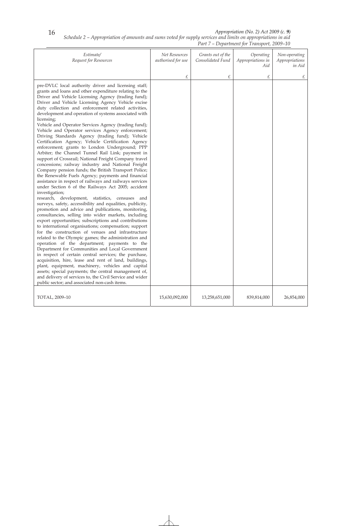16

*Appropriation (No. 2) Act 2009 (c. 9)* 

*Schedule 2 – Appropriation of amounts and sums voted for supply services and limits on appropriations in aid Part 7 – Department for Transport, 2009–10* 

| Estimate/<br>Request for Resources                                                                                                                                                                                                                                                                                                                                                                                                                                                                                                                                                                                                                                                                                                                                                                                                                                                                                                                                                                                                                                                                                                                                                                                                                                                                                                                                                                                                                                                                                                                                                                                                                                                                                                                                                                                                                                                                                                                                    | Net Resources<br>authorised for use | Grants out of the<br>Consolidated Fund | Operating<br>Appropriations in<br>Aid | Non-operating<br>Appropriations<br>in Aid |
|-----------------------------------------------------------------------------------------------------------------------------------------------------------------------------------------------------------------------------------------------------------------------------------------------------------------------------------------------------------------------------------------------------------------------------------------------------------------------------------------------------------------------------------------------------------------------------------------------------------------------------------------------------------------------------------------------------------------------------------------------------------------------------------------------------------------------------------------------------------------------------------------------------------------------------------------------------------------------------------------------------------------------------------------------------------------------------------------------------------------------------------------------------------------------------------------------------------------------------------------------------------------------------------------------------------------------------------------------------------------------------------------------------------------------------------------------------------------------------------------------------------------------------------------------------------------------------------------------------------------------------------------------------------------------------------------------------------------------------------------------------------------------------------------------------------------------------------------------------------------------------------------------------------------------------------------------------------------------|-------------------------------------|----------------------------------------|---------------------------------------|-------------------------------------------|
|                                                                                                                                                                                                                                                                                                                                                                                                                                                                                                                                                                                                                                                                                                                                                                                                                                                                                                                                                                                                                                                                                                                                                                                                                                                                                                                                                                                                                                                                                                                                                                                                                                                                                                                                                                                                                                                                                                                                                                       | £                                   | £                                      | £                                     | £                                         |
| pre-DVLC local authority driver and licensing staff;<br>grants and loans and other expenditure relating to the<br>Driver and Vehicle Licensing Agency (trading fund);<br>Driver and Vehicle Licensing Agency Vehicle excise<br>duty collection and enforcement related activities,<br>development and operation of systems associated with<br>licensing;<br>Vehicle and Operator Services Agency (trading fund);<br>Vehicle and Operator services Agency enforcement;<br>Driving Standards Agency (trading fund); Vehicle<br>Certification Agency; Vehicle Certification Agency<br>enforcement; grants to London Underground; PPP<br>Arbiter; the Channel Tunnel Rail Link; payment in<br>support of Crossrail; National Freight Company travel<br>concessions; railway industry and National Freight<br>Company pension funds; the British Transport Police;<br>the Renewable Fuels Agency; payments and financial<br>assistance in respect of railways and railways services<br>under Section 6 of the Railways Act 2005; accident<br>investigation;<br>research, development, statistics, censuses<br>and<br>surveys, safety, accessibility and equalities, publicity,<br>promotion and advice and publications, monitoring,<br>consultancies, selling into wider markets, including<br>export opportunities; subscriptions and contributions<br>to international organisations; compensation; support<br>for the construction of venues and infrastructure<br>related to the Olympic games; the administration and<br>operation of the department; payments to the<br>Department for Communities and Local Government<br>in respect of certain central services; the purchase,<br>acquisition, hire, lease and rent of land, buildings,<br>plant, equipment, machinery, vehicles and capital<br>assets; special payments; the central management of,<br>and delivery of services to, the Civil Service and wider<br>public sector; and associated non-cash items. |                                     |                                        |                                       |                                           |
| TOTAL, 2009-10                                                                                                                                                                                                                                                                                                                                                                                                                                                                                                                                                                                                                                                                                                                                                                                                                                                                                                                                                                                                                                                                                                                                                                                                                                                                                                                                                                                                                                                                                                                                                                                                                                                                                                                                                                                                                                                                                                                                                        | 15,630,092,000                      | 13,258,651,000                         | 839,814,000                           | 26,854,000                                |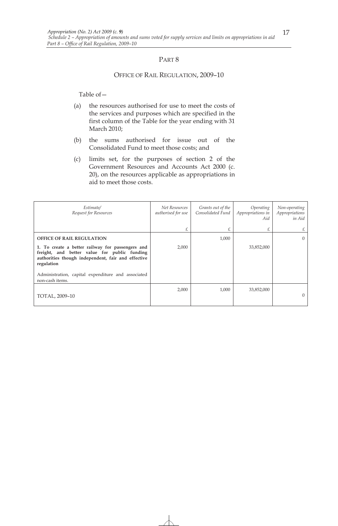#### OFFICE OF RAIL REGULATION, 2009–10

- (a) the resources authorised for use to meet the costs of the services and purposes which are specified in the first column of the Table for the year ending with 31 March 2010;
- (b) the sums authorised for issue out of the Consolidated Fund to meet those costs; and
- (c) limits set, for the purposes of section 2 of the Government Resources and Accounts Act 2000 (c. 20), on the resources applicable as appropriations in aid to meet those costs.

| Estimate/<br>Request for Resources                                                                                                                                   | Net Resources<br>authorised for use | Grants out of the<br>Consolidated Fund | Operating<br>Appropriations in<br>Aid | Non-operating<br>Appropriations<br>in Aid |
|----------------------------------------------------------------------------------------------------------------------------------------------------------------------|-------------------------------------|----------------------------------------|---------------------------------------|-------------------------------------------|
|                                                                                                                                                                      | £                                   | £                                      | £                                     | £                                         |
| <b>OFFICE OF RAIL REGULATION</b>                                                                                                                                     |                                     | 1,000                                  |                                       | $\Omega$                                  |
| 1. To create a better railway for passengers and<br>freight, and better value for public funding<br>authorities though independent, fair and effective<br>regulation | 2,000                               |                                        | 33,852,000                            |                                           |
| Administration, capital expenditure and associated<br>non-cash items.                                                                                                |                                     |                                        |                                       |                                           |
| TOTAL, 2009-10                                                                                                                                                       | 2,000                               | 1,000                                  | 33,852,000                            | $\Omega$                                  |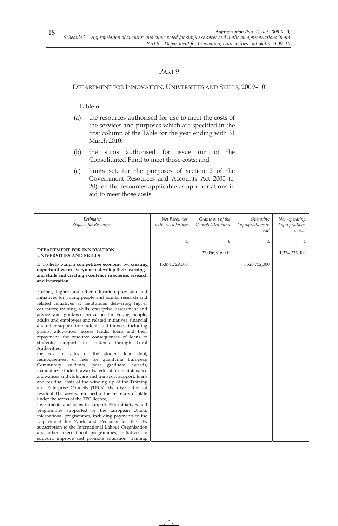### DEPARTMENT FOR INNOVATION, UNIVERSITIES AND SKILLS, 2009–10

- (a) the resources authorised for use to meet the costs of the services and purposes which are specified in the first column of the Table for the year ending with 31 March 2010;
- (b) the sums authorised for issue out of the Consolidated Fund to meet those costs; and
- (c) limits set, for the purposes of section 2 of the Government Resources and Accounts Act 2000 (c. 20), on the resources applicable as appropriations in aid to meet those costs.

| Estimate/<br>Request for Resources                                                                                                                                                                                                                                                                                                                                                                                                                                                                                                                                                                                                                                                                                                                                                                                                                                                                                                                                                                                                                                                                                                                                                                                                                                                                                                                                                                                                                   | Net Resources<br>authorised for use | Grants out of the<br>Consolidated Fund | Operating<br>Appropriations in<br>Aid | Non-operating<br>Appropriations<br>in Aid |
|------------------------------------------------------------------------------------------------------------------------------------------------------------------------------------------------------------------------------------------------------------------------------------------------------------------------------------------------------------------------------------------------------------------------------------------------------------------------------------------------------------------------------------------------------------------------------------------------------------------------------------------------------------------------------------------------------------------------------------------------------------------------------------------------------------------------------------------------------------------------------------------------------------------------------------------------------------------------------------------------------------------------------------------------------------------------------------------------------------------------------------------------------------------------------------------------------------------------------------------------------------------------------------------------------------------------------------------------------------------------------------------------------------------------------------------------------|-------------------------------------|----------------------------------------|---------------------------------------|-------------------------------------------|
|                                                                                                                                                                                                                                                                                                                                                                                                                                                                                                                                                                                                                                                                                                                                                                                                                                                                                                                                                                                                                                                                                                                                                                                                                                                                                                                                                                                                                                                      | £                                   | £                                      | £                                     | £                                         |
| DEPARTMENT FOR INNOVATION,<br>UNIVERSITIES AND SKILLS                                                                                                                                                                                                                                                                                                                                                                                                                                                                                                                                                                                                                                                                                                                                                                                                                                                                                                                                                                                                                                                                                                                                                                                                                                                                                                                                                                                                |                                     | 22,056,816,000                         |                                       | 1,324,226,000                             |
| 1. To help build a competitive economy by: creating<br>opportunities for everyone to develop their learning<br>and skills and creating excellence in science, research<br>and innovation.                                                                                                                                                                                                                                                                                                                                                                                                                                                                                                                                                                                                                                                                                                                                                                                                                                                                                                                                                                                                                                                                                                                                                                                                                                                            | 15,871,729,000                      |                                        | 8,520,752,000                         |                                           |
| Further, higher and other education provision and<br>initiatives for young people and adults; research and<br>related initiatives at institutions delivering higher<br>education; training, skills, enterprise, assessment and<br>advice and guidance provision for young people,<br>adults and employers and related initiatives; financial<br>and other support for students and trainees, including<br>grants, allowances, access funds, loans and their<br>repayment, the resource consequences of loans to<br>students, support for students through Local<br>Authorities;<br>the cost of sales of the student loan debt,<br>reimbursement of fees for qualifying European<br>post graduate<br>Community<br>students,<br>awards,<br>mandatory student awards, education maintenance<br>allowances and childcare and transport support; loans<br>and residual costs of the winding up of the Training<br>and Enterprise Councils (TECs); the distribution of<br>residual TEC assets, returned to the Secretary of State<br>under the terms of the TEC licence;<br>investments and loans to support PFI; initiatives and<br>programmes supported by the European Union;<br>international programmes, including payments to the<br>Department for Work and Pensions for the UK<br>subscription to the International Labour Organisation<br>and other international programmes; initiatives to<br>support, improve and promote education, training, |                                     |                                        |                                       |                                           |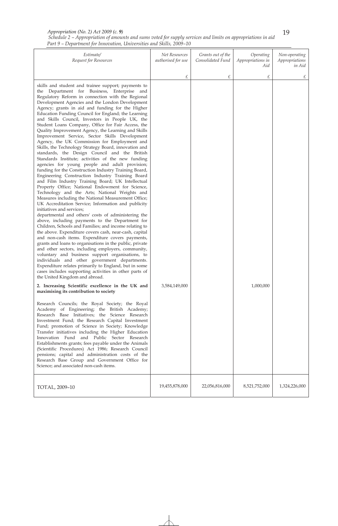| Schedule 2 – Appropriation of amounts and sums voted for supply services and limits on appropriations in aid |  |
|--------------------------------------------------------------------------------------------------------------|--|
| Part 9 – Department for Innovation, Universities and Skills, 2009–10                                         |  |

| Estimate/<br>Request for Resources                                                                                                                                                                                                                                                                                                                                                                                                                                                                                                                                                                                                                                                                                                                                                                                                                                                                                                                                                                                                                                                                                                                                                                                                                                                                                                                                                                                                                                                                                                                                                                                                                                                                                                                                                                                                                                                                                                                                                                                                                                                                                                                                                                                                                                                                                                                                                                                      | Net Resources<br>authorised for use | Grants out of the<br>Consolidated Fund | Operating<br>Appropriations in<br>Aid | Non-operating<br>Appropriations<br>in Aid |
|-------------------------------------------------------------------------------------------------------------------------------------------------------------------------------------------------------------------------------------------------------------------------------------------------------------------------------------------------------------------------------------------------------------------------------------------------------------------------------------------------------------------------------------------------------------------------------------------------------------------------------------------------------------------------------------------------------------------------------------------------------------------------------------------------------------------------------------------------------------------------------------------------------------------------------------------------------------------------------------------------------------------------------------------------------------------------------------------------------------------------------------------------------------------------------------------------------------------------------------------------------------------------------------------------------------------------------------------------------------------------------------------------------------------------------------------------------------------------------------------------------------------------------------------------------------------------------------------------------------------------------------------------------------------------------------------------------------------------------------------------------------------------------------------------------------------------------------------------------------------------------------------------------------------------------------------------------------------------------------------------------------------------------------------------------------------------------------------------------------------------------------------------------------------------------------------------------------------------------------------------------------------------------------------------------------------------------------------------------------------------------------------------------------------------|-------------------------------------|----------------------------------------|---------------------------------------|-------------------------------------------|
|                                                                                                                                                                                                                                                                                                                                                                                                                                                                                                                                                                                                                                                                                                                                                                                                                                                                                                                                                                                                                                                                                                                                                                                                                                                                                                                                                                                                                                                                                                                                                                                                                                                                                                                                                                                                                                                                                                                                                                                                                                                                                                                                                                                                                                                                                                                                                                                                                         | £                                   | £                                      | £                                     | £                                         |
| skills and student and trainee support; payments to<br>the Department for Business, Enterprise and<br>Regulatory Reform in connection with the Regional<br>Development Agencies and the London Development<br>Agency; grants in aid and funding for the Higher<br>Education Funding Council for England; the Learning<br>and Skills Council, Investors in People UK, the<br>Student Loans Company, Office for Fair Access, the<br>Quality Improvement Agency, the Learning and Skills<br>Improvement Service, Sector Skills Development<br>Agency, the UK Commission for Employment and<br>Skills, the Technology Strategy Board, innovation and<br>standards, the Design Council and the British<br>Standards Institute; activities of the new funding<br>agencies for young people and adult provision;<br>funding for the Construction Industry Training Board,<br>Engineering Construction Industry Training Board<br>and Film Industry Training Board; UK Intellectual<br>Property Office; National Endowment for Science,<br>Technology and the Arts; National Weights and<br>Measures including the National Measurement Office;<br>UK Accreditation Service; Information and publicity<br>initiatives and services:<br>departmental and others' costs of administering the<br>above, including payments to the Department for<br>Children, Schools and Families; and income relating to<br>the above. Expenditure covers cash, near-cash, capital<br>and non-cash items. Expenditure covers payments,<br>grants and loans to organisations in the public, private<br>and other sectors, including employers, community,<br>voluntary and business support organisations, to<br>individuals and other government departments.<br>Expenditure relates primarily to England, but in some<br>cases includes supporting activities in other parts of<br>the United Kingdom and abroad.<br>2. Increasing Scientific excellence in the UK and<br>maximising its contribution to society<br>Research Councils; the Royal Society; the Royal<br>Academy of Engineering; the British Academy;<br>Research Base Initiatives; the Science Research<br>Investment Fund; the Research Capital Investment<br>Fund; promotion of Science in Society; Knowledge<br>Transfer initiatives including the Higher Education<br>Innovation Fund<br>and Public Sector Research<br>Establishments grants; fees payable under the Animals | 3,584,149,000                       |                                        | 1,000,000                             |                                           |
| (Scientific Procedures) Act 1986; Research Council<br>pensions; capital and administration costs of the<br>Research Base Group and Government Office for<br>Science; and associated non-cash items.                                                                                                                                                                                                                                                                                                                                                                                                                                                                                                                                                                                                                                                                                                                                                                                                                                                                                                                                                                                                                                                                                                                                                                                                                                                                                                                                                                                                                                                                                                                                                                                                                                                                                                                                                                                                                                                                                                                                                                                                                                                                                                                                                                                                                     |                                     |                                        |                                       |                                           |
| TOTAL, 2009-10                                                                                                                                                                                                                                                                                                                                                                                                                                                                                                                                                                                                                                                                                                                                                                                                                                                                                                                                                                                                                                                                                                                                                                                                                                                                                                                                                                                                                                                                                                                                                                                                                                                                                                                                                                                                                                                                                                                                                                                                                                                                                                                                                                                                                                                                                                                                                                                                          | 19,455,878,000                      | 22,056,816,000                         | 8,521,752,000                         | 1,324,226,000                             |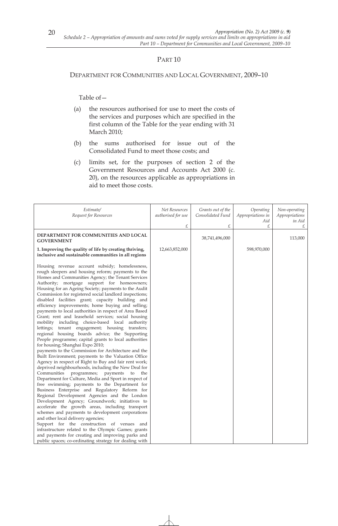#### DEPARTMENT FOR COMMUNITIES AND LOCAL GOVERNMENT, 2009–10

- (a) the resources authorised for use to meet the costs of the services and purposes which are specified in the first column of the Table for the year ending with 31 March 2010;
- (b) the sums authorised for issue out of the Consolidated Fund to meet those costs; and
- (c) limits set, for the purposes of section 2 of the Government Resources and Accounts Act 2000 (c. 20), on the resources applicable as appropriations in aid to meet those costs.

| Estimate/                                                                                              | Net Resources      | Grants out of the | Operating         | Non-operating  |
|--------------------------------------------------------------------------------------------------------|--------------------|-------------------|-------------------|----------------|
| Request for Resources                                                                                  | authorised for use | Consolidated Fund | Appropriations in | Appropriations |
|                                                                                                        |                    |                   | Aid               | in Aid         |
|                                                                                                        | £                  | £                 | £                 | £              |
| DEPARTMENT FOR COMMUNITIES AND LOCAL                                                                   |                    |                   |                   |                |
| <b>GOVERNMENT</b>                                                                                      |                    | 38,741,496,000    |                   | 113,000        |
| 1. Improving the quality of life by creating thriving,                                                 | 12,663,852,000     |                   | 598,970,000       |                |
| inclusive and sustainable communities in all regions                                                   |                    |                   |                   |                |
|                                                                                                        |                    |                   |                   |                |
| Housing revenue account subsidy; homelessness,                                                         |                    |                   |                   |                |
| rough sleepers and housing reform; payments to the                                                     |                    |                   |                   |                |
| Homes and Communities Agency; the Tenant Services                                                      |                    |                   |                   |                |
| Authority; mortgage support for homeowners;                                                            |                    |                   |                   |                |
| Housing for an Ageing Society; payments to the Audit                                                   |                    |                   |                   |                |
| Commission for registered social landlord inspections;                                                 |                    |                   |                   |                |
| disabled facilities grant; capacity building and                                                       |                    |                   |                   |                |
| efficiency improvements; home buying and selling;                                                      |                    |                   |                   |                |
| payments to local authorities in respect of Area Based                                                 |                    |                   |                   |                |
| Grant; rent and leasehold services; social housing                                                     |                    |                   |                   |                |
| mobility including choice-based local authority                                                        |                    |                   |                   |                |
| lettings; tenant engagement; housing transfers;                                                        |                    |                   |                   |                |
| regional housing boards advice; the Supporting                                                         |                    |                   |                   |                |
| People programme; capital grants to local authorities                                                  |                    |                   |                   |                |
| for housing; Shanghai Expo 2010;                                                                       |                    |                   |                   |                |
| payments to the Commission for Architecture and the                                                    |                    |                   |                   |                |
| Built Environment; payments to the Valuation Office                                                    |                    |                   |                   |                |
| Agency in respect of Right to Buy and fair rent work;                                                  |                    |                   |                   |                |
| deprived neighbourhoods, including the New Deal for                                                    |                    |                   |                   |                |
| Communities programmes; payments<br>to<br>the                                                          |                    |                   |                   |                |
| Department for Culture, Media and Sport in respect of<br>free swimming; payments to the Department for |                    |                   |                   |                |
| Business Enterprise and Regulatory Reform for                                                          |                    |                   |                   |                |
| Regional Development Agencies and the London                                                           |                    |                   |                   |                |
| Development Agency; Groundwork; initiatives to                                                         |                    |                   |                   |                |
| accelerate the growth areas, including transport                                                       |                    |                   |                   |                |
| schemes and payments to development corporations                                                       |                    |                   |                   |                |
| and other local delivery agencies;                                                                     |                    |                   |                   |                |
| Support for the construction of venues and                                                             |                    |                   |                   |                |
| infrastructure related to the Olympic Games; grants                                                    |                    |                   |                   |                |
| and payments for creating and improving parks and                                                      |                    |                   |                   |                |
| public spaces; co-ordinating strategy for dealing with                                                 |                    |                   |                   |                |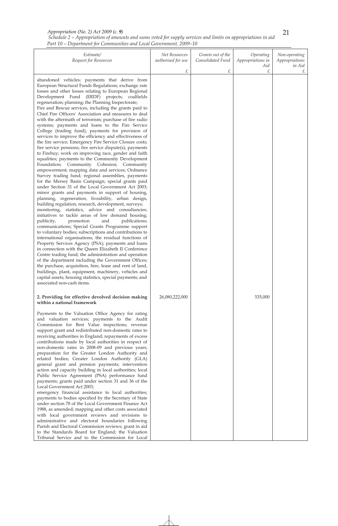|  |  | Schedule 2 – Appropriation of amounts and sums voted for supply services and limits on appropriations in aid |  |  |
|--|--|--------------------------------------------------------------------------------------------------------------|--|--|
|  |  | Part 10 – Department for Communities and Local Government, 2009–10                                           |  |  |

| Estimate/<br>Request for Resources                                                                                                                                                                                                                                                                                                                                                                                                                                                                                                                                                                                                                                                                                                                                                                                                                                                                                                                                                                                                                                                                                                                                                                                                                                                                                                                                                                                                                                                                                                                                                                                                                                                                                                                                                                                                                                                                                                                                                                                                                                                 | Net Resources<br>authorised for use<br>£ | Grants out of the<br>Consolidated Fund<br>£ | Operating<br>Appropriations in<br>Aid<br>£ | Non-operating<br>Appropriations<br>in Aid<br>£ |
|------------------------------------------------------------------------------------------------------------------------------------------------------------------------------------------------------------------------------------------------------------------------------------------------------------------------------------------------------------------------------------------------------------------------------------------------------------------------------------------------------------------------------------------------------------------------------------------------------------------------------------------------------------------------------------------------------------------------------------------------------------------------------------------------------------------------------------------------------------------------------------------------------------------------------------------------------------------------------------------------------------------------------------------------------------------------------------------------------------------------------------------------------------------------------------------------------------------------------------------------------------------------------------------------------------------------------------------------------------------------------------------------------------------------------------------------------------------------------------------------------------------------------------------------------------------------------------------------------------------------------------------------------------------------------------------------------------------------------------------------------------------------------------------------------------------------------------------------------------------------------------------------------------------------------------------------------------------------------------------------------------------------------------------------------------------------------------|------------------------------------------|---------------------------------------------|--------------------------------------------|------------------------------------------------|
| abandoned vehicles; payments that derive from<br>European Structural Funds Regulations; exchange rate<br>losses and other losses relating to European Regional<br>Development Fund (ERDF) projects; coalfields<br>regeneration; planning; the Planning Inspectorate;<br>Fire and Rescue services, including the grants paid to<br>Chief Fire Officers' Association and measures to deal<br>with the aftermath of terrorism; purchase of fire radio<br>systems; payments and loans to the Fire Service<br>College (trading fund); payments for provision of<br>services to improve the efficiency and effectiveness of<br>the fire service; Emergency Fire Service Closure costs;<br>fire service pensions; fire service dispute(s); payments<br>to Firebuy; work on improving race, gender and faith<br>equalities; payments to the Community Development<br>Foundation; Community Cohesion; Community<br>empowerment; mapping data and services; Ordnance<br>Survey trading fund; regional assemblies, payments<br>for the Mersey Basin Campaign; special grants paid<br>under Section 31 of the Local Government Act 2003;<br>minor grants and payments in support of housing,<br>planning, regeneration, liveability, urban design,<br>building regulation, research, development, surveys;<br>monitoring, statistics, advice and consultancies;<br>initiatives to tackle areas of low demand housing;<br>publicity,<br>promotion<br>publications;<br>and<br>communications; Special Grants Programme support<br>to voluntary bodies; subscriptions and contributions to<br>international organisations; the residual functions of<br>Property Services Agency (PSA); payments and loans<br>in connection with the Queen Elizabeth II Conference<br>Centre trading fund; the administration and operation<br>of the department including the Government Offices;<br>the purchase, acquisition, hire, lease and rent of land,<br>buildings, plant, equipment, machinery, vehicles and<br>capital assets; housing statistics, special payments; and<br>associated non-cash items. |                                          |                                             |                                            |                                                |
| 2. Providing for effective devolved decision making<br>within a national framework<br>Payments to the Valuation Office Agency for rating<br>and valuation services; payments to the Audit<br>Commission for Best Value inspections; revenue<br>support grant and redistributed non-domestic rates to<br>receiving authorities in England; repayments of excess<br>contributions made by local authorities in respect of<br>non-domestic rates in 2008-09 and previous years;<br>preparation for the Greater London Authority and<br>related bodies; Greater London Authority (GLA)<br>general grant and pension payments; intervention<br>action and capacity building in local authorities; local<br>Public Service Agreement (PSA) performance fund<br>payments; grants paid under section 31 and 36 of the<br>Local Government Act 2003;<br>emergency financial assistance to local authorities;<br>payments to bodies specified by the Secretary of State<br>under section 78 of the Local Government Finance Act<br>1988, as amended; mapping and other costs associated<br>with local government reviews and revisions to<br>administrative and electoral boundaries following<br>Parish and Electoral Commission reviews; grant in aid<br>to the Standards Board for England; the Valuation<br>Tribunal Service and to the Commission for Local                                                                                                                                                                                                                                                                                                                                                                                                                                                                                                                                                                                                                                                                                                                             | 26,080,222,000                           |                                             | 535,000                                    |                                                |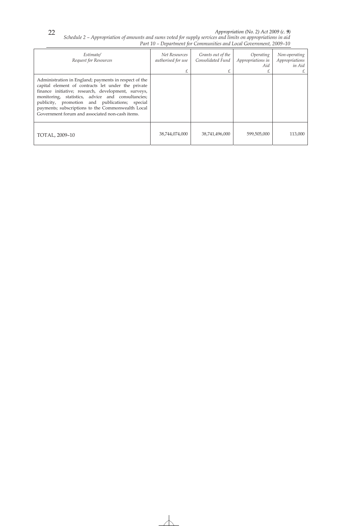*Schedule 2 – Appropriation of amounts and sums voted for supply services and limits on appropriations in aid Part 10 – Department for Communities and Local Government, 2009–10* 

| Estimate/<br>Request for Resources                                                                                                                                                                                                                                                                                                                                                | Net Resources<br>authorised for use | Grants out of the<br>Consolidated Fund | Operating<br>Appropriations in<br>Aid | Non-operating<br>Appropriations<br>in Aid |
|-----------------------------------------------------------------------------------------------------------------------------------------------------------------------------------------------------------------------------------------------------------------------------------------------------------------------------------------------------------------------------------|-------------------------------------|----------------------------------------|---------------------------------------|-------------------------------------------|
| Administration in England; payments in respect of the<br>capital element of contracts let under the private<br>finance initiative; research, development, surveys,<br>monitoring, statistics, advice and consultancies;<br>publicity, promotion and publications; special<br>payments; subscriptions to the Commonwealth Local<br>Government forum and associated non-cash items. |                                     |                                        |                                       |                                           |
| TOTAL, 2009-10                                                                                                                                                                                                                                                                                                                                                                    | 38,744,074,000                      | 38,741,496,000                         | 599,505,000                           | 113,000                                   |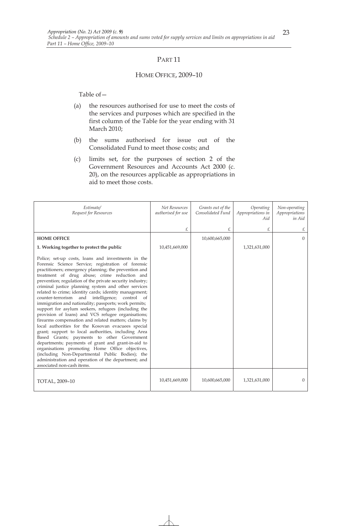#### HOME OFFICE, 2009–10

- (a) the resources authorised for use to meet the costs of the services and purposes which are specified in the first column of the Table for the year ending with 31 March 2010;
- (b) the sums authorised for issue out of the Consolidated Fund to meet those costs; and
- (c) limits set, for the purposes of section 2 of the Government Resources and Accounts Act 2000 (c. 20), on the resources applicable as appropriations in aid to meet those costs.

| Estimate/<br>Request for Resources                                                                                                                                                                                                                                                                                                                                                                                                                                                                                                                                                                                                                                                                                                                                                                                                                                                                                                                                                                                                                                                                             | Net Resources<br>authorised for use | Grants out of the<br>Consolidated Fund | Operating<br>Appropriations in<br>Aid | Non-operating<br>Appropriations<br>in Aid |
|----------------------------------------------------------------------------------------------------------------------------------------------------------------------------------------------------------------------------------------------------------------------------------------------------------------------------------------------------------------------------------------------------------------------------------------------------------------------------------------------------------------------------------------------------------------------------------------------------------------------------------------------------------------------------------------------------------------------------------------------------------------------------------------------------------------------------------------------------------------------------------------------------------------------------------------------------------------------------------------------------------------------------------------------------------------------------------------------------------------|-------------------------------------|----------------------------------------|---------------------------------------|-------------------------------------------|
|                                                                                                                                                                                                                                                                                                                                                                                                                                                                                                                                                                                                                                                                                                                                                                                                                                                                                                                                                                                                                                                                                                                | £                                   | £                                      | £                                     | £                                         |
| <b>HOME OFFICE</b>                                                                                                                                                                                                                                                                                                                                                                                                                                                                                                                                                                                                                                                                                                                                                                                                                                                                                                                                                                                                                                                                                             |                                     | 10,600,665,000                         |                                       | $\overline{0}$                            |
| 1. Working together to protect the public                                                                                                                                                                                                                                                                                                                                                                                                                                                                                                                                                                                                                                                                                                                                                                                                                                                                                                                                                                                                                                                                      | 10,451,669,000                      |                                        | 1,321,631,000                         |                                           |
| Police; set-up costs, loans and investments in the<br>Forensic Science Service; registration of forensic<br>practitioners; emergency planning; the prevention and<br>treatment of drug abuse; crime reduction and<br>prevention; regulation of the private security industry;<br>criminal justice planning system and other services<br>related to crime; identity cards; identity management;<br>counter-terrorism and<br>intelligence;<br>control<br><sub>of</sub><br>immigration and nationality; passports; work permits;<br>support for asylum seekers, refugees (including the<br>provision of loans) and VCS refugee organisations;<br>firearms compensation and related matters; claims by<br>local authorities for the Kosovan evacuees special<br>grant; support to local authorities, including Area<br>Based Grants; payments to other Government<br>departments; payments of grant and grant-in-aid to<br>organisations promoting Home Office objectives,<br>(including Non-Departmental Public Bodies); the<br>administration and operation of the department; and<br>associated non-cash items. |                                     |                                        |                                       |                                           |
| TOTAL, 2009-10                                                                                                                                                                                                                                                                                                                                                                                                                                                                                                                                                                                                                                                                                                                                                                                                                                                                                                                                                                                                                                                                                                 | 10,451,669,000                      | 10,600,665,000                         | 1,321,631,000                         | $\Omega$                                  |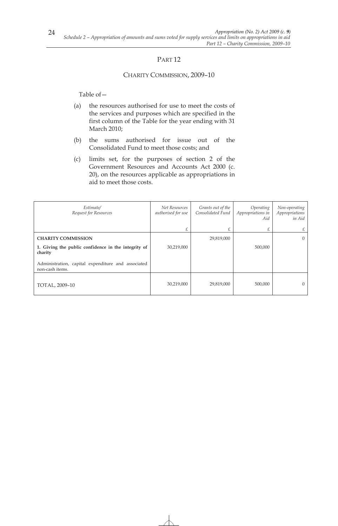#### CHARITY COMMISSION, 2009–10

- (a) the resources authorised for use to meet the costs of the services and purposes which are specified in the first column of the Table for the year ending with 31 March 2010;
- (b) the sums authorised for issue out of the Consolidated Fund to meet those costs; and
- (c) limits set, for the purposes of section 2 of the Government Resources and Accounts Act 2000 (c. 20), on the resources applicable as appropriations in aid to meet those costs.

| Estimate/<br>Request for Resources                                    | Net Resources<br>authorised for use | Grants out of the<br>Consolidated Fund | Operating<br>Appropriations in<br>Aid | Non-operating<br>Appropriations<br>in Aid |
|-----------------------------------------------------------------------|-------------------------------------|----------------------------------------|---------------------------------------|-------------------------------------------|
|                                                                       |                                     |                                        | £                                     | £                                         |
| <b>CHARITY COMMISSION</b>                                             |                                     | 29,819,000                             |                                       | $\Omega$                                  |
| 1. Giving the public confidence in the integrity of<br>charity        | 30,219,000                          |                                        | 500,000                               |                                           |
| Administration, capital expenditure and associated<br>non-cash items. |                                     |                                        |                                       |                                           |
| TOTAL, 2009-10                                                        | 30,219,000                          | 29,819,000                             | 500,000                               | $\Omega$                                  |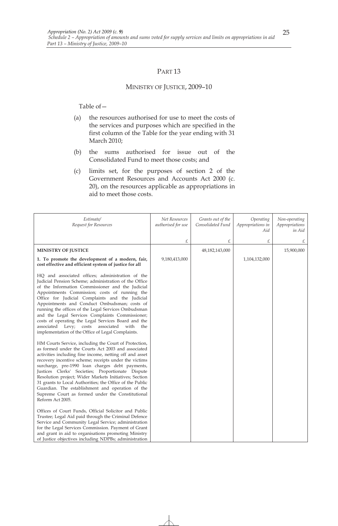#### MINISTRY OF JUSTICE, 2009–10

- (a) the resources authorised for use to meet the costs of the services and purposes which are specified in the first column of the Table for the year ending with 31 March 2010;
- (b) the sums authorised for issue out of the Consolidated Fund to meet those costs; and
- (c) limits set, for the purposes of section 2 of the Government Resources and Accounts Act 2000 (c. 20), on the resources applicable as appropriations in aid to meet those costs.

| Estimate/<br>Request for Resources                                                                                                                                                                                                                                                                                                                                                                                                                                                                                                                                                                                                                                                                                                                                                                                          | Net Resources<br>authorised for use | Grants out of the<br>Consolidated Fund | Operating<br>Appropriations in<br>Aid | Non-operating<br>Appropriations<br>in Aid |
|-----------------------------------------------------------------------------------------------------------------------------------------------------------------------------------------------------------------------------------------------------------------------------------------------------------------------------------------------------------------------------------------------------------------------------------------------------------------------------------------------------------------------------------------------------------------------------------------------------------------------------------------------------------------------------------------------------------------------------------------------------------------------------------------------------------------------------|-------------------------------------|----------------------------------------|---------------------------------------|-------------------------------------------|
|                                                                                                                                                                                                                                                                                                                                                                                                                                                                                                                                                                                                                                                                                                                                                                                                                             | £                                   | £                                      | £                                     | £                                         |
| <b>MINISTRY OF JUSTICE</b>                                                                                                                                                                                                                                                                                                                                                                                                                                                                                                                                                                                                                                                                                                                                                                                                  |                                     | 48, 182, 143, 000                      |                                       | 15,900,000                                |
| 1. To promote the development of a modern, fair,<br>cost effective and efficient system of justice for all                                                                                                                                                                                                                                                                                                                                                                                                                                                                                                                                                                                                                                                                                                                  | 9,180,413,000                       |                                        | 1,104,132,000                         |                                           |
| HQ and associated offices; administration of the<br>Judicial Pension Scheme; administration of the Office<br>of the Information Commissioner and the Judicial<br>Appointments Commission; costs of running the<br>Office for Judicial Complaints and the Judicial<br>Appointments and Conduct Ombudsman; costs of<br>running the offices of the Legal Services Ombudsman<br>and the Legal Services Complaints Commissioner;<br>costs of operating the Legal Services Board and the<br>associated Levy; costs associated with<br>the<br>implementation of the Office of Legal Complaints.<br>HM Courts Service, including the Court of Protection,<br>as formed under the Courts Act 2003 and associated<br>activities including fine income, netting off and asset<br>recovery incentive scheme; receipts under the victims |                                     |                                        |                                       |                                           |
| surcharge, pre-1990 loan charges debt payments,<br>Justices Clerks' Societies; Proportionate Dispute<br>Resolution project; Wider Markets Initiatives; Section<br>31 grants to Local Authorities; the Office of the Public<br>Guardian. The establishment and operation of the<br>Supreme Court as formed under the Constitutional                                                                                                                                                                                                                                                                                                                                                                                                                                                                                          |                                     |                                        |                                       |                                           |
| Reform Act 2005.<br>Offices of Court Funds, Official Solicitor and Public<br>Trustee; Legal Aid paid through the Criminal Defence<br>Service and Community Legal Service; administration<br>for the Legal Services Commission. Payment of Grant<br>and grant in aid to organisations promoting Ministry<br>of Justice objectives including NDPBs; administration                                                                                                                                                                                                                                                                                                                                                                                                                                                            |                                     |                                        |                                       |                                           |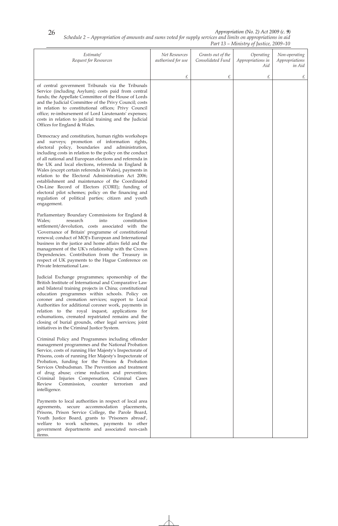*Schedule 2 – Appropriation of amounts and sums voted for supply services and limits on appropriations in aid* 

|                                                                                                                                                                                                                                                                                                                                                                                                                                                                                                                                                                                                                                                                                        |                                     |                                        | Part 13 – Ministry of Justice, 2009–10 |                                           |
|----------------------------------------------------------------------------------------------------------------------------------------------------------------------------------------------------------------------------------------------------------------------------------------------------------------------------------------------------------------------------------------------------------------------------------------------------------------------------------------------------------------------------------------------------------------------------------------------------------------------------------------------------------------------------------------|-------------------------------------|----------------------------------------|----------------------------------------|-------------------------------------------|
| Estimate/<br>Request for Resources                                                                                                                                                                                                                                                                                                                                                                                                                                                                                                                                                                                                                                                     | Net Resources<br>authorised for use | Grants out of the<br>Consolidated Fund | Operating<br>Appropriations in<br>Aid  | Non-operating<br>Appropriations<br>in Aid |
|                                                                                                                                                                                                                                                                                                                                                                                                                                                                                                                                                                                                                                                                                        | £                                   | £                                      | £                                      | £                                         |
| of central government Tribunals via the Tribunals<br>Service (including Asylum); costs paid from central<br>funds; the Appellate Committee of the House of Lords<br>and the Judicial Committee of the Privy Council; costs<br>in relation to constitutional offices; Privy Council<br>office; re-imbursement of Lord Lieutenants' expenses;<br>costs in relation to judicial training and the Judicial<br>Offices for England & Wales.                                                                                                                                                                                                                                                 |                                     |                                        |                                        |                                           |
| Democracy and constitution, human rights workshops<br>and surveys; promotion of information rights,<br>electoral policy, boundaries and administration,<br>including costs in relation to the policy on the conduct<br>of all national and European elections and referenda in<br>the UK and local elections, referenda in England &<br>Wales (except certain referenda in Wales), payments in<br>relation to the Electoral Administration Act 2006;<br>establishment and maintenance of the Coordinated<br>On-Line Record of Electors (CORE); funding of<br>electoral pilot schemes; policy on the financing and<br>regulation of political parties; citizen and youth<br>engagement. |                                     |                                        |                                        |                                           |
| Parliamentary Boundary Commissions for England &<br>Wales;<br>research<br>into<br>constitution<br>settlement/devolution, costs associated with the<br>'Governance of Britain' programme of constitutional<br>renewal; conduct of MOJ's European and International<br>business in the justice and home affairs field and the<br>management of the UK's relationship with the Crown<br>Dependencies. Contribution from the Treasury in<br>respect of UK payments to the Hague Conference on<br>Private International Law.                                                                                                                                                                |                                     |                                        |                                        |                                           |
| Judicial Exchange programmes; sponsorship of the<br>British Institute of International and Comparative Law<br>and bilateral training projects in China; constitutional<br>education programmes within schools. Policy on<br>coroner and cremation services; support to Local<br>Authorities for additional coroner work, payments in<br>relation to the royal inquest, applications for<br>exhumations, cremated repatriated remains and the<br>closing of burial grounds, other legal services; joint<br>initiatives in the Criminal Justice System.                                                                                                                                  |                                     |                                        |                                        |                                           |
| Criminal Policy and Programmes including offender<br>management programmes and the National Probation<br>Service, costs of running Her Majesty's Inspectorate of<br>Prisons, costs of running Her Majesty's Inspectorate of<br>Probation, funding for the Prisons & Probation<br>Services Ombudsman. The Prevention and treatment<br>of drug abuse; crime reduction and prevention;<br>Criminal Injuries Compensation, Criminal Cases<br>Review<br>Commission, counter<br>terrorism<br>and<br>intelligence.                                                                                                                                                                            |                                     |                                        |                                        |                                           |
| Payments to local authorities in respect of local area<br>agreements, secure accommodation placements,<br>Prisons, Prison Service College, the Parole Board,<br>Youth Justice Board, grants to 'Prisoners abroad',<br>welfare to work schemes, payments to other<br>government departments and associated non-cash<br>items.                                                                                                                                                                                                                                                                                                                                                           |                                     |                                        |                                        |                                           |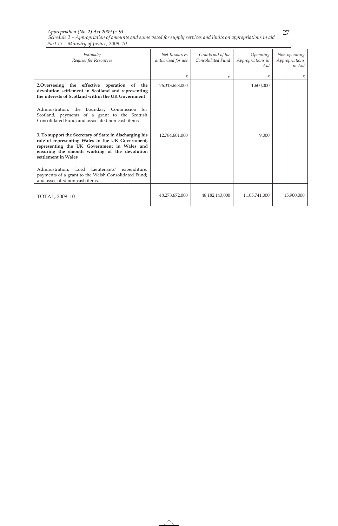*Schedule 2 – Appropriation of amounts and sums voted for supply services and limits on appropriations in aid Part 13 – Ministry of Justice, 2009–10 Appropriation (No. 2) Act 2009 (c. 9)* 

| Estimate/<br>Request for Resources                                                                                                                                                                                                 | Net Resources<br>authorised for use | Grants out of the<br>Consolidated Fund | Operating<br>Appropriations in<br>Aid | Non-operating<br>Appropriations<br>in Aid |
|------------------------------------------------------------------------------------------------------------------------------------------------------------------------------------------------------------------------------------|-------------------------------------|----------------------------------------|---------------------------------------|-------------------------------------------|
|                                                                                                                                                                                                                                    | £                                   | £                                      | £                                     |                                           |
| 2. Overseeing the effective operation of the<br>devolution settlement in Scotland and representing<br>the interests of Scotland within the UK Government                                                                           | 26,313,658,000                      |                                        | 1,600,000                             |                                           |
| Administration; the Boundary Commission for<br>Scotland; payments of a grant to the Scottish<br>Consolidated Fund; and associated non-cash items.                                                                                  |                                     |                                        |                                       |                                           |
| 3. To support the Secretary of State in discharging his<br>role of representing Wales in the UK Government,<br>representing the UK Government in Wales and<br>ensuring the smooth working of the devolution<br>settlement in Wales | 12,784,601,000                      |                                        | 9,000                                 |                                           |
| Administration; Lord Lieutenants'<br>expenditure;<br>payments of a grant to the Welsh Consolidated Fund;<br>and associated non-cash items.                                                                                         |                                     |                                        |                                       |                                           |
| TOTAL, 2009-10                                                                                                                                                                                                                     | 48,278,672,000                      | 48,182,143,000                         | 1,105,741,000                         | 15,900,000                                |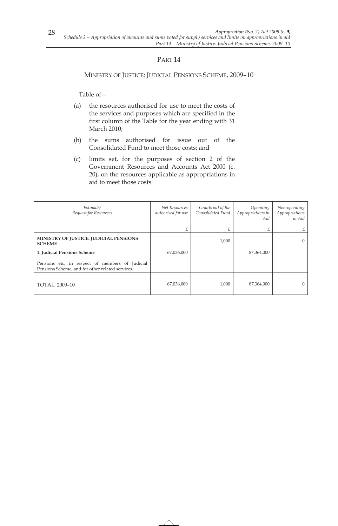MINISTRY OF JUSTICE: JUDICIAL PENSIONS SCHEME, 2009–10

- (a) the resources authorised for use to meet the costs of the services and purposes which are specified in the first column of the Table for the year ending with 31 March 2010;
- (b) the sums authorised for issue out of the Consolidated Fund to meet those costs; and
- (c) limits set, for the purposes of section 2 of the Government Resources and Accounts Act 2000 (c. 20), on the resources applicable as appropriations in aid to meet those costs.

| Estimate/<br>Request for Resources                                                                  | Net Resources<br>authorised for use | Grants out of the<br>Consolidated Fund | Operating<br>Appropriations in<br>Aid | Non-operating<br>Appropriations<br>in Aid |
|-----------------------------------------------------------------------------------------------------|-------------------------------------|----------------------------------------|---------------------------------------|-------------------------------------------|
|                                                                                                     | £                                   | £                                      | £                                     | £                                         |
| MINISTRY OF JUSTICE: JUDICIAL PENSIONS<br><b>SCHEME</b>                                             |                                     | 1,000                                  |                                       | $\Omega$                                  |
| 1. Judicial Pensions Scheme                                                                         | 67,036,000                          |                                        | 87,364,000                            |                                           |
| Pensions etc, in respect of members of Judicial<br>Pensions Scheme, and for other related services. |                                     |                                        |                                       |                                           |
| TOTAL, 2009-10                                                                                      | 67,036,000                          | 1,000                                  | 87,364,000                            | $\Omega$                                  |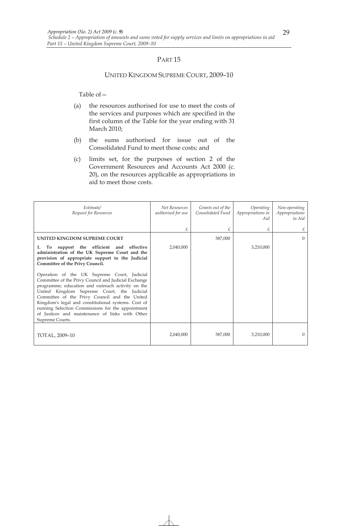#### UNITED KINGDOM SUPREME COURT, 2009–10

- (a) the resources authorised for use to meet the costs of the services and purposes which are specified in the first column of the Table for the year ending with 31 March 2010;
- (b) the sums authorised for issue out of the Consolidated Fund to meet those costs; and
- (c) limits set, for the purposes of section 2 of the Government Resources and Accounts Act 2000 (c. 20), on the resources applicable as appropriations in aid to meet those costs.

| Estimate/<br>Request for Resources                                                                                                                                                                                                                                                                                                                                                                                                        | <b>Net Resources</b><br>authorised for use | Grants out of the<br>Consolidated Fund | Operating<br>Appropriations in<br>Aid | Non-operating<br>Appropriations<br>in Aid |
|-------------------------------------------------------------------------------------------------------------------------------------------------------------------------------------------------------------------------------------------------------------------------------------------------------------------------------------------------------------------------------------------------------------------------------------------|--------------------------------------------|----------------------------------------|---------------------------------------|-------------------------------------------|
|                                                                                                                                                                                                                                                                                                                                                                                                                                           | £                                          | £                                      | £                                     | £                                         |
| UNITED KINGDOM SUPREME COURT                                                                                                                                                                                                                                                                                                                                                                                                              |                                            | 387,000                                |                                       | $\Omega$                                  |
| To support the efficient and effective<br>1.<br>administration of the UK Supreme Court and the<br>provision of appropriate support to the Judicial<br>Committee of the Privy Council.                                                                                                                                                                                                                                                     | 2,040,000                                  |                                        | 3,210,000                             |                                           |
| Operation of the UK Supreme Court, Judicial<br>Committee of the Privy Council and Judicial Exchange<br>programme; education and outreach activity on the<br>United Kingdom Supreme Court, the Judicial<br>Committee of the Privy Council and the United<br>Kingdom's legal and constitutional systems. Cost of<br>running Selection Commissions for the appointment<br>of Justices and maintenance of links with Other<br>Supreme Courts. |                                            |                                        |                                       |                                           |
| TOTAL, 2009-10                                                                                                                                                                                                                                                                                                                                                                                                                            | 2,040,000                                  | 387,000                                | 3,210,000                             | $\Omega$                                  |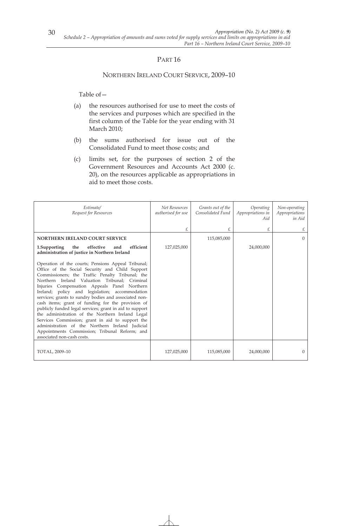#### NORTHERN IRELAND COURT SERVICE, 2009–10

- (a) the resources authorised for use to meet the costs of the services and purposes which are specified in the first column of the Table for the year ending with 31 March 2010;
- (b) the sums authorised for issue out of the Consolidated Fund to meet those costs; and
- (c) limits set, for the purposes of section 2 of the Government Resources and Accounts Act 2000 (c. 20), on the resources applicable as appropriations in aid to meet those costs.

| Estimate/<br>Request for Resources                                                                                                                                                                                                                                                                                                                                                                                                                                                                                                                                                                                                                                                                                              | <b>Net Resources</b><br>authorised for use | Grants out of the<br>Consolidated Fund | Operating<br>Appropriations in<br>Aid | Non-operating<br>Appropriations<br>in Aid |
|---------------------------------------------------------------------------------------------------------------------------------------------------------------------------------------------------------------------------------------------------------------------------------------------------------------------------------------------------------------------------------------------------------------------------------------------------------------------------------------------------------------------------------------------------------------------------------------------------------------------------------------------------------------------------------------------------------------------------------|--------------------------------------------|----------------------------------------|---------------------------------------|-------------------------------------------|
|                                                                                                                                                                                                                                                                                                                                                                                                                                                                                                                                                                                                                                                                                                                                 | £.                                         | £                                      | £                                     | £                                         |
| <b>NORTHERN IRELAND COURT SERVICE</b>                                                                                                                                                                                                                                                                                                                                                                                                                                                                                                                                                                                                                                                                                           |                                            | 115,085,000                            |                                       | $\Omega$                                  |
| efficient<br>1.Supporting<br>the<br>effective<br>and<br>administration of justice in Northern Ireland                                                                                                                                                                                                                                                                                                                                                                                                                                                                                                                                                                                                                           | 127,025,000                                |                                        | 24,000,000                            |                                           |
| Operation of the courts; Pensions Appeal Tribunal;<br>Office of the Social Security and Child Support<br>Commissioners; the Traffic Penalty Tribunal; the<br>Northern Ireland Valuation Tribunal; Criminal<br>Injuries Compensation Appeals Panel Northern<br>Ireland; policy and legislation; accommodation<br>services; grants to sundry bodies and associated non-<br>cash items; grant of funding for the provision of<br>publicly funded legal services; grant in aid to support<br>the administration of the Northern Ireland Legal<br>Services Commission; grant in aid to support the<br>administration of the Northern Ireland Judicial<br>Appointments Commission; Tribunal Reform; and<br>associated non-cash costs. |                                            |                                        |                                       |                                           |
| TOTAL, 2009-10                                                                                                                                                                                                                                                                                                                                                                                                                                                                                                                                                                                                                                                                                                                  | 127,025,000                                | 115,085,000                            | 24,000,000                            | $\overline{0}$                            |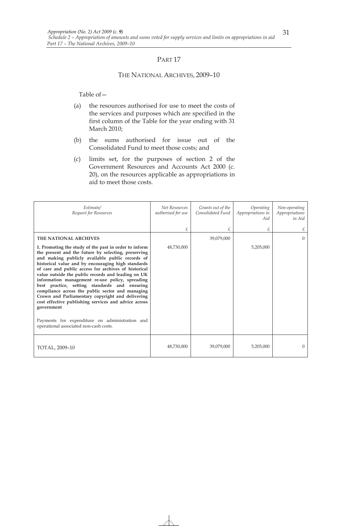#### THE NATIONAL ARCHIVES, 2009–10

- (a) the resources authorised for use to meet the costs of the services and purposes which are specified in the first column of the Table for the year ending with 31 March 2010;
- (b) the sums authorised for issue out of the Consolidated Fund to meet those costs; and
- (c) limits set, for the purposes of section 2 of the Government Resources and Accounts Act 2000 (c. 20), on the resources applicable as appropriations in aid to meet those costs.

| Estimate/<br>Request for Resources                                                                                                                                                                                                                                                                                                                                                                                                                                                                                                                                                                                                                                                                                | <b>Net Resources</b><br>authorised for use | Grants out of the<br>Consolidated Fund | Operating<br>Appropriations in<br>Aid | Non-operating<br>Appropriations<br>in Aid |
|-------------------------------------------------------------------------------------------------------------------------------------------------------------------------------------------------------------------------------------------------------------------------------------------------------------------------------------------------------------------------------------------------------------------------------------------------------------------------------------------------------------------------------------------------------------------------------------------------------------------------------------------------------------------------------------------------------------------|--------------------------------------------|----------------------------------------|---------------------------------------|-------------------------------------------|
|                                                                                                                                                                                                                                                                                                                                                                                                                                                                                                                                                                                                                                                                                                                   | £                                          | £                                      | £                                     | £                                         |
| <b>THE NATIONAL ARCHIVES</b>                                                                                                                                                                                                                                                                                                                                                                                                                                                                                                                                                                                                                                                                                      |                                            | 39,079,000                             |                                       | $\Omega$                                  |
| 1. Promoting the study of the past in order to inform<br>the present and the future by selecting, preserving<br>and making publicly available public records of<br>historical value and by encouraging high standards<br>of care and public access for archives of historical<br>value outside the public records and leading on UK<br>information management re-use policy, spreading<br>best practice, setting standards and ensuring<br>compliance across the public sector and managing<br>Crown and Parliamentary copyright and delivering<br>cost effective publishing services and advice across<br>government<br>Payments for expenditure on administration and<br>operational associated non-cash costs. | 48,730,000                                 |                                        | 5,205,000                             |                                           |
| TOTAL, 2009-10                                                                                                                                                                                                                                                                                                                                                                                                                                                                                                                                                                                                                                                                                                    | 48,730,000                                 | 39,079,000                             | 5,205,000                             | $\Omega$                                  |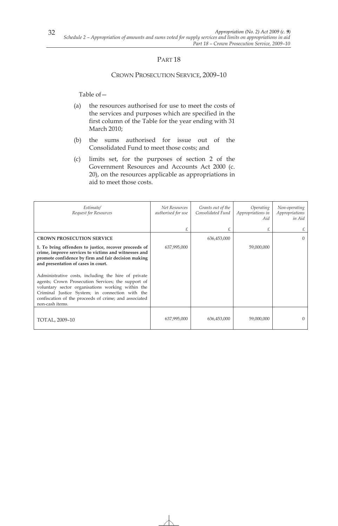#### CROWN PROSECUTION SERVICE, 2009–10

- (a) the resources authorised for use to meet the costs of the services and purposes which are specified in the first column of the Table for the year ending with 31 March 2010;
- (b) the sums authorised for issue out of the Consolidated Fund to meet those costs; and
- (c) limits set, for the purposes of section 2 of the Government Resources and Accounts Act 2000 (c. 20), on the resources applicable as appropriations in aid to meet those costs.

| Estimate/<br>Request for Resources                                                                                                                                                                                                                                                            | Net Resources<br>authorised for use | Grants out of the<br>Consolidated Fund | Operating<br>Appropriations in<br>Aid | Non-operating<br>Appropriations<br>in Aid |
|-----------------------------------------------------------------------------------------------------------------------------------------------------------------------------------------------------------------------------------------------------------------------------------------------|-------------------------------------|----------------------------------------|---------------------------------------|-------------------------------------------|
|                                                                                                                                                                                                                                                                                               |                                     | £                                      | £                                     |                                           |
| <b>CROWN PROSECUTION SERVICE</b>                                                                                                                                                                                                                                                              |                                     | 636,453,000                            |                                       | 0                                         |
| 1. To bring offenders to justice, recover proceeds of<br>crime, improve services to victims and witnesses and<br>promote confidence by firm and fair decision making<br>and presentation of cases in court.                                                                                   | 637,995,000                         |                                        | 59,000,000                            |                                           |
| Administrative costs, including the hire of private<br>agents; Crown Prosecution Services; the support of<br>voluntary sector organisations working within the<br>Criminal Justice System; in connection with the<br>confiscation of the proceeds of crime; and associated<br>non-cash items. |                                     |                                        |                                       |                                           |
| TOTAL, 2009-10                                                                                                                                                                                                                                                                                | 637,995,000                         | 636,453,000                            | 59,000,000                            |                                           |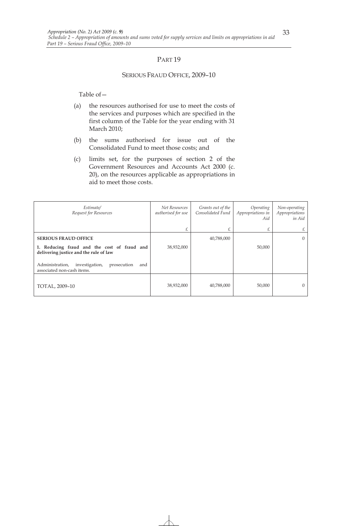#### SERIOUS FRAUD OFFICE, 2009–10

- (a) the resources authorised for use to meet the costs of the services and purposes which are specified in the first column of the Table for the year ending with 31 March 2010;
- (b) the sums authorised for issue out of the Consolidated Fund to meet those costs; and
- (c) limits set, for the purposes of section 2 of the Government Resources and Accounts Act 2000 (c. 20), on the resources applicable as appropriations in aid to meet those costs.

| Estimate/<br>Request for Resources                                                    | Net Resources<br>authorised for use | Grants out of the<br>Consolidated Fund | Operating<br>Appropriations in<br>Aid | Non-operating<br>Appropriations<br>in Aid |
|---------------------------------------------------------------------------------------|-------------------------------------|----------------------------------------|---------------------------------------|-------------------------------------------|
|                                                                                       | £                                   | £                                      | £                                     | £                                         |
| <b>SERIOUS FRAUD OFFICE</b>                                                           |                                     | 40,788,000                             |                                       | $\overline{0}$                            |
| 1. Reducing fraud and the cost of fraud and<br>delivering justice and the rule of law | 38,932,000                          |                                        | 50,000                                |                                           |
| investigation,<br>prosecution<br>Administration,<br>and<br>associated non-cash items. |                                     |                                        |                                       |                                           |
| TOTAL, 2009-10                                                                        | 38,932,000                          | 40,788,000                             | 50,000                                | $\theta$                                  |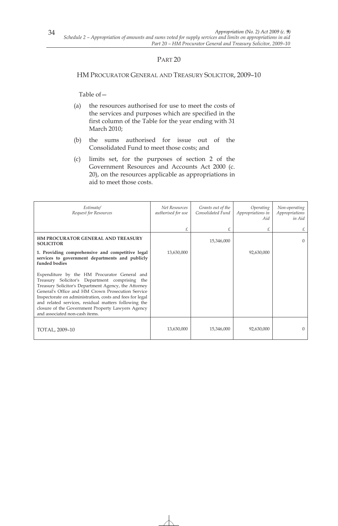### HM PROCURATOR GENERAL AND TREASURY SOLICITOR, 2009–10

- (a) the resources authorised for use to meet the costs of the services and purposes which are specified in the first column of the Table for the year ending with 31 March 2010;
- (b) the sums authorised for issue out of the Consolidated Fund to meet those costs; and
- (c) limits set, for the purposes of section 2 of the Government Resources and Accounts Act 2000 (c. 20), on the resources applicable as appropriations in aid to meet those costs.

| Estimate/<br>Request for Resources                                                                                                                                                                                                                                                                                                                                                                                        | Net Resources<br>authorised for use | Grants out of the<br>Consolidated Fund | Operating<br>Appropriations in<br>Aid | Non-operating<br>Appropriations<br>in Aid |
|---------------------------------------------------------------------------------------------------------------------------------------------------------------------------------------------------------------------------------------------------------------------------------------------------------------------------------------------------------------------------------------------------------------------------|-------------------------------------|----------------------------------------|---------------------------------------|-------------------------------------------|
|                                                                                                                                                                                                                                                                                                                                                                                                                           | £                                   |                                        | £                                     | £                                         |
| HM PROCURATOR GENERAL AND TREASURY<br><b>SOLICITOR</b>                                                                                                                                                                                                                                                                                                                                                                    |                                     | 15,346,000                             |                                       | $\Omega$                                  |
| 1. Providing comprehensive and competitive legal<br>services to government departments and publicly<br>funded bodies                                                                                                                                                                                                                                                                                                      | 13,630,000                          |                                        | 92,630,000                            |                                           |
| Expenditure by the HM Procurator General and<br>Treasury Solicitor's Department comprising<br>the<br>Treasury Solicitor's Department Agency, the Attorney<br>General's Office and HM Crown Prosecution Service<br>Inspectorate on administration, costs and fees for legal<br>and related services, residual matters following the<br>closure of the Government Property Lawyers Agency<br>and associated non-cash items. |                                     |                                        |                                       |                                           |
| TOTAL, 2009-10                                                                                                                                                                                                                                                                                                                                                                                                            | 13,630,000                          | 15,346,000                             | 92,630,000                            | $\left( \right)$                          |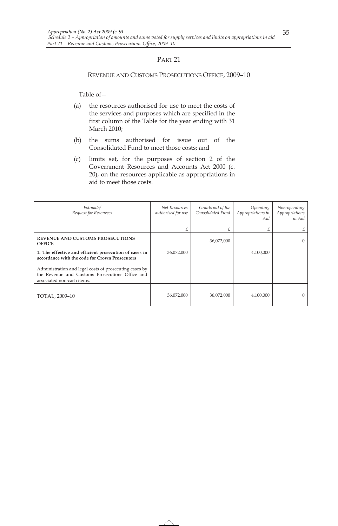#### REVENUE AND CUSTOMS PROSECUTIONS OFFICE, 2009–10

- (a) the resources authorised for use to meet the costs of the services and purposes which are specified in the first column of the Table for the year ending with 31 March 2010;
- (b) the sums authorised for issue out of the Consolidated Fund to meet those costs; and
- (c) limits set, for the purposes of section 2 of the Government Resources and Accounts Act 2000 (c. 20), on the resources applicable as appropriations in aid to meet those costs.

| Estimate/<br>Request for Resources                                                                                                      | Net Resources<br>authorised for use | Grants out of the<br>Consolidated Fund | Operating<br>Appropriations in<br>Aid | Non-operating<br>Appropriations<br>in Aid |
|-----------------------------------------------------------------------------------------------------------------------------------------|-------------------------------------|----------------------------------------|---------------------------------------|-------------------------------------------|
|                                                                                                                                         |                                     | £                                      | £                                     | £                                         |
| <b>REVENUE AND CUSTOMS PROSECUTIONS</b><br><b>OFFICE</b>                                                                                |                                     | 36,072,000                             |                                       | $\Omega$                                  |
| 1. The effective and efficient prosecution of cases in<br>accordance with the code for Crown Prosecutors                                | 36,072,000                          |                                        | 4,100,000                             |                                           |
| Administration and legal costs of prosecuting cases by<br>the Revenue and Customs Prosecutions Office and<br>associated non-cash items. |                                     |                                        |                                       |                                           |
| TOTAL, 2009-10                                                                                                                          | 36,072,000                          | 36,072,000                             | 4,100,000                             | 0                                         |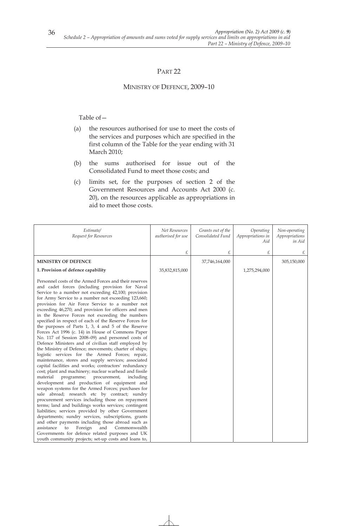# PART<sub>22</sub>

### MINISTRY OF DEFENCE, 2009–10

- (a) the resources authorised for use to meet the costs of the services and purposes which are specified in the first column of the Table for the year ending with 31 March 2010;
- (b) the sums authorised for issue out of the Consolidated Fund to meet those costs; and
- (c) limits set, for the purposes of section 2 of the Government Resources and Accounts Act 2000 (c. 20), on the resources applicable as appropriations in aid to meet those costs.

| Estimate/<br>Request for Resources                                                                                                                                                                                                                                                                                                                                                                                                                                                                                                                                                                                                                                                                                                                                                                                                                                                                                                                                                                                                                                                                                                                                                                                                                                                                                                                                                                                                                                                                                                                                                                                      | Net Resources<br>authorised for use | Grants out of the<br>Consolidated Fund | Operating<br>Appropriations in<br>Aid | Non-operating<br>Appropriations<br>in Aid |
|-------------------------------------------------------------------------------------------------------------------------------------------------------------------------------------------------------------------------------------------------------------------------------------------------------------------------------------------------------------------------------------------------------------------------------------------------------------------------------------------------------------------------------------------------------------------------------------------------------------------------------------------------------------------------------------------------------------------------------------------------------------------------------------------------------------------------------------------------------------------------------------------------------------------------------------------------------------------------------------------------------------------------------------------------------------------------------------------------------------------------------------------------------------------------------------------------------------------------------------------------------------------------------------------------------------------------------------------------------------------------------------------------------------------------------------------------------------------------------------------------------------------------------------------------------------------------------------------------------------------------|-------------------------------------|----------------------------------------|---------------------------------------|-------------------------------------------|
|                                                                                                                                                                                                                                                                                                                                                                                                                                                                                                                                                                                                                                                                                                                                                                                                                                                                                                                                                                                                                                                                                                                                                                                                                                                                                                                                                                                                                                                                                                                                                                                                                         | £                                   | £                                      | £                                     | £                                         |
| <b>MINISTRY OF DEFENCE</b>                                                                                                                                                                                                                                                                                                                                                                                                                                                                                                                                                                                                                                                                                                                                                                                                                                                                                                                                                                                                                                                                                                                                                                                                                                                                                                                                                                                                                                                                                                                                                                                              |                                     | 37,746,164,000                         |                                       | 305,150,000                               |
| 1. Provision of defence capability                                                                                                                                                                                                                                                                                                                                                                                                                                                                                                                                                                                                                                                                                                                                                                                                                                                                                                                                                                                                                                                                                                                                                                                                                                                                                                                                                                                                                                                                                                                                                                                      | 35,832,815,000                      |                                        | 1,275,294,000                         |                                           |
| Personnel costs of the Armed Forces and their reserves<br>and cadet forces (including provision for Naval<br>Service to a number not exceeding 42,100; provision<br>for Army Service to a number not exceeding 123,660;<br>provision for Air Force Service to a number not<br>exceeding 46,270; and provision for officers and men<br>in the Reserve Forces not exceeding the numbers<br>specified in respect of each of the Reserve Forces for<br>the purposes of Parts 1, 3, 4 and 5 of the Reserve<br>Forces Act 1996 (c. 14) in House of Commons Paper<br>No. 117 of Session 2008-09) and personnel costs of<br>Defence Ministers and of civilian staff employed by<br>the Ministry of Defence; movements; charter of ships;<br>logistic services for the Armed Forces; repair,<br>maintenance, stores and supply services; associated<br>capital facilities and works; contractors' redundancy<br>cost; plant and machinery; nuclear warhead and fissile<br>material<br>programme; procurement,<br>including<br>development and production of equipment and<br>weapon systems for the Armed Forces; purchases for<br>sale abroad; research etc by contract; sundry<br>procurement services including those on repayment<br>terms; land and buildings works services; contingent<br>liabilities; services provided by other Government<br>departments; sundry services, subscriptions, grants<br>and other payments including those abroad such as<br>assistance<br>Foreign<br>and<br>Commonwealth<br>to<br>Governments for defence related purposes and UK<br>youth community projects; set-up costs and loans to, |                                     |                                        |                                       |                                           |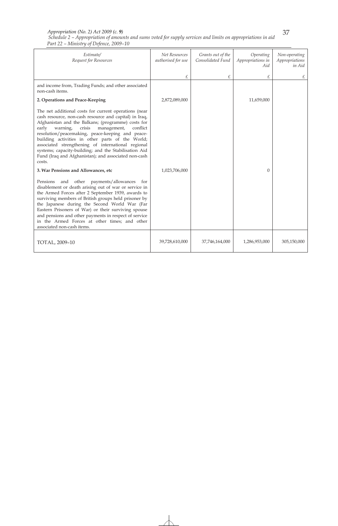#### *Schedule 2 – Appropriation of amounts and sums voted for supply services and limits on appropriations in aid Part 22 – Ministry of Defence, 2009–10 Appropriation (No. 2) Act 2009 (c. 9)*

| Estimate/<br>Request for Resources                                                                                                                                                                                                                                                                                                                                                                                                                                                                                    | Net Resources<br>authorised for use | Grants out of the<br>Consolidated Fund | Operating<br>Appropriations in<br>Aid | Non-operating<br>Appropriations<br>in Aid |
|-----------------------------------------------------------------------------------------------------------------------------------------------------------------------------------------------------------------------------------------------------------------------------------------------------------------------------------------------------------------------------------------------------------------------------------------------------------------------------------------------------------------------|-------------------------------------|----------------------------------------|---------------------------------------|-------------------------------------------|
|                                                                                                                                                                                                                                                                                                                                                                                                                                                                                                                       | £                                   | £                                      | £                                     | £                                         |
| and income from, Trading Funds; and other associated<br>non-cash items.                                                                                                                                                                                                                                                                                                                                                                                                                                               |                                     |                                        |                                       |                                           |
| 2. Operations and Peace-Keeping                                                                                                                                                                                                                                                                                                                                                                                                                                                                                       | 2,872,089,000                       |                                        | 11,659,000                            |                                           |
| The net additional costs for current operations (near<br>cash resource, non-cash resource and capital) in Iraq,<br>Afghanistan and the Balkans; (programme) costs for<br>early warning,<br>crisis<br>management,<br>conflict<br>resolution/peacemaking, peace-keeping and peace-<br>building activities in other parts of the World;<br>associated strengthening of international regional<br>systems; capacity-building; and the Stabilisation Aid<br>Fund (Iraq and Afghanistan); and associated non-cash<br>costs. |                                     |                                        |                                       |                                           |
| 3. War Pensions and Allowances, etc                                                                                                                                                                                                                                                                                                                                                                                                                                                                                   | 1,023,706,000                       |                                        | $\Omega$                              |                                           |
| and other payments/allowances<br>Pensions<br>for<br>disablement or death arising out of war or service in<br>the Armed Forces after 2 September 1939, awards to<br>surviving members of British groups held prisoner by<br>the Japanese during the Second World War (Far<br>Eastern Prisoners of War) or their surviving spouse<br>and pensions and other payments in respect of service<br>in the Armed Forces at other times; and other<br>associated non-cash items.                                               |                                     |                                        |                                       |                                           |
| TOTAL, 2009-10                                                                                                                                                                                                                                                                                                                                                                                                                                                                                                        | 39,728,610,000                      | 37,746,164,000                         | 1,286,953,000                         | 305,150,000                               |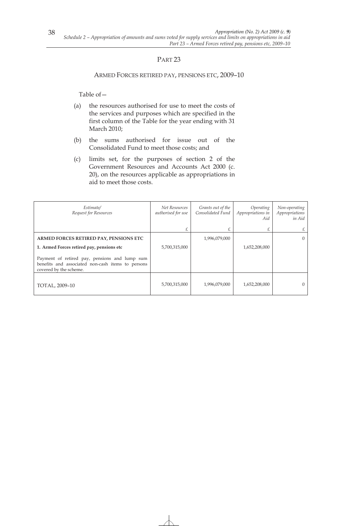#### ARMED FORCES RETIRED PAY, PENSIONS ETC, 2009–10

- (a) the resources authorised for use to meet the costs of the services and purposes which are specified in the first column of the Table for the year ending with 31 March 2010;
- (b) the sums authorised for issue out of the Consolidated Fund to meet those costs; and
- (c) limits set, for the purposes of section 2 of the Government Resources and Accounts Act 2000 (c. 20), on the resources applicable as appropriations in aid to meet those costs.

| Estimate/<br>Request for Resources                                                                                           | Net Resources<br>authorised for use | Grants out of the<br>Consolidated Fund | Operating<br>Appropriations in<br>Aid | Non-operating<br>Appropriations<br>in Aid |
|------------------------------------------------------------------------------------------------------------------------------|-------------------------------------|----------------------------------------|---------------------------------------|-------------------------------------------|
|                                                                                                                              |                                     |                                        | £                                     | £                                         |
| ARMED FORCES RETIRED PAY, PENSIONS ETC                                                                                       |                                     | 1,996,079,000                          |                                       | $\Omega$                                  |
| 1. Armed Forces retired pay, pensions etc                                                                                    | 5,700,315,000                       |                                        | 1,652,208,000                         |                                           |
| Payment of retired pay, pensions and lump sum<br>benefits and associated non-cash items to persons<br>covered by the scheme. |                                     |                                        |                                       |                                           |
| TOTAL, 2009-10                                                                                                               | 5,700,315,000                       | 1,996,079,000                          | 1,652,208,000                         | $\left($                                  |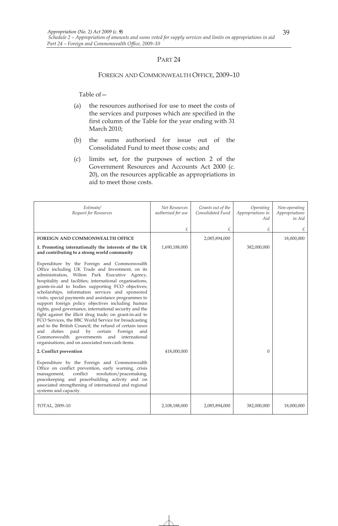#### FOREIGN AND COMMONWEALTH OFFICE, 2009–10

- (a) the resources authorised for use to meet the costs of the services and purposes which are specified in the first column of the Table for the year ending with 31 March 2010;
- (b) the sums authorised for issue out of the Consolidated Fund to meet those costs; and
- (c) limits set, for the purposes of section 2 of the Government Resources and Accounts Act 2000 (c. 20), on the resources applicable as appropriations in aid to meet those costs.

| Estimate/<br>Request for Resources                                                                                                                                                                                                                                                                                                                                                                                                                                                                                                                                                                                                                                                                                                                                                                                                  | Net Resources<br>authorised for use | Grants out of the<br>Consolidated Fund | Operating<br>Appropriations in<br>Aid | Non-operating<br>Appropriations<br>in Aid |
|-------------------------------------------------------------------------------------------------------------------------------------------------------------------------------------------------------------------------------------------------------------------------------------------------------------------------------------------------------------------------------------------------------------------------------------------------------------------------------------------------------------------------------------------------------------------------------------------------------------------------------------------------------------------------------------------------------------------------------------------------------------------------------------------------------------------------------------|-------------------------------------|----------------------------------------|---------------------------------------|-------------------------------------------|
|                                                                                                                                                                                                                                                                                                                                                                                                                                                                                                                                                                                                                                                                                                                                                                                                                                     | £                                   | £                                      | £                                     | £                                         |
| <b>FOREIGN AND COMMONWEALTH OFFICE</b>                                                                                                                                                                                                                                                                                                                                                                                                                                                                                                                                                                                                                                                                                                                                                                                              |                                     | 2,085,894,000                          |                                       | 18,000,000                                |
| 1. Promoting internationally the interests of the UK<br>and contributing to a strong world community                                                                                                                                                                                                                                                                                                                                                                                                                                                                                                                                                                                                                                                                                                                                | 1,690,188,000                       |                                        | 382,000,000                           |                                           |
| Expenditure by the Foreign and Commonwealth<br>Office including UK Trade and Investment, on its<br>administration, Wilton Park Executive Agency,<br>hospitality and facilities; international organisations,<br>grants-in-aid to bodies supporting FCO objectives;<br>scholarships, information services and sponsored<br>visits; special payments and assistance programmes to<br>support foreign policy objectives including human<br>rights, good governance, international security and the<br>fight against the illicit drug trade; on grant-in-aid to<br>FCO Services, the BBC World Service for broadcasting<br>and to the British Council: the refund of certain taxes<br>duties<br>paid by certain Foreign<br>and<br>and<br>Commonwealth governments and international<br>organisations; and on associated non-cash items. |                                     |                                        |                                       |                                           |
| 2. Conflict prevention                                                                                                                                                                                                                                                                                                                                                                                                                                                                                                                                                                                                                                                                                                                                                                                                              | 418,000,000                         |                                        | $\Omega$                              |                                           |
| Expenditure by the Foreign and Commonwealth<br>Office on conflict prevention, early warning, crisis<br>conflict<br>resolution/peacemaking,<br>management,<br>peacekeeping and peacebuilding activity and on<br>associated strengthening of international and regional<br>systems and capacity.                                                                                                                                                                                                                                                                                                                                                                                                                                                                                                                                      |                                     |                                        |                                       |                                           |
| TOTAL, 2009-10                                                                                                                                                                                                                                                                                                                                                                                                                                                                                                                                                                                                                                                                                                                                                                                                                      | 2,108,188,000                       | 2,085,894,000                          | 382,000,000                           | 18,000,000                                |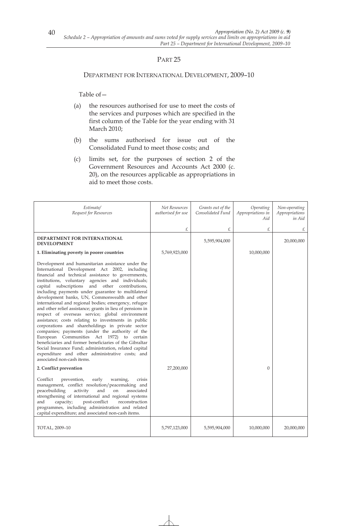#### DEPARTMENT FOR INTERNATIONAL DEVELOPMENT, 2009–10

- (a) the resources authorised for use to meet the costs of the services and purposes which are specified in the first column of the Table for the year ending with 31 March 2010;
- (b) the sums authorised for issue out of the Consolidated Fund to meet those costs; and
- (c) limits set, for the purposes of section 2 of the Government Resources and Accounts Act 2000 (c. 20), on the resources applicable as appropriations in aid to meet those costs.

| Estimate/<br>Request for Resources                                                                                                                                                                                                                                                                                                                                                                                                                                                                                                                                                                                                                                                                                                                                                                                                                                                                                                                                | Net Resources<br>authorised for use | Grants out of the<br>Consolidated Fund | Operating<br>Appropriations in<br>Aid | Non-operating<br>Appropriations<br>in Aid |
|-------------------------------------------------------------------------------------------------------------------------------------------------------------------------------------------------------------------------------------------------------------------------------------------------------------------------------------------------------------------------------------------------------------------------------------------------------------------------------------------------------------------------------------------------------------------------------------------------------------------------------------------------------------------------------------------------------------------------------------------------------------------------------------------------------------------------------------------------------------------------------------------------------------------------------------------------------------------|-------------------------------------|----------------------------------------|---------------------------------------|-------------------------------------------|
|                                                                                                                                                                                                                                                                                                                                                                                                                                                                                                                                                                                                                                                                                                                                                                                                                                                                                                                                                                   | £                                   | £                                      | £                                     | £                                         |
| DEPARTMENT FOR INTERNATIONAL<br><b>DEVELOPMENT</b>                                                                                                                                                                                                                                                                                                                                                                                                                                                                                                                                                                                                                                                                                                                                                                                                                                                                                                                |                                     | 5,595,904,000                          |                                       | 20,000,000                                |
| 1. Eliminating poverty in poorer countries                                                                                                                                                                                                                                                                                                                                                                                                                                                                                                                                                                                                                                                                                                                                                                                                                                                                                                                        | 5,769,923,000                       |                                        | 10,000,000                            |                                           |
| Development and humanitarian assistance under the<br>International Development Act 2002, including<br>financial and technical assistance to governments,<br>institutions, voluntary agencies and individuals;<br>capital subscriptions and other contributions,<br>including payments under guarantee to multilateral<br>development banks, UN, Commonwealth and other<br>international and regional bodies; emergency, refugee<br>and other relief assistance; grants in lieu of pensions in<br>respect of overseas service; global environment<br>assistance; costs relating to investments in public<br>corporations and shareholdings in private sector<br>companies; payments (under the authority of the<br>European Communities Act 1972) to certain<br>beneficiaries and former beneficiaries of the Gibraltar<br>Social Insurance Fund; administration, related capital<br>expenditure and other administrative costs; and<br>associated non-cash items. |                                     |                                        |                                       |                                           |
| 2. Conflict prevention                                                                                                                                                                                                                                                                                                                                                                                                                                                                                                                                                                                                                                                                                                                                                                                                                                                                                                                                            | 27,200,000                          |                                        | $\Omega$                              |                                           |
| Conflict<br>prevention,<br>early<br>crisis<br>warning,<br>management, conflict resolution/peacemaking and<br>peacebuilding<br>activity<br>and<br>associated<br>on<br>strengthening of international and regional systems<br>post-conflict<br>reconstruction<br>and<br>capacity;<br>programmes, including administration and related<br>capital expenditure; and associated non-cash items.                                                                                                                                                                                                                                                                                                                                                                                                                                                                                                                                                                        |                                     |                                        |                                       |                                           |
| TOTAL, 2009-10                                                                                                                                                                                                                                                                                                                                                                                                                                                                                                                                                                                                                                                                                                                                                                                                                                                                                                                                                    | 5,797,123,000                       | 5,595,904,000                          | 10,000,000                            | 20,000,000                                |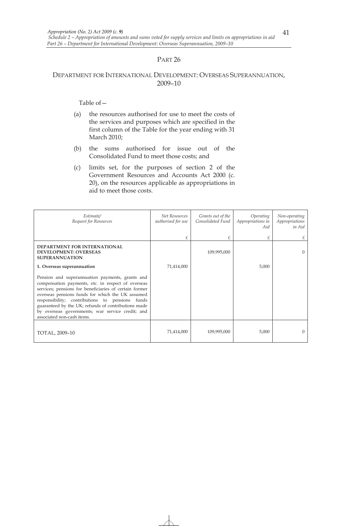# DEPARTMENT FOR INTERNATIONAL DEVELOPMENT: OVERSEAS SUPERANNUATION, 2009–10

- (a) the resources authorised for use to meet the costs of the services and purposes which are specified in the first column of the Table for the year ending with 31 March 2010;
- (b) the sums authorised for issue out of the Consolidated Fund to meet those costs; and
- (c) limits set, for the purposes of section 2 of the Government Resources and Accounts Act 2000 (c. 20), on the resources applicable as appropriations in aid to meet those costs.

| Estimate/<br>Request for Resources                                                                                                                                                                                                                                                                                                                                                                              | Net Resources<br>authorised for use | Grants out of the<br>Consolidated Fund | Operating<br>Appropriations in<br>Aid | Non-operating<br>Appropriations<br>in Aid |
|-----------------------------------------------------------------------------------------------------------------------------------------------------------------------------------------------------------------------------------------------------------------------------------------------------------------------------------------------------------------------------------------------------------------|-------------------------------------|----------------------------------------|---------------------------------------|-------------------------------------------|
|                                                                                                                                                                                                                                                                                                                                                                                                                 |                                     |                                        | £                                     |                                           |
| <b>DEPARTMENT FOR INTERNATIONAL</b><br><b>DEVELOPMENT: OVERSEAS</b><br><b>SUPERANNUATION</b>                                                                                                                                                                                                                                                                                                                    |                                     | 109,995,000                            |                                       | $\Omega$                                  |
| 1. Overseas superannuation                                                                                                                                                                                                                                                                                                                                                                                      | 71,414,000                          |                                        | 5,000                                 |                                           |
| Pension and superannuation payments, grants and<br>compensation payments, etc. in respect of overseas<br>services; pensions for beneficiaries of certain former<br>overseas pensions funds for which the UK assumed<br>responsibility; contributions to pensions funds<br>guaranteed by the UK; refunds of contributions made<br>by overseas governments; war service credit; and<br>associated non-cash items. |                                     |                                        |                                       |                                           |
| TOTAL, 2009-10                                                                                                                                                                                                                                                                                                                                                                                                  | 71,414,000                          | 109,995,000                            | 5,000                                 | $\Omega$                                  |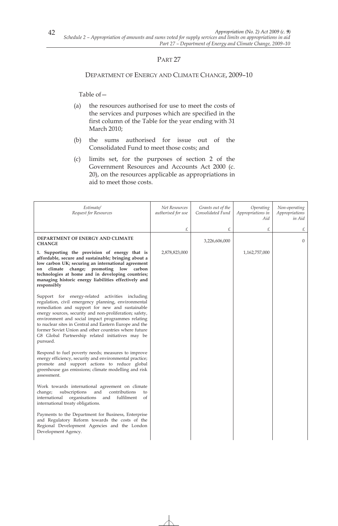## DEPARTMENT OF ENERGY AND CLIMATE CHANGE, 2009–10

- (a) the resources authorised for use to meet the costs of the services and purposes which are specified in the first column of the Table for the year ending with 31 March 2010;
- (b) the sums authorised for issue out of the Consolidated Fund to meet those costs; and
- (c) limits set, for the purposes of section 2 of the Government Resources and Accounts Act 2000 (c. 20), on the resources applicable as appropriations in aid to meet those costs.

| Estimate/<br>Request for Resources                                                                                                                                                                                                                                                                                                                                                                                                                          | Net Resources<br>authorised for use | Grants out of the<br>Consolidated Fund | Operating<br>Appropriations in<br>Aid | Non-operating<br>Appropriations<br>in Aid |
|-------------------------------------------------------------------------------------------------------------------------------------------------------------------------------------------------------------------------------------------------------------------------------------------------------------------------------------------------------------------------------------------------------------------------------------------------------------|-------------------------------------|----------------------------------------|---------------------------------------|-------------------------------------------|
|                                                                                                                                                                                                                                                                                                                                                                                                                                                             | £                                   | £                                      | £                                     | £                                         |
| DEPARTMENT OF ENERGY AND CLIMATE<br><b>CHANGE</b>                                                                                                                                                                                                                                                                                                                                                                                                           |                                     | 3,226,606,000                          |                                       | $\theta$                                  |
| 1. Supporting the provision of energy that is<br>affordable, secure and sustainable; bringing about a<br>low carbon UK; securing an international agreement<br>climate change; promoting low carbon<br>on<br>technologies at home and in developing countries;<br>managing historic energy liabilities effectively and<br>responsibly                                                                                                                       | 2,878,823,000                       |                                        | 1,162,757,000                         |                                           |
| Support for energy-related activities including<br>regulation, civil emergency planning, environmental<br>remediation and support for new and sustainable<br>energy sources, security and non-proliferation; safety,<br>environment and social impact programmes relating<br>to nuclear sites in Central and Eastern Europe and the<br>former Soviet Union and other countries where future<br>G8 Global Partnership related initiatives may be<br>pursued. |                                     |                                        |                                       |                                           |
| Respond to fuel poverty needs; measures to improve<br>energy efficiency, security and environmental practice;<br>promote and support actions to reduce global<br>greenhouse gas emissions; climate modelling and risk<br>assessment.                                                                                                                                                                                                                        |                                     |                                        |                                       |                                           |
| Work towards international agreement on climate<br>subscriptions<br>contributions<br>change;<br>and<br>to<br>international<br>organisations<br>and<br>fulfilment<br>of<br>international treaty obligations.                                                                                                                                                                                                                                                 |                                     |                                        |                                       |                                           |
| Payments to the Department for Business, Enterprise<br>and Regulatory Reform towards the costs of the<br>Regional Development Agencies and the London<br>Development Agency.                                                                                                                                                                                                                                                                                |                                     |                                        |                                       |                                           |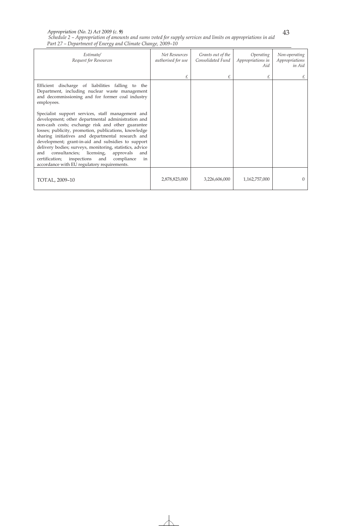#### *Appropriation (No. 2) Act 2009 (c. 9)*

*Schedule 2 – Appropriation of amounts and sums voted for supply services and limits on appropriations in aid Part 27 – Department of Energy and Climate Change, 2009–10* 

| Estimate/<br>Request for Resources                                                                                                                                                                                                                                                                                                                                                                                                                                                                        | Net Resources<br>authorised for use | Grants out of the<br>Consolidated Fund | Operating<br>Appropriations in<br>Aid | Non-operating<br>Appropriations<br>in Aid |
|-----------------------------------------------------------------------------------------------------------------------------------------------------------------------------------------------------------------------------------------------------------------------------------------------------------------------------------------------------------------------------------------------------------------------------------------------------------------------------------------------------------|-------------------------------------|----------------------------------------|---------------------------------------|-------------------------------------------|
|                                                                                                                                                                                                                                                                                                                                                                                                                                                                                                           | £                                   | £                                      | £                                     | £                                         |
| Efficient discharge of liabilities falling to the<br>Department, including nuclear waste management<br>and decommissioning and for former coal industry<br>employees.<br>Specialist support services, staff management and<br>development; other departmental administration and<br>non-cash costs; exchange risk and other guarantee<br>losses; publicity, promotion, publications, knowledge<br>sharing initiatives and departmental research and<br>development; grant-in-aid and subsidies to support |                                     |                                        |                                       |                                           |
| delivery bodies; surveys, monitoring, statistics, advice<br>consultancies; licensing,<br>and<br>approvals<br>and<br>certification; inspections<br>and<br>compliance<br>in<br>accordance with EU regulatory requirements.                                                                                                                                                                                                                                                                                  |                                     |                                        |                                       |                                           |
| TOTAL, 2009-10                                                                                                                                                                                                                                                                                                                                                                                                                                                                                            | 2,878,823,000                       | 3,226,606,000                          | 1,162,757,000                         | $\Omega$                                  |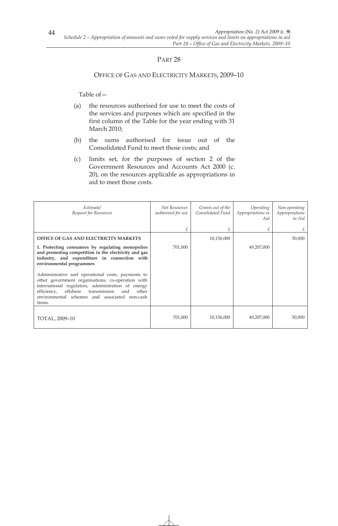### OFFICE OF GAS AND ELECTRICITY MARKETS, 2009–10

- (a) the resources authorised for use to meet the costs of the services and purposes which are specified in the first column of the Table for the year ending with 31 March 2010;
- (b) the sums authorised for issue out of the Consolidated Fund to meet those costs; and
- (c) limits set, for the purposes of section 2 of the Government Resources and Accounts Act 2000 (c. 20), on the resources applicable as appropriations in aid to meet those costs.

| Estimate/<br>Request for Resources                                                                                                                                                                                                                                                 | Net Resources<br>authorised for use | Grants out of the<br>Consolidated Fund | Operating<br>Appropriations in<br>Aid | Non-operating<br>Appropriations<br>in Aid |
|------------------------------------------------------------------------------------------------------------------------------------------------------------------------------------------------------------------------------------------------------------------------------------|-------------------------------------|----------------------------------------|---------------------------------------|-------------------------------------------|
|                                                                                                                                                                                                                                                                                    | £                                   | £                                      | £                                     |                                           |
| <b>OFFICE OF GAS AND ELECTRICITY MARKETS</b>                                                                                                                                                                                                                                       |                                     | 10,156,000                             |                                       | 50,000                                    |
| 1. Protecting consumers by regulating monopolies<br>and promoting competition in the electricity and gas<br>industry, and expenditure in connection with<br>environmental programmes                                                                                               | 701,000                             |                                        | 49,207,000                            |                                           |
| Administrative and operational costs, payments to<br>other government organisations, co-operation with<br>international regulators, administration of energy<br>offshore<br>transmission<br>efficiency,<br>other<br>and<br>environmental schemes and associated non-cash<br>items. |                                     |                                        |                                       |                                           |
| TOTAL, 2009–10                                                                                                                                                                                                                                                                     | 701,000                             | 10,156,000                             | 49,207,000                            | 50,000                                    |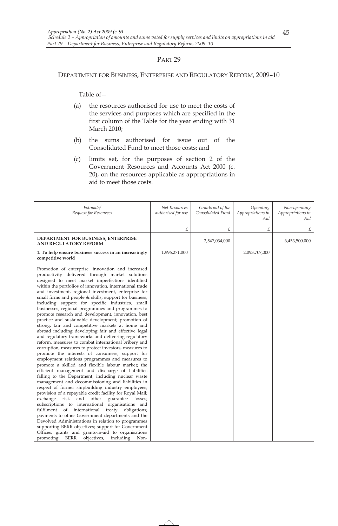#### DEPARTMENT FOR BUSINESS, ENTERPRISE AND REGULATORY REFORM, 2009–10

- (a) the resources authorised for use to meet the costs of the services and purposes which are specified in the first column of the Table for the year ending with 31 March 2010;
- (b) the sums authorised for issue out of the Consolidated Fund to meet those costs; and
- (c) limits set, for the purposes of section 2 of the Government Resources and Accounts Act 2000 (c. 20), on the resources applicable as appropriations in aid to meet those costs.

| Estimate/<br>Request for Resources                                                                                                                                                                                                                                                                                                                                                                                                                                                                                                                                                                                                                                                                                                                                                                                                                                                                                                                                                                                                                                                                                                                                                                                                                                                                                                                                                                                                                                                                                                                                                                                                                                                                                                          | Net Resources<br>authorised for use | Grants out of the<br>Consolidated Fund | Operating<br>Appropriations in<br>Aid | Non-operating<br>Appropriations in<br>Aid |
|---------------------------------------------------------------------------------------------------------------------------------------------------------------------------------------------------------------------------------------------------------------------------------------------------------------------------------------------------------------------------------------------------------------------------------------------------------------------------------------------------------------------------------------------------------------------------------------------------------------------------------------------------------------------------------------------------------------------------------------------------------------------------------------------------------------------------------------------------------------------------------------------------------------------------------------------------------------------------------------------------------------------------------------------------------------------------------------------------------------------------------------------------------------------------------------------------------------------------------------------------------------------------------------------------------------------------------------------------------------------------------------------------------------------------------------------------------------------------------------------------------------------------------------------------------------------------------------------------------------------------------------------------------------------------------------------------------------------------------------------|-------------------------------------|----------------------------------------|---------------------------------------|-------------------------------------------|
|                                                                                                                                                                                                                                                                                                                                                                                                                                                                                                                                                                                                                                                                                                                                                                                                                                                                                                                                                                                                                                                                                                                                                                                                                                                                                                                                                                                                                                                                                                                                                                                                                                                                                                                                             | £                                   | £                                      | £                                     | £                                         |
| DEPARTMENT FOR BUSINESS, ENTERPRISE<br>AND REGULATORY REFORM                                                                                                                                                                                                                                                                                                                                                                                                                                                                                                                                                                                                                                                                                                                                                                                                                                                                                                                                                                                                                                                                                                                                                                                                                                                                                                                                                                                                                                                                                                                                                                                                                                                                                |                                     | 2,547,034,000                          |                                       | 6,453,500,000                             |
| 1. To help ensure business success in an increasingly<br>competitive world                                                                                                                                                                                                                                                                                                                                                                                                                                                                                                                                                                                                                                                                                                                                                                                                                                                                                                                                                                                                                                                                                                                                                                                                                                                                                                                                                                                                                                                                                                                                                                                                                                                                  | 1,996,271,000                       |                                        | 2,093,707,000                         |                                           |
| Promotion of enterprise, innovation and increased<br>productivity delivered through market solutions<br>designed to meet market imperfections identified<br>within the portfolios of innovation, international trade<br>and investment, regional investment, enterprise for<br>small firms and people & skills; support for business,<br>including support for specific industries, small<br>businesses, regional programmes and programmes to<br>promote research and development, innovation, best<br>practice and sustainable development; promotion of<br>strong, fair and competitive markets at home and<br>abroad including developing fair and effective legal<br>and regulatory frameworks and delivering regulatory<br>reform, measures to combat international bribery and<br>corruption, measures to protect investors, measures to<br>promote the interests of consumers, support for<br>employment relations programmes and measures to<br>promote a skilled and flexible labour market; the<br>efficient management and discharge of liabilities<br>falling to the Department, including nuclear waste<br>management and decommissioning and liabilities in<br>respect of former shipbuilding industry employees;<br>provision of a repayable credit facility for Royal Mail;<br>and other<br>exchange risk<br>guarantee losses;<br>subscriptions to international organisations and<br>fulfilment of international<br>treaty<br>obligations;<br>payments to other Government departments and the<br>Devolved Administrations in relation to programmes<br>supporting BERR objectives; support for Government<br>Offices; grants and grants-in-aid to organisations<br>BERR<br>objectives,<br>including<br>Non-<br>promoting |                                     |                                        |                                       |                                           |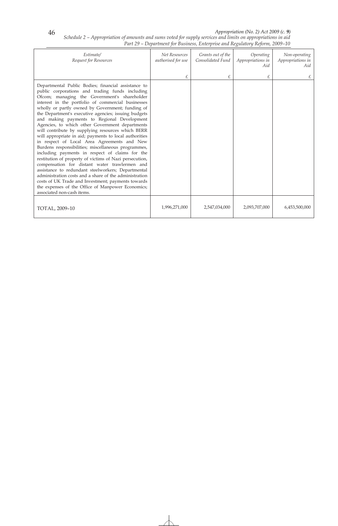#### *Appropriation (No. 2) Act 2009 (c. 9)*

*Schedule 2 – Appropriation of amounts and sums voted for supply services and limits on appropriations in aid Part 29 – Department for Business, Enterprise and Regulatory Reform, 2009–10* 

| Estimate/<br>Request for Resources                                                                                                                                                                                                                                                                                                                                                                                                                                                                                                                                                                                                                                                                                                                                                                                                                                                                                                                                                                                                                                      | Net Resources<br>authorised for use | Grants out of the<br>Consolidated Fund | Operating<br>Appropriations in<br>Aid | Non-operating<br>Appropriations in<br>Aid |
|-------------------------------------------------------------------------------------------------------------------------------------------------------------------------------------------------------------------------------------------------------------------------------------------------------------------------------------------------------------------------------------------------------------------------------------------------------------------------------------------------------------------------------------------------------------------------------------------------------------------------------------------------------------------------------------------------------------------------------------------------------------------------------------------------------------------------------------------------------------------------------------------------------------------------------------------------------------------------------------------------------------------------------------------------------------------------|-------------------------------------|----------------------------------------|---------------------------------------|-------------------------------------------|
|                                                                                                                                                                                                                                                                                                                                                                                                                                                                                                                                                                                                                                                                                                                                                                                                                                                                                                                                                                                                                                                                         | £                                   | £                                      | £                                     |                                           |
| Departmental Public Bodies; financial assistance to<br>public corporations and trading funds including<br>Ofcom; managing the Government's shareholder<br>interest in the portfolio of commercial businesses<br>wholly or partly owned by Government; funding of<br>the Department's executive agencies; issuing budgets<br>and making payments to Regional Development<br>Agencies, to which other Government departments<br>will contribute by supplying resources which BERR<br>will appropriate in aid; payments to local authorities<br>in respect of Local Area Agreements and New<br>Burdens responsibilities; miscellaneous programmes,<br>including payments in respect of claims for the<br>restitution of property of victims of Nazi persecution,<br>compensation for distant water trawlermen and<br>assistance to redundant steelworkers; Departmental<br>administration costs and a share of the administration<br>costs of UK Trade and Investment; payments towards<br>the expenses of the Office of Manpower Economics;<br>associated non-cash items. |                                     |                                        |                                       |                                           |
| TOTAL, 2009-10                                                                                                                                                                                                                                                                                                                                                                                                                                                                                                                                                                                                                                                                                                                                                                                                                                                                                                                                                                                                                                                          | 1,996,271,000                       | 2,547,034,000                          | 2,093,707,000                         | 6,453,500,000                             |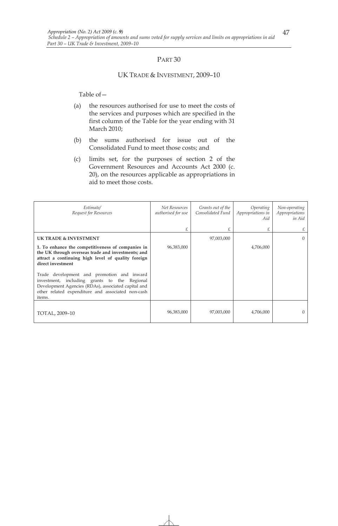#### UK TRADE & INVESTMENT, 2009–10

- (a) the resources authorised for use to meet the costs of the services and purposes which are specified in the first column of the Table for the year ending with 31 March 2010;
- (b) the sums authorised for issue out of the Consolidated Fund to meet those costs; and
- (c) limits set, for the purposes of section 2 of the Government Resources and Accounts Act 2000 (c. 20), on the resources applicable as appropriations in aid to meet those costs.

| Estimate/<br>Request for Resources                                                                                                                                                                               | Net Resources<br>authorised for use | Grants out of the<br>Consolidated Fund | <i>Operating</i><br>Appropriations in<br>Aid | Non-operating<br>Appropriations<br>in Aid |
|------------------------------------------------------------------------------------------------------------------------------------------------------------------------------------------------------------------|-------------------------------------|----------------------------------------|----------------------------------------------|-------------------------------------------|
|                                                                                                                                                                                                                  | £                                   |                                        | £                                            |                                           |
| <b>UK TRADE &amp; INVESTMENT</b>                                                                                                                                                                                 |                                     | 97,003,000                             |                                              |                                           |
| 1. To enhance the competitiveness of companies in<br>the UK through overseas trade and investments; and<br>attract a continuing high level of quality foreign<br>direct investment                               | 96,383,000                          |                                        | 4,706,000                                    |                                           |
| Trade development and promotion and inward<br>investment, including grants to the Regional<br>Development Agencies (RDAs), associated capital and<br>other related expenditure and associated non-cash<br>items. |                                     |                                        |                                              |                                           |
| TOTAL, 2009-10                                                                                                                                                                                                   | 96,383,000                          | 97,003,000                             | 4,706,000                                    |                                           |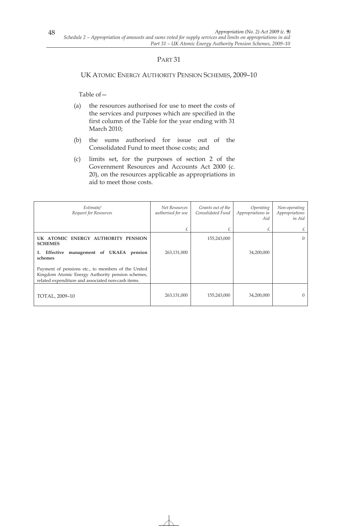## UK ATOMIC ENERGY AUTHORITY PENSION SCHEMES, 2009–10

- (a) the resources authorised for use to meet the costs of the services and purposes which are specified in the first column of the Table for the year ending with 31 March 2010;
- (b) the sums authorised for issue out of the Consolidated Fund to meet those costs; and
- (c) limits set, for the purposes of section 2 of the Government Resources and Accounts Act 2000 (c. 20), on the resources applicable as appropriations in aid to meet those costs.

| Estimate/<br>Request for Resources                                                                                                                           | Net Resources<br>authorised for use | Grants out of the<br>Consolidated Fund | Operating<br>Appropriations in<br>Aid | Non-operating<br>Appropriations<br>in Aid |
|--------------------------------------------------------------------------------------------------------------------------------------------------------------|-------------------------------------|----------------------------------------|---------------------------------------|-------------------------------------------|
|                                                                                                                                                              |                                     |                                        | £                                     | £                                         |
| UK ATOMIC ENERGY AUTHORITY PENSION<br><b>SCHEMES</b>                                                                                                         |                                     | 155,243,000                            |                                       | $\Omega$                                  |
| management of UKAEA pension<br>Effective<br>1.<br>schemes                                                                                                    | 263,131,000                         |                                        | 34,200,000                            |                                           |
| Payment of pensions etc., to members of the United<br>Kingdom Atomic Energy Authority pension schemes,<br>related expenditure and associated non-cash items. |                                     |                                        |                                       |                                           |
| TOTAL, 2009-10                                                                                                                                               | 263,131,000                         | 155,243,000                            | 34,200,000                            | $\Omega$                                  |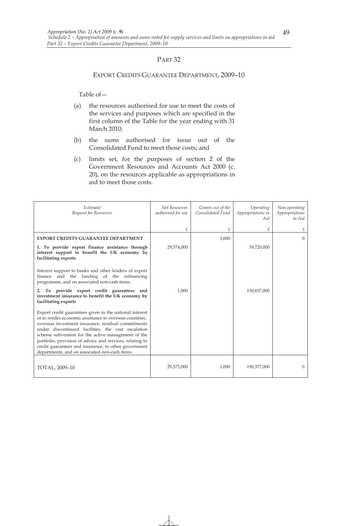#### EXPORT CREDITS GUARANTEE DEPARTMENT, 2009–10

- (a) the resources authorised for use to meet the costs of the services and purposes which are specified in the first column of the Table for the year ending with 31 March 2010;
- (b) the sums authorised for issue out of the Consolidated Fund to meet those costs; and
- (c) limits set, for the purposes of section 2 of the Government Resources and Accounts Act 2000 (c. 20), on the resources applicable as appropriations in aid to meet those costs.

| Estimate/<br>Request for Resources                                                                                                                                                                                                                                                                                                                                                                                                                          | Net Resources<br>authorised for use | Grants out of the<br>Consolidated Fund | Operating<br>Appropriations in<br>Aid | Non-operating<br>Appropriations<br>in Aid |
|-------------------------------------------------------------------------------------------------------------------------------------------------------------------------------------------------------------------------------------------------------------------------------------------------------------------------------------------------------------------------------------------------------------------------------------------------------------|-------------------------------------|----------------------------------------|---------------------------------------|-------------------------------------------|
|                                                                                                                                                                                                                                                                                                                                                                                                                                                             | £.                                  | £                                      | £                                     | £                                         |
| <b>EXPORT CREDITS GUARANTEE DEPARTMENT</b>                                                                                                                                                                                                                                                                                                                                                                                                                  |                                     | 1,000                                  |                                       | $\Omega$                                  |
| 1. To provide export finance assistance through<br>interest support to benefit the UK economy by<br>facilitating exports                                                                                                                                                                                                                                                                                                                                    | 29,574,000                          |                                        | 39,720,000                            |                                           |
| Interest support to banks and other lenders of export<br>finance and the funding of the refinancing<br>programme, and on associated non-cash items.                                                                                                                                                                                                                                                                                                         |                                     |                                        |                                       |                                           |
| 2. To provide export credit guarantees and<br>investment insurance to benefit the UK economy by<br>facilitating exports                                                                                                                                                                                                                                                                                                                                     | 1,000                               |                                        | 150,657,000                           |                                           |
| Export credit guarantees given in the national interest<br>or to render economic assistance to overseas countries,<br>overseas investment insurance, residual commitments<br>under discontinued facilities, the cost escalation<br>scheme subvention for the active management of the<br>portfolio; provision of advice and services, relating to<br>credit guarantees and insurance, to other government<br>departments, and on associated non-cash items. |                                     |                                        |                                       |                                           |
| TOTAL, 2009-10                                                                                                                                                                                                                                                                                                                                                                                                                                              | 29,575,000                          | 1,000                                  | 190,377,000                           | $\overline{0}$                            |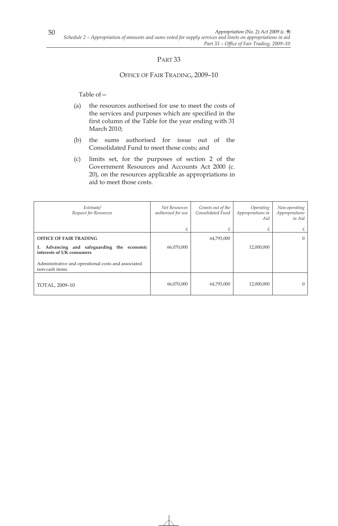### OFFICE OF FAIR TRADING, 2009–10

- (a) the resources authorised for use to meet the costs of the services and purposes which are specified in the first column of the Table for the year ending with 31 March 2010;
- (b) the sums authorised for issue out of the Consolidated Fund to meet those costs; and
- (c) limits set, for the purposes of section 2 of the Government Resources and Accounts Act 2000 (c. 20), on the resources applicable as appropriations in aid to meet those costs.

| Estimate/<br>Request for Resources                                         | Net Resources<br>authorised for use | Grants out of the<br>Consolidated Fund | Operating<br>Appropriations in<br>Aid | Non-operating<br>Appropriations<br>in Aid |
|----------------------------------------------------------------------------|-------------------------------------|----------------------------------------|---------------------------------------|-------------------------------------------|
|                                                                            |                                     |                                        | £                                     | £                                         |
| <b>OFFICE OF FAIR TRADING</b>                                              |                                     | 64,793,000                             |                                       | $\Omega$                                  |
| Advancing and safeguarding the economic<br>1.<br>interests of UK consumers | 66,070,000                          |                                        | 12,000,000                            |                                           |
| Administrative and operational costs and associated<br>non-cash items.     |                                     |                                        |                                       |                                           |
| TOTAL, 2009-10                                                             | 66,070,000                          | 64,793,000                             | 12,000,000                            | $\Omega$                                  |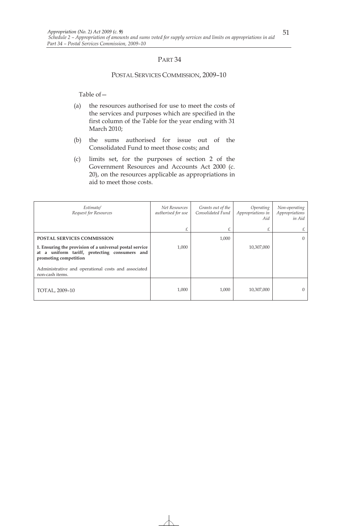#### POSTAL SERVICES COMMISSION, 2009–10

- (a) the resources authorised for use to meet the costs of the services and purposes which are specified in the first column of the Table for the year ending with 31 March 2010;
- (b) the sums authorised for issue out of the Consolidated Fund to meet those costs; and
- (c) limits set, for the purposes of section 2 of the Government Resources and Accounts Act 2000 (c. 20), on the resources applicable as appropriations in aid to meet those costs.

| Estimate/<br>Request for Resources                                                                                                   | Net Resources<br>authorised for use | Grants out of the<br>Consolidated Fund | Operating<br>Appropriations in<br>Aid | Non-operating<br>Appropriations<br>in Aid |
|--------------------------------------------------------------------------------------------------------------------------------------|-------------------------------------|----------------------------------------|---------------------------------------|-------------------------------------------|
|                                                                                                                                      | £                                   |                                        | £                                     | £                                         |
| <b>POSTAL SERVICES COMMISSION</b>                                                                                                    |                                     | 1,000                                  |                                       | $\overline{0}$                            |
| 1. Ensuring the provision of a universal postal service<br>a uniform tariff, protecting consumers and<br>at<br>promoting competition | 1,000                               |                                        | 10,307,000                            |                                           |
| Administrative and operational costs and associated<br>non-cash items.                                                               |                                     |                                        |                                       |                                           |
| TOTAL, 2009-10                                                                                                                       | 1,000                               | 1,000                                  | 10,307,000                            | $\Omega$                                  |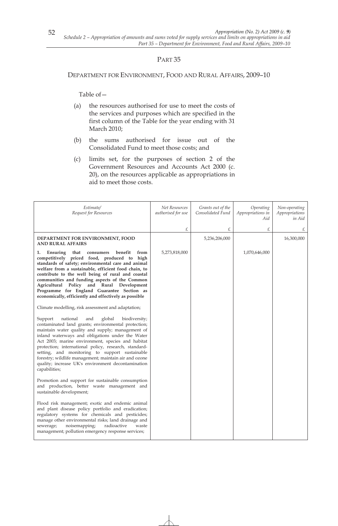#### DEPARTMENT FOR ENVIRONMENT, FOOD AND RURAL AFFAIRS, 2009–10

- (a) the resources authorised for use to meet the costs of the services and purposes which are specified in the first column of the Table for the year ending with 31 March 2010;
- (b) the sums authorised for issue out of the Consolidated Fund to meet those costs; and
- (c) limits set, for the purposes of section 2 of the Government Resources and Accounts Act 2000 (c. 20), on the resources applicable as appropriations in aid to meet those costs.

| Estimate/<br>Request for Resources                                                                                                                                                                                                                                                                                                                                                                                                                                                                                   | Net Resources<br>authorised for use<br>£ | Grants out of the<br>Consolidated Fund<br>£ | Operating<br>Appropriations in<br>Aid<br>£ | Non-operating<br>Appropriations<br>in Aid<br>£ |
|----------------------------------------------------------------------------------------------------------------------------------------------------------------------------------------------------------------------------------------------------------------------------------------------------------------------------------------------------------------------------------------------------------------------------------------------------------------------------------------------------------------------|------------------------------------------|---------------------------------------------|--------------------------------------------|------------------------------------------------|
| DEPARTMENT FOR ENVIRONMENT, FOOD<br><b>AND RURAL AFFAIRS</b>                                                                                                                                                                                                                                                                                                                                                                                                                                                         |                                          | 5,236,206,000                               |                                            | 16,300,000                                     |
| benefit<br>Ensuring<br>from<br>that<br>consumers<br>1.<br>competitively priced food, produced to high<br>standards of safety; environmental care and animal<br>welfare from a sustainable, efficient food chain, to<br>contribute to the well being of rural and coastal<br>communities and funding aspects of the Common<br>Agricultural Policy and Rural Development<br>Programme for England Guarantee Section as<br>economically, efficiently and effectively as possible                                        | 5,273,818,000                            |                                             | 1,070,646,000                              |                                                |
| Climate modelling, risk assessment and adaptation;                                                                                                                                                                                                                                                                                                                                                                                                                                                                   |                                          |                                             |                                            |                                                |
| global<br>Support<br>national<br>and<br>biodiversity;<br>contaminated land grants; environmental protection;<br>maintain water quality and supply; management of<br>inland waterways and obligations under the Water<br>Act 2003; marine environment, species and habitat<br>protection; international policy, research, standard-<br>setting, and monitoring to support sustainable<br>forestry; wildlife management; maintain air and ozone<br>quality; increase UK's environment decontamination<br>capabilities; |                                          |                                             |                                            |                                                |
| Promotion and support for sustainable consumption<br>and production, better waste management and<br>sustainable development;                                                                                                                                                                                                                                                                                                                                                                                         |                                          |                                             |                                            |                                                |
| Flood risk management; exotic and endemic animal<br>and plant disease policy portfolio and eradication;<br>regulatory systems for chemicals and pesticides;<br>manage other environmental risks; land drainage and<br>noisemapping;<br>radioactive<br>sewerage;<br>waste<br>management; pollution emergency response services;                                                                                                                                                                                       |                                          |                                             |                                            |                                                |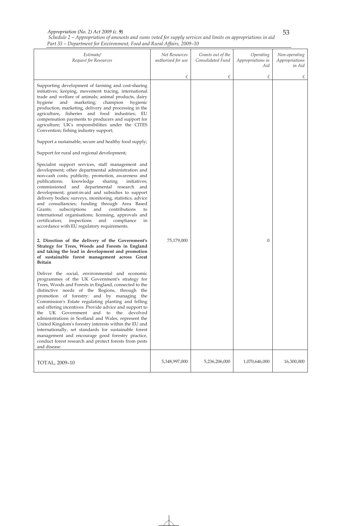*Appropriation (No. 2) Act 2009 (c. 9)* 

|  |  |  |                                                                       | Schedule 2 – Appropriation of amounts and sums voted for supply services and limits on appropriations in aid |  |
|--|--|--|-----------------------------------------------------------------------|--------------------------------------------------------------------------------------------------------------|--|
|  |  |  |                                                                       |                                                                                                              |  |
|  |  |  | Part 35 – Department for Environment, Food and Rural Affairs, 2009–10 |                                                                                                              |  |
|  |  |  |                                                                       |                                                                                                              |  |

| Estimate/<br>Request for Resources                                                                                                                                                                                                                                                                                                                                                                                                                                                                                                                                                                                                                                                                                                                                     | Net Resources<br>authorised for use | Grants out of the<br>Consolidated Fund | Operating<br>Appropriations in<br>Aid | Non-operating<br>Appropriations<br>in Aid |
|------------------------------------------------------------------------------------------------------------------------------------------------------------------------------------------------------------------------------------------------------------------------------------------------------------------------------------------------------------------------------------------------------------------------------------------------------------------------------------------------------------------------------------------------------------------------------------------------------------------------------------------------------------------------------------------------------------------------------------------------------------------------|-------------------------------------|----------------------------------------|---------------------------------------|-------------------------------------------|
| Supporting development of farming and cost-sharing<br>initiatives; keeping, movement tracing, international<br>trade and welfare of animals; animal products, dairy<br>hygiene<br>and<br>marketing;<br>champion<br>hygienic<br>production, marketing, delivery and processing in the<br>agriculture, fisheries and food industries; EU<br>compensation payments to producers and support for<br>agriculture; UK's responsibilities under the CITES<br>Convention; fishing industry support;<br>Support a sustainable, secure and healthy food supply;<br>Support for rural and regional development;<br>Specialist support services, staff management and<br>development; other departmental administration and<br>non-cash costs; publicity, promotion, awareness and | £                                   | £                                      | £                                     | £                                         |
| publications;<br>knowledge<br>sharing<br>initiatives;<br>and departmental research and<br>commissioned<br>development; grant-in-aid and subsidies to support<br>delivery bodies; surveys, monitoring, statistics, advice<br>and consultancies; funding through Area Based<br>subscriptions<br>and<br>contributions<br>Grants;<br>to<br>international organisations; licensing, approvals and<br>inspections<br>and<br>certification;<br>compliance<br>in<br>accordance with EU regulatory requirements.<br>2. Direction of the delivery of the Government's<br>Strategy for Trees, Woods and Forests in England<br>and taking the lead in development and promotion<br>of sustainable forest management across Great                                                   | 75,179,000                          |                                        | 0                                     |                                           |
| <b>Britain</b><br>Deliver the social, environmental and economic<br>programmes of the UK Government's strategy for<br>Trees, Woods and Forests in England, connected to the<br>distinctive needs of the Regions, through the<br>promotion of forestry: and by managing the<br>Commission's Estate regulating planting and felling<br>and offering incentives. Provide advice and support to<br>UK Government and<br>to the devolved<br>the<br>administrations in Scotland and Wales, represent the<br>United Kingdom's forestry interests within the EU and<br>internationally, set standards for sustainable forest<br>management and encourage good forestry practice,<br>conduct forest research and protect forests from pests<br>and disease.                     |                                     |                                        |                                       |                                           |
| TOTAL, 2009-10                                                                                                                                                                                                                                                                                                                                                                                                                                                                                                                                                                                                                                                                                                                                                         | 5,348,997,000                       | 5,236,206,000                          | 1,070,646,000                         | 16,300,000                                |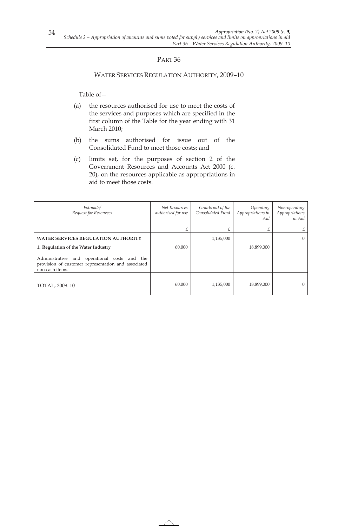### WATER SERVICES REGULATION AUTHORITY, 2009–10

- (a) the resources authorised for use to meet the costs of the services and purposes which are specified in the first column of the Table for the year ending with 31 March 2010;
- (b) the sums authorised for issue out of the Consolidated Fund to meet those costs; and
- (c) limits set, for the purposes of section 2 of the Government Resources and Accounts Act 2000 (c. 20), on the resources applicable as appropriations in aid to meet those costs.

| Estimate/<br>Request for Resources                                                                                     | Net Resources<br>authorised for use | Grants out of the<br>Consolidated Fund | Operating<br>Appropriations in<br>Aid | Non-operating<br>Appropriations<br>in Aid |
|------------------------------------------------------------------------------------------------------------------------|-------------------------------------|----------------------------------------|---------------------------------------|-------------------------------------------|
|                                                                                                                        |                                     |                                        | £                                     | £                                         |
| <b>WATER SERVICES REGULATION AUTHORITY</b>                                                                             |                                     | 1,135,000                              |                                       | $\overline{0}$                            |
| 1. Regulation of the Water Industry                                                                                    | 60,000                              |                                        | 18,899,000                            |                                           |
| Administrative and operational costs and the<br>provision of customer representation and associated<br>non-cash items. |                                     |                                        |                                       |                                           |
| TOTAL, 2009-10                                                                                                         | 60,000                              | 1,135,000                              | 18,899,000                            | $\Omega$                                  |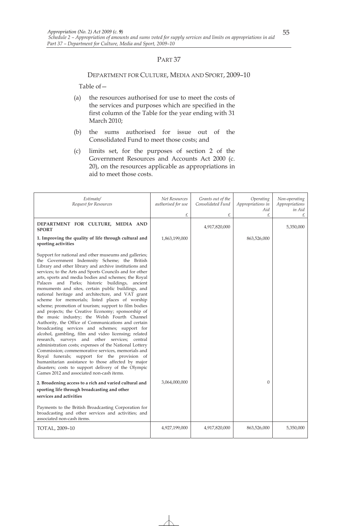#### DEPARTMENT FOR CULTURE, MEDIA AND SPORT, 2009–10

- (a) the resources authorised for use to meet the costs of the services and purposes which are specified in the first column of the Table for the year ending with 31 March 2010;
- (b) the sums authorised for issue out of the Consolidated Fund to meet those costs; and
- (c) limits set, for the purposes of section 2 of the Government Resources and Accounts Act 2000 (c. 20), on the resources applicable as appropriations in aid to meet those costs.

| Estimate/<br>Request for Resources                                                                                                                                                                                                                                                                                                                                                                                                                                                                                                                                                                                                                                                                                                                                                                                                                                                                                                                                                                                                                                                                                                                                                                                                                                                                                                              | Net Resources<br>authorised for use<br>£ | Grants out of the<br>Consolidated Fund<br>£ | Operating<br>Appropriations in<br>Aid<br>£ | Non-operating<br>Appropriations<br>in Aid<br>£ |
|-------------------------------------------------------------------------------------------------------------------------------------------------------------------------------------------------------------------------------------------------------------------------------------------------------------------------------------------------------------------------------------------------------------------------------------------------------------------------------------------------------------------------------------------------------------------------------------------------------------------------------------------------------------------------------------------------------------------------------------------------------------------------------------------------------------------------------------------------------------------------------------------------------------------------------------------------------------------------------------------------------------------------------------------------------------------------------------------------------------------------------------------------------------------------------------------------------------------------------------------------------------------------------------------------------------------------------------------------|------------------------------------------|---------------------------------------------|--------------------------------------------|------------------------------------------------|
| DEPARTMENT FOR CULTURE, MEDIA AND<br><b>SPORT</b>                                                                                                                                                                                                                                                                                                                                                                                                                                                                                                                                                                                                                                                                                                                                                                                                                                                                                                                                                                                                                                                                                                                                                                                                                                                                                               |                                          | 4,917,820,000                               |                                            | 5,350,000                                      |
| 1. Improving the quality of life through cultural and<br>sporting activities                                                                                                                                                                                                                                                                                                                                                                                                                                                                                                                                                                                                                                                                                                                                                                                                                                                                                                                                                                                                                                                                                                                                                                                                                                                                    | 1,863,199,000                            |                                             | 863,526,000                                |                                                |
| Support for national and other museums and galleries;<br>the Government Indemnity Scheme; the British<br>Library and other library and archive institutions and<br>services; to the Arts and Sports Councils and for other<br>arts, sports and media bodies and schemes; the Royal<br>Palaces and Parks; historic buildings, ancient<br>monuments and sites, certain public buildings, and<br>national heritage and architecture, and VAT grant<br>scheme for memorials; listed places of worship<br>scheme; promotion of tourism; support to film bodies<br>and projects; the Creative Economy; sponsorship of<br>the music industry; the Welsh Fourth Channel<br>Authority, the Office of Communications and certain<br>broadcasting services and schemes; support for<br>alcohol, gambling, film and video licensing; related<br>research, surveys and other services; central<br>administration costs; expenses of the National Lottery<br>Commission; commemorative services, memorials and<br>Royal funerals; support for the provision of<br>humanitarian assistance to those affected by major<br>disasters; costs to support delivery of the Olympic<br>Games 2012 and associated non-cash items.<br>2. Broadening access to a rich and varied cultural and<br>sporting life through broadcasting and other<br>services and activities | 3,064,000,000                            |                                             | $\theta$                                   |                                                |
| Payments to the British Broadcasting Corporation for<br>broadcasting and other services and activities; and<br>associated non-cash items.                                                                                                                                                                                                                                                                                                                                                                                                                                                                                                                                                                                                                                                                                                                                                                                                                                                                                                                                                                                                                                                                                                                                                                                                       |                                          |                                             |                                            |                                                |
| TOTAL, 2009-10                                                                                                                                                                                                                                                                                                                                                                                                                                                                                                                                                                                                                                                                                                                                                                                                                                                                                                                                                                                                                                                                                                                                                                                                                                                                                                                                  | 4,927,199,000                            | 4,917,820,000                               | 863,526,000                                | 5,350,000                                      |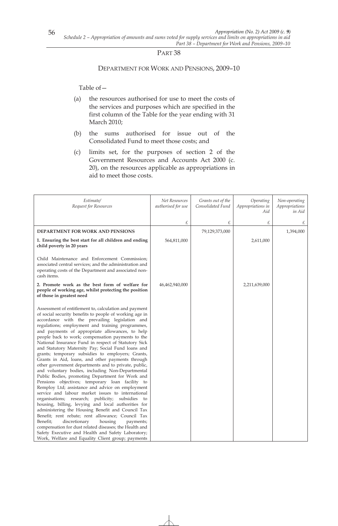### DEPARTMENT FOR WORK AND PENSIONS, 2009–10

- (a) the resources authorised for use to meet the costs of the services and purposes which are specified in the first column of the Table for the year ending with 31 March 2010;
- (b) the sums authorised for issue out of the Consolidated Fund to meet those costs; and
- (c) limits set, for the purposes of section 2 of the Government Resources and Accounts Act 2000 (c. 20), on the resources applicable as appropriations in aid to meet those costs.

| Estimate/<br>Request for Resources                                                                                                                                                                                                                                                                                                                                                                                                                                                                                                                                                                                                                                                                                                                                                                                                                                                                                                                                                                                                                                                                                                                                                                                                                                                                                                  | Net Resources<br>authorised for use | Grants out of the<br>Consolidated Fund | Operating<br>Appropriations in<br>Aid | Non-operating<br>Appropriations<br>in Aid |
|-------------------------------------------------------------------------------------------------------------------------------------------------------------------------------------------------------------------------------------------------------------------------------------------------------------------------------------------------------------------------------------------------------------------------------------------------------------------------------------------------------------------------------------------------------------------------------------------------------------------------------------------------------------------------------------------------------------------------------------------------------------------------------------------------------------------------------------------------------------------------------------------------------------------------------------------------------------------------------------------------------------------------------------------------------------------------------------------------------------------------------------------------------------------------------------------------------------------------------------------------------------------------------------------------------------------------------------|-------------------------------------|----------------------------------------|---------------------------------------|-------------------------------------------|
|                                                                                                                                                                                                                                                                                                                                                                                                                                                                                                                                                                                                                                                                                                                                                                                                                                                                                                                                                                                                                                                                                                                                                                                                                                                                                                                                     | £                                   | £                                      | £                                     | £                                         |
| <b>DEPARTMENT FOR WORK AND PENSIONS</b>                                                                                                                                                                                                                                                                                                                                                                                                                                                                                                                                                                                                                                                                                                                                                                                                                                                                                                                                                                                                                                                                                                                                                                                                                                                                                             |                                     | 79,129,373,000                         |                                       | 1,394,000                                 |
| 1. Ensuring the best start for all children and ending<br>child poverty in 20 years                                                                                                                                                                                                                                                                                                                                                                                                                                                                                                                                                                                                                                                                                                                                                                                                                                                                                                                                                                                                                                                                                                                                                                                                                                                 | 564,811,000                         |                                        | 2,611,000                             |                                           |
| Child Maintenance and Enforcement Commission;<br>associated central services; and the administration and<br>operating costs of the Department and associated non-<br>cash items.                                                                                                                                                                                                                                                                                                                                                                                                                                                                                                                                                                                                                                                                                                                                                                                                                                                                                                                                                                                                                                                                                                                                                    |                                     |                                        |                                       |                                           |
| 2. Promote work as the best form of welfare for<br>people of working age, whilst protecting the position<br>of those in greatest need                                                                                                                                                                                                                                                                                                                                                                                                                                                                                                                                                                                                                                                                                                                                                                                                                                                                                                                                                                                                                                                                                                                                                                                               | 46,462,940,000                      |                                        | 2,211,639,000                         |                                           |
| Assessment of entitlement to, calculation and payment<br>of social security benefits to people of working age in<br>accordance with the prevailing legislation and<br>regulations; employment and training programmes,<br>and payments of appropriate allowances, to help<br>people back to work; compensation payments to the<br>National Insurance Fund in respect of Statutory Sick<br>and Statutory Maternity Pay; Social Fund loans and<br>grants; temporary subsidies to employers; Grants,<br>Grants in Aid, loans, and other payments through<br>other government departments and to private, public,<br>and voluntary bodies, including Non-Departmental<br>Public Bodies, promoting Department for Work and<br>Pensions objectives; temporary loan facility to<br>Remploy Ltd; assistance and advice on employment<br>service and labour market issues to international<br>organisations; research; publicity; subsidies<br>to<br>housing, billing, levying and local authorities for<br>administering the Housing Benefit and Council Tax<br>Benefit; rent rebate; rent allowance; Council Tax<br>Benefit;<br>discretionary<br>housing<br>payments;<br>compensation for dust related diseases; the Health and<br>Safety Executive and Health and Safety Laboratory;<br>Work, Welfare and Equality Client group; payments |                                     |                                        |                                       |                                           |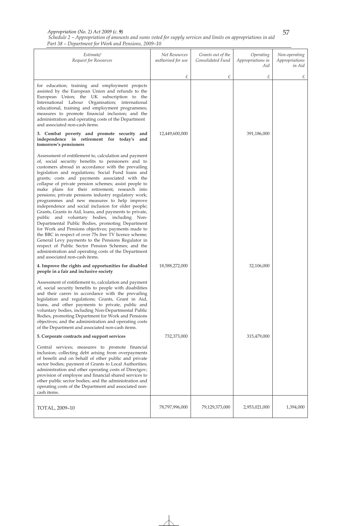#### *Schedule 2 – Appropriation of amounts and sums voted for supply services and limits on appropriations in aid Part 38 – Department for Work and Pensions, 2009–10 Appropriation (No. 2) Act 2009 (c. 9)*

| Estimate/<br>Request for Resources                                                                                                                                                                                                                                                                                                                                                                                                                                                                                                                                                                                                                                                                                                                                                                                                                                                                                                                                                                                                  | Net Resources<br>authorised for use | Grants out of the<br>Consolidated Fund | Operating<br>Appropriations in<br>Aid | Non-operating<br>Appropriations<br>in Aid |
|-------------------------------------------------------------------------------------------------------------------------------------------------------------------------------------------------------------------------------------------------------------------------------------------------------------------------------------------------------------------------------------------------------------------------------------------------------------------------------------------------------------------------------------------------------------------------------------------------------------------------------------------------------------------------------------------------------------------------------------------------------------------------------------------------------------------------------------------------------------------------------------------------------------------------------------------------------------------------------------------------------------------------------------|-------------------------------------|----------------------------------------|---------------------------------------|-------------------------------------------|
|                                                                                                                                                                                                                                                                                                                                                                                                                                                                                                                                                                                                                                                                                                                                                                                                                                                                                                                                                                                                                                     | £                                   | £                                      | £                                     | £                                         |
| for education; training and employment projects<br>assisted by the European Union and refunds to the<br>European Union; the UK subscription to the<br>International Labour Organisation; international<br>educational, training and employment programmes;<br>measures to promote financial inclusion; and the<br>administration and operating costs of the Department<br>and associated non-cash items.                                                                                                                                                                                                                                                                                                                                                                                                                                                                                                                                                                                                                            |                                     |                                        |                                       |                                           |
| 3. Combat poverty and promote security and<br>independence in retirement for today's and<br>tomorrow's pensioners                                                                                                                                                                                                                                                                                                                                                                                                                                                                                                                                                                                                                                                                                                                                                                                                                                                                                                                   | 12,449,600,000                      |                                        | 391,186,000                           |                                           |
| Assessment of entitlement to, calculation and payment<br>of, social security benefits to pensioners and to<br>customers abroad in accordance with the prevailing<br>legislation and regulations; Social Fund loans and<br>grants; costs and payments associated with the<br>collapse of private pension schemes; assist people to<br>make plans for their retirement; research into<br>pensions; private pensions industry regulatory work;<br>programmes and new measures to help improve<br>independence and social inclusion for older people;<br>Grants, Grants in Aid, loans, and payments to private,<br>public and voluntary bodies, including Non-<br>Departmental Public Bodies, promoting Department<br>for Work and Pensions objectives; payments made to<br>the BBC in respect of over 75s free TV licence scheme;<br>General Levy payments to the Pensions Regulator in<br>respect of Public Sector Pension Schemes; and the<br>administration and operating costs of the Department<br>and associated non-cash items. |                                     |                                        |                                       |                                           |
| 4. Improve the rights and opportunities for disabled<br>people in a fair and inclusive society                                                                                                                                                                                                                                                                                                                                                                                                                                                                                                                                                                                                                                                                                                                                                                                                                                                                                                                                      | 18,588,272,000                      |                                        | 32,106,000                            |                                           |
| Assessment of entitlement to, calculation and payment<br>of, social security benefits to people with disabilities<br>and their carers in accordance with the prevailing<br>legislation and regulations; Grants, Grant in Aid,<br>loans, and other payments to private, public and<br>voluntary bodies, including Non-Departmental Public<br>Bodies, promoting Department for Work and Pensions<br>objectives; and the administration and operating costs<br>of the Department and associated non-cash items.                                                                                                                                                                                                                                                                                                                                                                                                                                                                                                                        |                                     |                                        |                                       |                                           |
| 5. Corporate contracts and support services                                                                                                                                                                                                                                                                                                                                                                                                                                                                                                                                                                                                                                                                                                                                                                                                                                                                                                                                                                                         | 732,373,000                         |                                        | 315,479,000                           |                                           |
| Central services; measures to promote financial<br>inclusion; collecting debt arising from overpayments<br>of benefit and on behalf of other public and private<br>sector bodies; payment of Grants to Local Authorities;<br>administration and other operating costs of Directgov;<br>provision of employee and financial shared services to<br>other public sector bodies; and the administration and<br>operating costs of the Department and associated non-<br>cash items.                                                                                                                                                                                                                                                                                                                                                                                                                                                                                                                                                     |                                     |                                        |                                       |                                           |
| TOTAL, 2009-10                                                                                                                                                                                                                                                                                                                                                                                                                                                                                                                                                                                                                                                                                                                                                                                                                                                                                                                                                                                                                      | 78,797,996,000                      | 79,129,373,000                         | 2,953,021,000                         | 1,394,000                                 |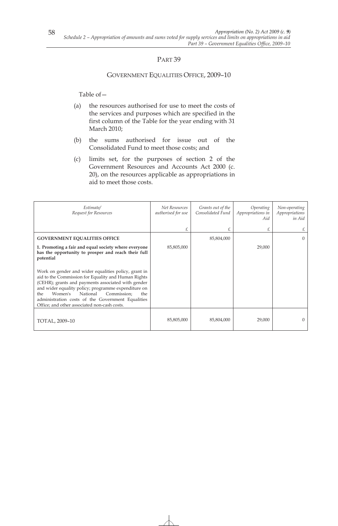### GOVERNMENT EQUALITIES OFFICE, 2009–10

- (a) the resources authorised for use to meet the costs of the services and purposes which are specified in the first column of the Table for the year ending with 31 March 2010;
- (b) the sums authorised for issue out of the Consolidated Fund to meet those costs; and
- (c) limits set, for the purposes of section 2 of the Government Resources and Accounts Act 2000 (c. 20), on the resources applicable as appropriations in aid to meet those costs.

| Estimate/<br>Request for Resources                                                                                                                                                                                                                                                                                                                                                | Net Resources<br>authorised for use | Grants out of the<br>Consolidated Fund | Operating<br>Appropriations in<br>Aid | Non-operating<br>Appropriations<br>in Aid |
|-----------------------------------------------------------------------------------------------------------------------------------------------------------------------------------------------------------------------------------------------------------------------------------------------------------------------------------------------------------------------------------|-------------------------------------|----------------------------------------|---------------------------------------|-------------------------------------------|
|                                                                                                                                                                                                                                                                                                                                                                                   | £                                   | £                                      | £                                     |                                           |
| <b>GOVERNMENT EQUALITIES OFFICE</b>                                                                                                                                                                                                                                                                                                                                               |                                     | 85,804,000                             |                                       | $\Omega$                                  |
| 1. Promoting a fair and equal society where everyone<br>has the opportunity to prosper and reach their full<br>potential                                                                                                                                                                                                                                                          | 85,805,000                          |                                        | 29,000                                |                                           |
| Work on gender and wider equalities policy, grant in<br>aid to the Commission for Equality and Human Rights<br>(CEHR); grants and payments associated with gender<br>and wider equality policy; programme expenditure on<br>Women's<br>National<br>Commission:<br>the<br>the<br>administration costs of the Government Equalities<br>Office; and other associated non-cash costs. |                                     |                                        |                                       |                                           |
| TOTAL, 2009-10                                                                                                                                                                                                                                                                                                                                                                    | 85,805,000                          | 85,804,000                             | 29,000                                |                                           |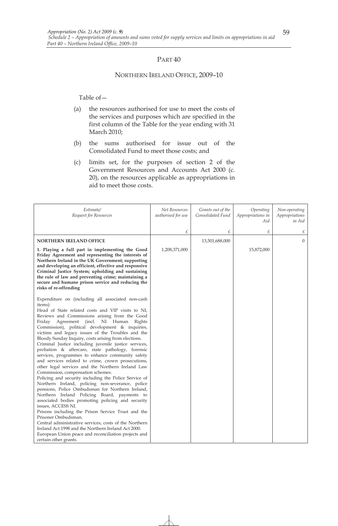#### NORTHERN IRELAND OFFICE, 2009–10

- (a) the resources authorised for use to meet the costs of the services and purposes which are specified in the first column of the Table for the year ending with 31 March 2010;
- (b) the sums authorised for issue out of the Consolidated Fund to meet those costs; and
- (c) limits set, for the purposes of section 2 of the Government Resources and Accounts Act 2000 (c. 20), on the resources applicable as appropriations in aid to meet those costs.

| Estimate/<br>Request for Resources                                                                                                                                                                                                                                                                                                                                                                                                                                                                                                                                                                                                                                                                                                                                                                                                                                                                                                                                                                                                                                                                                                                                                                                                                                           | Net Resources<br>authorised for use | Grants out of the<br>Consolidated Fund | Operating<br>Appropriations in<br>Aid | Non-operating<br>Appropriations<br>in Aid |
|------------------------------------------------------------------------------------------------------------------------------------------------------------------------------------------------------------------------------------------------------------------------------------------------------------------------------------------------------------------------------------------------------------------------------------------------------------------------------------------------------------------------------------------------------------------------------------------------------------------------------------------------------------------------------------------------------------------------------------------------------------------------------------------------------------------------------------------------------------------------------------------------------------------------------------------------------------------------------------------------------------------------------------------------------------------------------------------------------------------------------------------------------------------------------------------------------------------------------------------------------------------------------|-------------------------------------|----------------------------------------|---------------------------------------|-------------------------------------------|
|                                                                                                                                                                                                                                                                                                                                                                                                                                                                                                                                                                                                                                                                                                                                                                                                                                                                                                                                                                                                                                                                                                                                                                                                                                                                              | £                                   | £                                      | £                                     | £                                         |
| <b>NORTHERN IRELAND OFFICE</b>                                                                                                                                                                                                                                                                                                                                                                                                                                                                                                                                                                                                                                                                                                                                                                                                                                                                                                                                                                                                                                                                                                                                                                                                                                               |                                     | 13,501,688,000                         |                                       | $\overline{0}$                            |
| 1. Playing a full part in implementing the Good<br>Friday Agreement and representing the interests of<br>Northern Ireland in the UK Government; supporting<br>and developing an efficient, effective and responsive<br>Criminal Justice System; upholding and sustaining<br>the rule of law and preventing crime; maintaining a<br>secure and humane prison service and reducing the<br>risks of re-offending                                                                                                                                                                                                                                                                                                                                                                                                                                                                                                                                                                                                                                                                                                                                                                                                                                                                | 1,208,371,000                       |                                        | 15,872,000                            |                                           |
| Expenditure on (including all associated non-cash<br>items):<br>Head of State related costs and VIP visits to NI,<br>Reviews and Commissions arising from the Good<br>Agreement (incl. NI Human Rights<br>Friday<br>Commission), political development & inquiries,<br>victims and legacy issues of the Troubles and the<br>Bloody Sunday Inquiry, costs arising from elections.<br>Criminal Justice including juvenile justice services,<br>probation & aftercare, state pathology, forensic<br>services, programmes to enhance community safety<br>and services related to crime, crown prosecutions,<br>other legal services and the Northern Ireland Law<br>Commission, compensation schemes.<br>Policing and security including the Police Service of<br>Northern Ireland, policing non-severance, police<br>pensions, Police Ombudsman for Northern Ireland,<br>Northern Ireland Policing Board, payments to<br>associated bodies promoting policing and security<br>issues, ACCESS NI.<br>Prisons including the Prison Service Trust and the<br>Prisoner Ombudsman.<br>Central administrative services, costs of the Northern<br>Ireland Act 1998 and the Northern Ireland Act 2000.<br>European Union peace and reconciliation projects and<br>certain other grants. |                                     |                                        |                                       |                                           |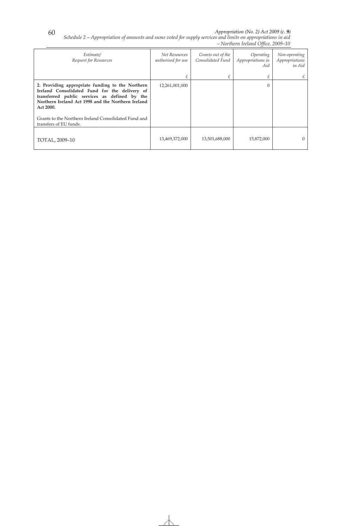*Appropriation (No. 2) Act 2009 (c. 9)* 

*Schedule 2 – Appropriation of amounts and sums voted for supply services and limits on appropriations in aid – Northern Ireland Office, 2009–10* 

| Estimate/<br>Request for Resources                                                                                                                                                                                    | Net Resources<br>authorised for use | Grants out of the<br>Consolidated Fund | Operating<br>Appropriations in<br>Aid | Non-operating<br>Appropriations<br>in Aid |
|-----------------------------------------------------------------------------------------------------------------------------------------------------------------------------------------------------------------------|-------------------------------------|----------------------------------------|---------------------------------------|-------------------------------------------|
|                                                                                                                                                                                                                       | £                                   |                                        | £                                     | £                                         |
| 2. Providing appropriate funding to the Northern<br>Ireland Consolidated Fund for the delivery of<br>transferred public services as defined by the<br>Northern Ireland Act 1998 and the Northern Ireland<br>Act 2000. | 12,261,001,000                      |                                        | $\mathbf{0}$                          |                                           |
| Grants to the Northern Ireland Consolidated Fund and<br>transfers of EU funds.                                                                                                                                        |                                     |                                        |                                       |                                           |
| TOTAL, 2009-10                                                                                                                                                                                                        | 13,469,372,000                      | 13,501,688,000                         | 15,872,000                            | $\Omega$                                  |

60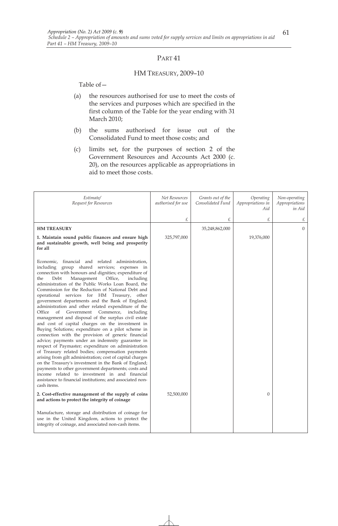### HM TREASURY, 2009–10

- (a) the resources authorised for use to meet the costs of the services and purposes which are specified in the first column of the Table for the year ending with 31 March 2010;
- (b) the sums authorised for issue out of the Consolidated Fund to meet those costs; and
- (c) limits set, for the purposes of section 2 of the Government Resources and Accounts Act 2000 (c. 20), on the resources applicable as appropriations in aid to meet those costs.

| Estimate/<br>Request for Resources                                                                                                                                                                                                                                                                                                                                                                                                                                                                                                                                                                                                                                                                                                                                                                                                                                                                                                                                                                                                                                                                                                                                                                                                        | Net Resources<br>authorised for use | Grants out of the<br>Consolidated Fund | Operating<br>Appropriations in<br>Aid | Non-operating<br>Appropriations<br>in Aid |
|-------------------------------------------------------------------------------------------------------------------------------------------------------------------------------------------------------------------------------------------------------------------------------------------------------------------------------------------------------------------------------------------------------------------------------------------------------------------------------------------------------------------------------------------------------------------------------------------------------------------------------------------------------------------------------------------------------------------------------------------------------------------------------------------------------------------------------------------------------------------------------------------------------------------------------------------------------------------------------------------------------------------------------------------------------------------------------------------------------------------------------------------------------------------------------------------------------------------------------------------|-------------------------------------|----------------------------------------|---------------------------------------|-------------------------------------------|
|                                                                                                                                                                                                                                                                                                                                                                                                                                                                                                                                                                                                                                                                                                                                                                                                                                                                                                                                                                                                                                                                                                                                                                                                                                           | £                                   | £                                      | £                                     | £                                         |
| <b>HM TREASURY</b>                                                                                                                                                                                                                                                                                                                                                                                                                                                                                                                                                                                                                                                                                                                                                                                                                                                                                                                                                                                                                                                                                                                                                                                                                        |                                     | 35,248,862,000                         |                                       | $\overline{0}$                            |
| 1. Maintain sound public finances and ensure high<br>and sustainable growth, well being and prosperity<br>for all                                                                                                                                                                                                                                                                                                                                                                                                                                                                                                                                                                                                                                                                                                                                                                                                                                                                                                                                                                                                                                                                                                                         | 325,797,000                         |                                        | 19,376,000                            |                                           |
| Economic, financial and related administration,<br>including group shared services; expenses in<br>connection with honours and dignities; expenditure of<br>Management<br>Office,<br>Debt<br>including<br>the<br>administration of the Public Works Loan Board, the<br>Commission for the Reduction of National Debt and<br>operational services for HM Treasury, other<br>government departments and the Bank of England;<br>administration and other related expenditure of the<br>Office<br>of<br>Government<br>Commerce,<br>including<br>management and disposal of the surplus civil estate<br>and cost of capital charges on the investment in<br>Buying Solutions; expenditure on a pilot scheme in<br>connection with the provision of generic financial<br>advice; payments under an indemnity guarantee in<br>respect of Paymaster; expenditure on administration<br>of Treasury related bodies; compensation payments<br>arising from gilt administration; cost of capital charges<br>on the Treasury's investment in the Bank of England;<br>payments to other government departments; costs and<br>income related to investment in and financial<br>assistance to financial institutions; and associated non-<br>cash items. |                                     |                                        |                                       |                                           |
| 2. Cost-effective management of the supply of coins<br>and actions to protect the integrity of coinage                                                                                                                                                                                                                                                                                                                                                                                                                                                                                                                                                                                                                                                                                                                                                                                                                                                                                                                                                                                                                                                                                                                                    | 52,500,000                          |                                        | $\Omega$                              |                                           |
| Manufacture, storage and distribution of coinage for<br>use in the United Kingdom, actions to protect the<br>integrity of coinage, and associated non-cash items.                                                                                                                                                                                                                                                                                                                                                                                                                                                                                                                                                                                                                                                                                                                                                                                                                                                                                                                                                                                                                                                                         |                                     |                                        |                                       |                                           |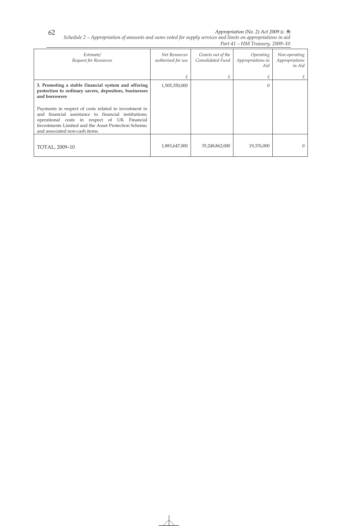*Appropriation (No. 2) Act 2009 (c. 9)* 

*Part 41 – HM Treasury, 2009–10* 

*Schedule 2 – Appropriation of amounts and sums voted for supply services and limits on appropriations in aid* 

| Estimate/<br>Request for Resources                                                                                                                                                                                                                     | Net Resources<br>authorised for use | Grants out of the<br>Consolidated Fund | <i><b>Operating</b></i><br>Appropriations in<br>Aid | Non-operating<br>Appropriations<br>in Aid |
|--------------------------------------------------------------------------------------------------------------------------------------------------------------------------------------------------------------------------------------------------------|-------------------------------------|----------------------------------------|-----------------------------------------------------|-------------------------------------------|
|                                                                                                                                                                                                                                                        | £                                   |                                        | £                                                   |                                           |
| 3. Promoting a stable financial system and offering<br>protection to ordinary savers, depositors, businesses<br>and borrowers                                                                                                                          | 1,505,350,000                       |                                        | $\theta$                                            |                                           |
| Payments in respect of costs related to investment in<br>and financial assistance to financial institutions;<br>operational costs in respect of UK Financial<br>Investments Limited and the Asset Protection Scheme;<br>and associated non-cash items. |                                     |                                        |                                                     |                                           |
| TOTAL, 2009-10                                                                                                                                                                                                                                         | 1,883,647,000                       | 35,248,862,000                         | 19,376,000                                          | $\Omega$                                  |

62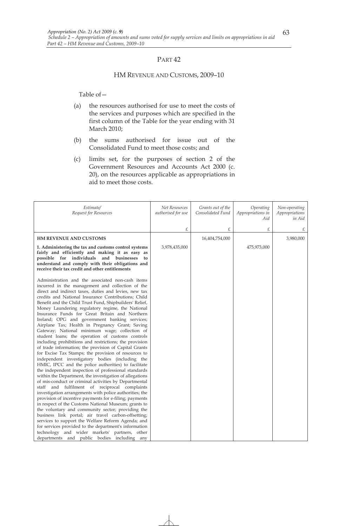#### HM REVENUE AND CUSTOMS, 2009–10

- (a) the resources authorised for use to meet the costs of the services and purposes which are specified in the first column of the Table for the year ending with 31 March 2010;
- (b) the sums authorised for issue out of the Consolidated Fund to meet those costs; and
- (c) limits set, for the purposes of section 2 of the Government Resources and Accounts Act 2000 (c. 20), on the resources applicable as appropriations in aid to meet those costs.

| Estimate/<br>Request for Resources                                                                                                                                                                                                                                                                                                                                                                                                                                                                                                                                                                                                                                                                                                                                                                                                                                                                                                                                                                                                                                                                                                                                                                                                                                                                                                                                                                                                                                                                                                                                                                                        | Net Resources<br>authorised for use | Grants out of the<br>Consolidated Fund | Operating<br>Appropriations in<br>Aid | Non-operating<br>Appropriations<br>in Aid |
|---------------------------------------------------------------------------------------------------------------------------------------------------------------------------------------------------------------------------------------------------------------------------------------------------------------------------------------------------------------------------------------------------------------------------------------------------------------------------------------------------------------------------------------------------------------------------------------------------------------------------------------------------------------------------------------------------------------------------------------------------------------------------------------------------------------------------------------------------------------------------------------------------------------------------------------------------------------------------------------------------------------------------------------------------------------------------------------------------------------------------------------------------------------------------------------------------------------------------------------------------------------------------------------------------------------------------------------------------------------------------------------------------------------------------------------------------------------------------------------------------------------------------------------------------------------------------------------------------------------------------|-------------------------------------|----------------------------------------|---------------------------------------|-------------------------------------------|
|                                                                                                                                                                                                                                                                                                                                                                                                                                                                                                                                                                                                                                                                                                                                                                                                                                                                                                                                                                                                                                                                                                                                                                                                                                                                                                                                                                                                                                                                                                                                                                                                                           | £                                   | £                                      | £                                     |                                           |
| <b>HM REVENUE AND CUSTOMS</b>                                                                                                                                                                                                                                                                                                                                                                                                                                                                                                                                                                                                                                                                                                                                                                                                                                                                                                                                                                                                                                                                                                                                                                                                                                                                                                                                                                                                                                                                                                                                                                                             |                                     | 16,404,754,000                         |                                       | 3,980,000                                 |
| 1. Administering the tax and customs control systems<br>fairly and efficiently and making it as easy as<br>possible for individuals<br>and businesses<br>to<br>understand and comply with their obligations and<br>receive their tax credit and other entitlements                                                                                                                                                                                                                                                                                                                                                                                                                                                                                                                                                                                                                                                                                                                                                                                                                                                                                                                                                                                                                                                                                                                                                                                                                                                                                                                                                        | 3,978,435,000                       |                                        | 475,973,000                           |                                           |
| Administration and the associated non-cash items<br>incurred in the management and collection of the<br>direct and indirect taxes, duties and levies, new tax<br>credits and National Insurance Contributions; Child<br>Benefit and the Child Trust Fund, Shipbuilders' Relief,<br>Money Laundering regulatory regime, the National<br>Insurance Funds for Great Britain and Northern<br>Ireland; OPG and government banking services;<br>Airplane Tax; Health in Pregnancy Grant; Saving<br>Gateway; National minimum wage; collection of<br>student loans; the operation of customs controls<br>including prohibitions and restrictions; the provision<br>of trade information; the provision of Capital Grants<br>for Excise Tax Stamps; the provision of resources to<br>independent investigatory bodies (including the<br>HMIC, IPCC and the police authorities) to facilitate<br>the independent inspection of professional standards<br>within the Department, the investigation of allegations<br>of mis-conduct or criminal activities by Departmental<br>staff and fulfilment of reciprocal complaints<br>investigation arrangements with police authorities; the<br>provision of incentive payments for e-filing; payments<br>in respect of the Customs National Museum; grants to<br>the voluntary and community sector; providing the<br>business link portal; air travel carbon-offsetting;<br>services to support the Welfare Reform Agenda; and<br>for services provided to the department's information<br>technology and wider markets' partners, other<br>departments and public bodies including any |                                     |                                        |                                       |                                           |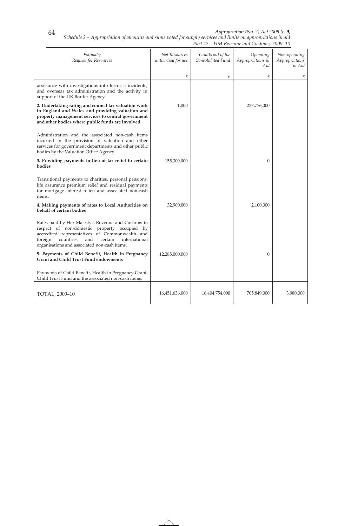*Appropriation (No. 2) Act 2009 (c. 9)* 

| Appropriation (No. 2) Act 200 |
|-------------------------------|
|                               |

*Estimate/ Request for Resources Net Resources authorised for use £ Grants out of the Consolidated Fund £ Operating Appropriations in Aid £ Non-operating Appropriations in Aid £*  assistance with investigations into terrorist incidents, and overseas tax administration and the activity in support of the UK Border Agency. **2. Undertaking rating and council tax valuation work in England and Wales and providing valuation and property management services to central government and other bodies where public funds are involved.**  Administration and the associated non-cash items incurred in the provision of valuation and other services for government departments and other public bodies by the Valuation Office Agency. 1,000 227,776,000 **3. Providing payments in lieu of tax relief to certain bodies**  Transitional payments to charities, personal pensions, life assurance premium relief and residual payments for mortgage interest relief; and associated non-cash items. 155,300,000 0 **4. Making payments of rates to Local Authorities on behalf of certain bodies**  Rates paid by Her Majesty's Revenue and Customs in respect of non-domestic property occupied by accredited representatives of Commonwealth and foreign countries and certain international organisations and associated non-cash items. 32,900,000 2,100,000 **5. Payments of Child Benefit, Health in Pregnancy Grant and Child Trust Fund endowments**  Payments of Child Benefit, Health in Pregnancy Grant, Child Trust Fund and the associated non-cash items. 12,285,000,000 0 TOTAL, 2009–10 16,451,636,000 16,404,754,000 705,849,000 3,980,000

*Schedule 2 – Appropriation of amounts and sums voted for supply services and limits on appropriations in aid Part 42 – HM Revenue and Customs, 2009–10* 

64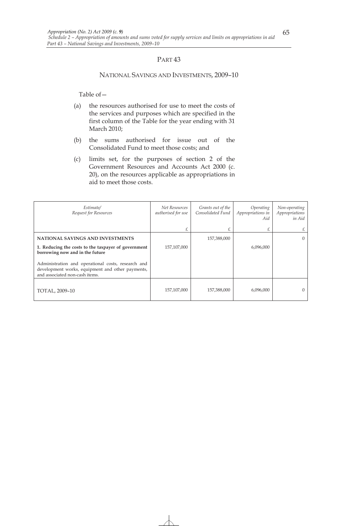#### NATIONAL SAVINGS AND INVESTMENTS, 2009–10

- (a) the resources authorised for use to meet the costs of the services and purposes which are specified in the first column of the Table for the year ending with 31 March 2010;
- (b) the sums authorised for issue out of the Consolidated Fund to meet those costs; and
- (c) limits set, for the purposes of section 2 of the Government Resources and Accounts Act 2000 (c. 20), on the resources applicable as appropriations in aid to meet those costs.

| Estimate/<br>Request for Resources                                                                                                       | Net Resources<br>authorised for use | Grants out of the<br>Consolidated Fund | Operating<br>Appropriations in<br>Aid | Non-operating<br>Appropriations<br>in Aid |
|------------------------------------------------------------------------------------------------------------------------------------------|-------------------------------------|----------------------------------------|---------------------------------------|-------------------------------------------|
|                                                                                                                                          | £                                   |                                        | £                                     | £                                         |
| NATIONAL SAVINGS AND INVESTMENTS                                                                                                         |                                     | 157,388,000                            |                                       | $\Omega$                                  |
| 1. Reducing the costs to the taxpayer of government<br>borrowing now and in the future                                                   | 157,107,000                         |                                        | 6,096,000                             |                                           |
| Administration and operational costs, research and<br>development works, equipment and other payments,<br>and associated non-cash items. |                                     |                                        |                                       |                                           |
| TOTAL, 2009-10                                                                                                                           | 157,107,000                         | 157,388,000                            | 6,096,000                             | 0                                         |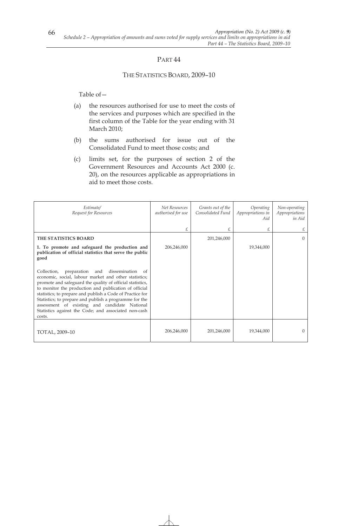### THE STATISTICS BOARD, 2009–10

- (a) the resources authorised for use to meet the costs of the services and purposes which are specified in the first column of the Table for the year ending with 31 March 2010;
- (b) the sums authorised for issue out of the Consolidated Fund to meet those costs; and
- (c) limits set, for the purposes of section 2 of the Government Resources and Accounts Act 2000 (c. 20), on the resources applicable as appropriations in aid to meet those costs.

| Estimate/<br>Request for Resources                                                                                                                                                                                                                                                                                                                                                                                                                                       | Net Resources<br>authorised for use | Grants out of the<br>Consolidated Fund | Operating<br>Appropriations in<br>Aid | Non-operating<br>Appropriations<br>in Aid |
|--------------------------------------------------------------------------------------------------------------------------------------------------------------------------------------------------------------------------------------------------------------------------------------------------------------------------------------------------------------------------------------------------------------------------------------------------------------------------|-------------------------------------|----------------------------------------|---------------------------------------|-------------------------------------------|
|                                                                                                                                                                                                                                                                                                                                                                                                                                                                          | £                                   | £                                      | £                                     | £                                         |
| THE STATISTICS BOARD                                                                                                                                                                                                                                                                                                                                                                                                                                                     |                                     | 201,246,000                            |                                       | $\Omega$                                  |
| 1. To promote and safeguard the production and<br>publication of official statistics that serve the public<br>good                                                                                                                                                                                                                                                                                                                                                       | 206,246,000                         |                                        | 19,344,000                            |                                           |
| Collection,<br>preparation and dissemination of<br>economic, social, labour market and other statistics;<br>promote and safeguard the quality of official statistics,<br>to monitor the production and publication of official<br>statistics; to prepare and publish a Code of Practice for<br>Statistics; to prepare and publish a programme for the<br>assessment of existing and candidate National<br>Statistics against the Code; and associated non-cash<br>costs. |                                     |                                        |                                       |                                           |
| TOTAL, 2009-10                                                                                                                                                                                                                                                                                                                                                                                                                                                           | 206,246,000                         | 201,246,000                            | 19,344,000                            | $\Omega$                                  |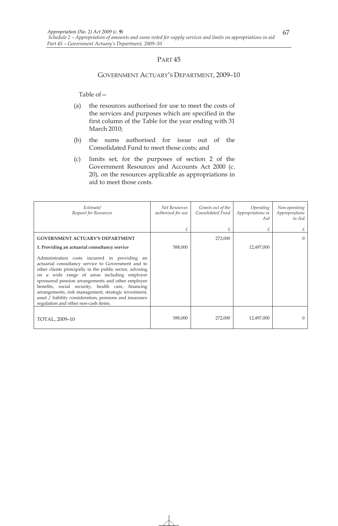#### GOVERNMENT ACTUARY'S DEPARTMENT, 2009–10

- (a) the resources authorised for use to meet the costs of the services and purposes which are specified in the first column of the Table for the year ending with 31 March 2010;
- (b) the sums authorised for issue out of the Consolidated Fund to meet those costs; and
- (c) limits set, for the purposes of section 2 of the Government Resources and Accounts Act 2000 (c. 20), on the resources applicable as appropriations in aid to meet those costs.

| Estimate/<br>Request for Resources                                                                                                                                                                                                                                                                                                                                                                                                                                                  | Net Resources<br>authorised for use | Grants out of the<br>Consolidated Fund | Operating<br>Appropriations in<br>Aid | Non-operating<br>Appropriations<br>in Aid |
|-------------------------------------------------------------------------------------------------------------------------------------------------------------------------------------------------------------------------------------------------------------------------------------------------------------------------------------------------------------------------------------------------------------------------------------------------------------------------------------|-------------------------------------|----------------------------------------|---------------------------------------|-------------------------------------------|
|                                                                                                                                                                                                                                                                                                                                                                                                                                                                                     | £                                   |                                        | £                                     |                                           |
| <b>GOVERNMENT ACTUARY'S DEPARTMENT</b>                                                                                                                                                                                                                                                                                                                                                                                                                                              |                                     | 272,000                                |                                       | $\Omega$                                  |
| 1. Providing an actuarial consultancy service                                                                                                                                                                                                                                                                                                                                                                                                                                       | 588,000                             |                                        | 12,497,000                            |                                           |
| Administration costs incurred in providing an<br>actuarial consultancy service to Government and to<br>other clients principally in the public sector, advising<br>on a wide range of areas including employer<br>sponsored pension arrangements and other employee<br>benefits, social security, health care, financing<br>arrangements, risk management, strategic investment,<br>asset / liability consideration, pensions and insurance<br>regulation and other non-cash items. |                                     |                                        |                                       |                                           |
| TOTAL, 2009-10                                                                                                                                                                                                                                                                                                                                                                                                                                                                      | 588,000                             | 272,000                                | 12,497,000                            |                                           |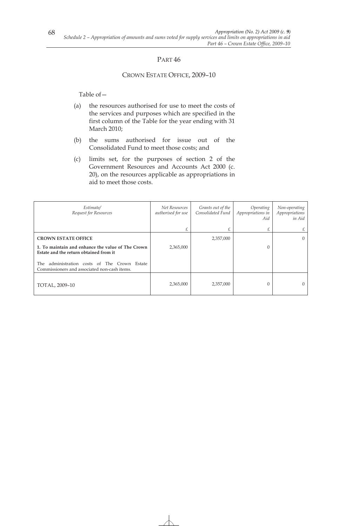# PART<sub>46</sub>

### CROWN ESTATE OFFICE, 2009–10

- (a) the resources authorised for use to meet the costs of the services and purposes which are specified in the first column of the Table for the year ending with 31 March 2010;
- (b) the sums authorised for issue out of the Consolidated Fund to meet those costs; and
- (c) limits set, for the purposes of section 2 of the Government Resources and Accounts Act 2000 (c. 20), on the resources applicable as appropriations in aid to meet those costs.

| Estimate/<br>Request for Resources                                                                | Net Resources<br>authorised for use | Grants out of the<br>Consolidated Fund | Operating<br>Appropriations in<br>Aid | Non-operating<br>Appropriations<br>in Aid |
|---------------------------------------------------------------------------------------------------|-------------------------------------|----------------------------------------|---------------------------------------|-------------------------------------------|
|                                                                                                   | £                                   |                                        | £                                     | £                                         |
| <b>CROWN ESTATE OFFICE</b>                                                                        |                                     | 2,357,000                              |                                       | $\Omega$                                  |
| 1. To maintain and enhance the value of The Crown<br>Estate and the return obtained from it       | 2,365,000                           |                                        | 0                                     |                                           |
| administration costs of The Crown Estate<br>The .<br>Commissioners and associated non-cash items. |                                     |                                        |                                       |                                           |
| TOTAL, 2009-10                                                                                    | 2,365,000                           | 2,357,000                              | 0                                     | $\theta$                                  |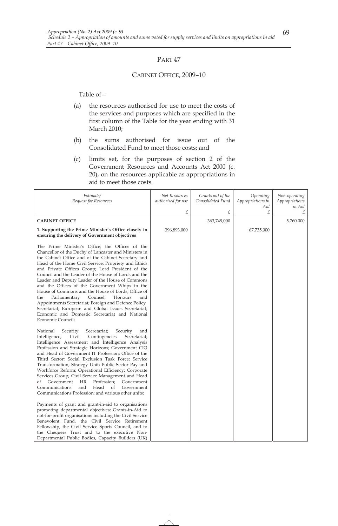### CABINET OFFICE, 2009–10

- (a) the resources authorised for use to meet the costs of the services and purposes which are specified in the first column of the Table for the year ending with 31 March 2010;
- (b) the sums authorised for issue out of the Consolidated Fund to meet those costs; and
- (c) limits set, for the purposes of section 2 of the Government Resources and Accounts Act 2000 (c. 20), on the resources applicable as appropriations in aid to meet those costs.

| Estimate/<br>Request for Resources                                                                                                                                                                                                                                                                                                                                                                                                                                                                                                                                                                                                                                                                                                                                                                                                                                                                                                                                                                                                                                               | Net Resources<br>authorised for use | Grants out of the<br>Consolidated Fund | Operating<br>Appropriations in<br>Aid | Non-operating<br>Appropriations<br>in Aid |
|----------------------------------------------------------------------------------------------------------------------------------------------------------------------------------------------------------------------------------------------------------------------------------------------------------------------------------------------------------------------------------------------------------------------------------------------------------------------------------------------------------------------------------------------------------------------------------------------------------------------------------------------------------------------------------------------------------------------------------------------------------------------------------------------------------------------------------------------------------------------------------------------------------------------------------------------------------------------------------------------------------------------------------------------------------------------------------|-------------------------------------|----------------------------------------|---------------------------------------|-------------------------------------------|
|                                                                                                                                                                                                                                                                                                                                                                                                                                                                                                                                                                                                                                                                                                                                                                                                                                                                                                                                                                                                                                                                                  | £                                   | £                                      | £                                     | £                                         |
| <b>CABINET OFFICE</b>                                                                                                                                                                                                                                                                                                                                                                                                                                                                                                                                                                                                                                                                                                                                                                                                                                                                                                                                                                                                                                                            |                                     | 363,749,000                            |                                       | 5,760,000                                 |
| 1. Supporting the Prime Minister's Office closely in<br>ensuring the delivery of Government objectives                                                                                                                                                                                                                                                                                                                                                                                                                                                                                                                                                                                                                                                                                                                                                                                                                                                                                                                                                                           | 396,893,000                         |                                        | 67,735,000                            |                                           |
| The Prime Minister's Office; the Offices of the<br>Chancellor of the Duchy of Lancaster and Ministers in<br>the Cabinet Office and of the Cabinet Secretary and<br>Head of the Home Civil Service; Propriety and Ethics<br>and Private Offices Group; Lord President of the<br>Council and the Leader of the House of Lords and the<br>Leader and Deputy Leader of the House of Commons<br>and the Offices of the Government Whips in the<br>House of Commons and the House of Lords; Office of<br>Parliamentary<br>Counsel;<br>Honours<br>the<br>and<br>Appointments Secretariat; Foreign and Defence Policy<br>Secretariat; European and Global Issues Secretariat;<br>Economic and Domestic Secretariat and National<br>Economic Council;                                                                                                                                                                                                                                                                                                                                     |                                     |                                        |                                       |                                           |
| National<br>Security<br>Secretariat;<br>Security<br>and<br>Intelligence;<br>Civil<br>Contingencies<br>Secretariat;<br>Intelligence Assessment and Intelligence Analysis<br>Profession and Strategic Horizons; Government CIO<br>and Head of Government IT Profession; Office of the<br>Third Sector; Social Exclusion Task Force; Service<br>Transformation; Strategy Unit; Public Sector Pay and<br>Workforce Reform; Operational Efficiency; Corporate<br>Services Group; Civil Service Management and Head<br>Government<br><b>HR</b><br>of<br>Profession;<br>Government<br>Communications<br>and<br>Head<br>Government<br>of<br>Communications Profession; and various other units;<br>Payments of grant and grant-in-aid to organisations<br>promoting departmental objectives; Grants-in-Aid to<br>not-for-profit organisations including the Civil Service<br>Benevolent Fund, the Civil Service Retirement<br>Fellowship, the Civil Service Sports Council, and to<br>the Chequers Trust and to the executive Non-<br>Departmental Public Bodies, Capacity Builders (UK) |                                     |                                        |                                       |                                           |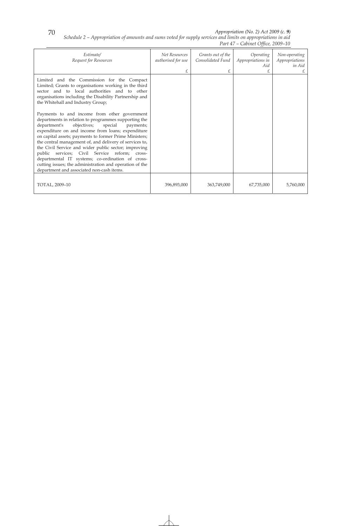*Appropriation (No. 2) Act 2009 (c. 9)* 

*Schedule 2 – Appropriation of amounts and sums voted for supply services and limits on appropriations in aid* 

|                                                                                                                                                                                                                                                                                                                                                                                                                                                                                                                                                                                                            | Part 47 – Cabinet Office, 2009–10        |                                             |                                            |                                                |
|------------------------------------------------------------------------------------------------------------------------------------------------------------------------------------------------------------------------------------------------------------------------------------------------------------------------------------------------------------------------------------------------------------------------------------------------------------------------------------------------------------------------------------------------------------------------------------------------------------|------------------------------------------|---------------------------------------------|--------------------------------------------|------------------------------------------------|
| Estimate/<br>Request for Resources                                                                                                                                                                                                                                                                                                                                                                                                                                                                                                                                                                         | Net Resources<br>authorised for use<br>£ | Grants out of the<br>Consolidated Fund<br>£ | Operating<br>Appropriations in<br>Aid<br>£ | Non-operating<br>Appropriations<br>in Aid<br>£ |
| Limited and the Commission for the Compact<br>Limited; Grants to organisations working in the third<br>sector and to local authorities and to other<br>organisations including the Disability Partnership and<br>the Whitehall and Industry Group;                                                                                                                                                                                                                                                                                                                                                         |                                          |                                             |                                            |                                                |
| Payments to and income from other government<br>departments in relation to programmes supporting the<br>department's<br>objectives;<br>special<br>payments;<br>expenditure on and income from loans; expenditure<br>on capital assets; payments to former Prime Ministers;<br>the central management of, and delivery of services to,<br>the Civil Service and wider public sector; improving<br>public services; Civil Service reform; cross-<br>departmental IT systems; co-ordination of cross-<br>cutting issues; the administration and operation of the<br>department and associated non-cash items. |                                          |                                             |                                            |                                                |
| TOTAL, 2009-10                                                                                                                                                                                                                                                                                                                                                                                                                                                                                                                                                                                             | 396,893,000                              | 363,749,000                                 | 67,735,000                                 | 5,760,000                                      |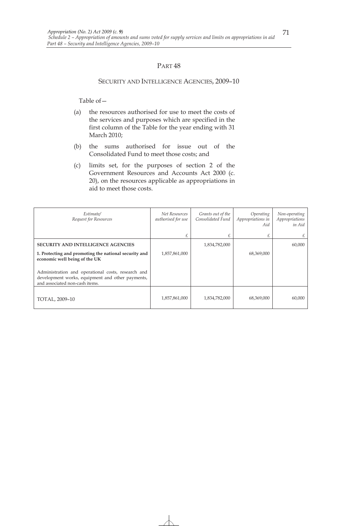#### SECURITY AND INTELLIGENCE AGENCIES, 2009–10

- (a) the resources authorised for use to meet the costs of the services and purposes which are specified in the first column of the Table for the year ending with 31 March 2010;
- (b) the sums authorised for issue out of the Consolidated Fund to meet those costs; and
- (c) limits set, for the purposes of section 2 of the Government Resources and Accounts Act 2000 (c. 20), on the resources applicable as appropriations in aid to meet those costs.

| Estimate/<br>Request for Resources                                                                                                       | Net Resources<br>authorised for use | Grants out of the<br>Consolidated Fund | Operating<br>Appropriations in<br>Aid | Non-operating<br>Appropriations<br>in Aid |
|------------------------------------------------------------------------------------------------------------------------------------------|-------------------------------------|----------------------------------------|---------------------------------------|-------------------------------------------|
|                                                                                                                                          | £                                   | £                                      | £                                     | £                                         |
| <b>SECURITY AND INTELLIGENCE AGENCIES</b>                                                                                                |                                     | 1,834,782,000                          |                                       | 60,000                                    |
| 1. Protecting and promoting the national security and<br>economic well being of the UK                                                   | 1,857,861,000                       |                                        | 68,369,000                            |                                           |
| Administration and operational costs, research and<br>development works, equipment and other payments,<br>and associated non-cash items. |                                     |                                        |                                       |                                           |
| TOTAL, 2009-10                                                                                                                           | 1,857,861,000                       | 1,834,782,000                          | 68,369,000                            | 60,000                                    |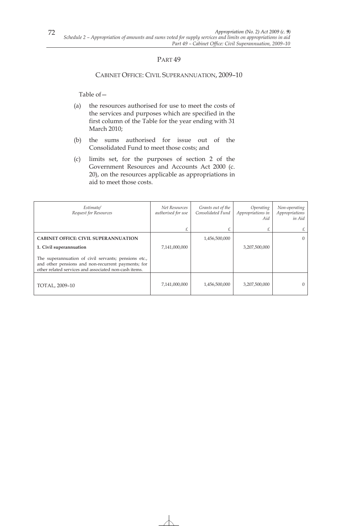# PART<sub>49</sub>

### CABINET OFFICE: CIVIL SUPERANNUATION, 2009–10

- (a) the resources authorised for use to meet the costs of the services and purposes which are specified in the first column of the Table for the year ending with 31 March 2010;
- (b) the sums authorised for issue out of the Consolidated Fund to meet those costs; and
- (c) limits set, for the purposes of section 2 of the Government Resources and Accounts Act 2000 (c. 20), on the resources applicable as appropriations in aid to meet those costs.

| Estimate/<br>Request for Resources                                                                                                                                  | Net Resources<br>authorised for use | Grants out of the<br>Consolidated Fund | Operating<br>Appropriations in<br>Aid | Non-operating<br>Appropriations<br>in Aid |
|---------------------------------------------------------------------------------------------------------------------------------------------------------------------|-------------------------------------|----------------------------------------|---------------------------------------|-------------------------------------------|
|                                                                                                                                                                     | £                                   |                                        | £                                     | £                                         |
| <b>CABINET OFFICE: CIVIL SUPERANNUATION</b>                                                                                                                         |                                     | 1,456,500,000                          |                                       | $\Omega$                                  |
| 1. Civil superannuation                                                                                                                                             | 7,141,000,000                       |                                        | 3,207,500,000                         |                                           |
| The superannuation of civil servants; pensions etc.,<br>and other pensions and non-recurrent payments; for<br>other related services and associated non-cash items. |                                     |                                        |                                       |                                           |
| TOTAL, 2009-10                                                                                                                                                      | 7,141,000,000                       | 1,456,500,000                          | 3,207,500,000                         | $\left($                                  |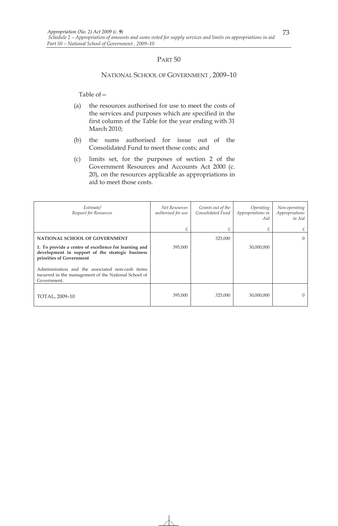#### NATIONAL SCHOOL OF GOVERNMENT , 2009–10

- (a) the resources authorised for use to meet the costs of the services and purposes which are specified in the first column of the Table for the year ending with 31 March 2010;
- (b) the sums authorised for issue out of the Consolidated Fund to meet those costs; and
- (c) limits set, for the purposes of section 2 of the Government Resources and Accounts Act 2000 (c. 20), on the resources applicable as appropriations in aid to meet those costs.

| Estimate/<br>Request for Resources                                                                                                    | Net Resources<br>authorised for use | Grants out of the<br>Consolidated Fund | Operating<br>Appropriations in<br>Aid | Non-operating<br>Appropriations<br>in Aid |
|---------------------------------------------------------------------------------------------------------------------------------------|-------------------------------------|----------------------------------------|---------------------------------------|-------------------------------------------|
|                                                                                                                                       | £                                   |                                        | £                                     | £                                         |
| NATIONAL SCHOOL OF GOVERNMENT                                                                                                         |                                     | 325,000                                |                                       | $\Omega$                                  |
| 1. To provide a centre of excellence for learning and<br>development in support of the strategic business<br>priorities of Government | 395,000                             |                                        | 30,000,000                            |                                           |
| Administration and the associated non-cash items<br>incurred in the management of the National School of<br>Government.               |                                     |                                        |                                       |                                           |
| TOTAL, 2009-10                                                                                                                        | 395,000                             | 325,000                                | 30,000,000                            | $\left( \right)$                          |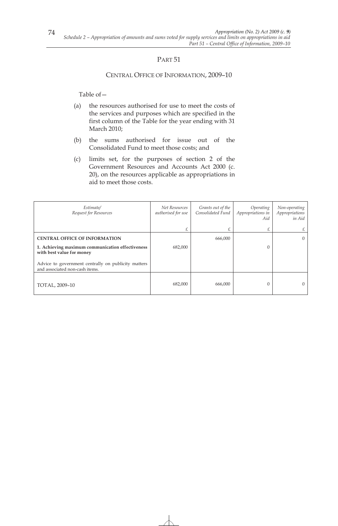#### CENTRAL OFFICE OF INFORMATION, 2009–10

- (a) the resources authorised for use to meet the costs of the services and purposes which are specified in the first column of the Table for the year ending with 31 March 2010;
- (b) the sums authorised for issue out of the Consolidated Fund to meet those costs; and
- (c) limits set, for the purposes of section 2 of the Government Resources and Accounts Act 2000 (c. 20), on the resources applicable as appropriations in aid to meet those costs.

| Estimate/<br>Request for Resources                                                    | Net Resources<br>authorised for use | Grants out of the<br>Consolidated Fund | Operating<br>Appropriations in<br>Aid | Non-operating<br>Appropriations<br>in Aid |
|---------------------------------------------------------------------------------------|-------------------------------------|----------------------------------------|---------------------------------------|-------------------------------------------|
|                                                                                       |                                     |                                        | £                                     | £                                         |
| <b>CENTRAL OFFICE OF INFORMATION</b>                                                  |                                     | 666,000                                |                                       | $\Omega$                                  |
| 1. Achieving maximum communication effectiveness<br>with best value for money         | 682,000                             |                                        | 0                                     |                                           |
| Advice to government centrally on publicity matters<br>and associated non-cash items. |                                     |                                        |                                       |                                           |
| TOTAL, 2009-10                                                                        | 682,000                             | 666,000                                | 0                                     | $\Omega$                                  |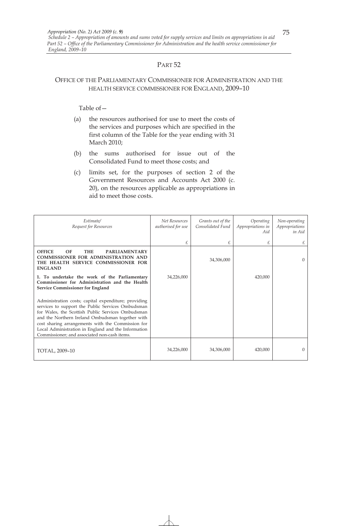# OFFICE OF THE PARLIAMENTARY COMMISSIONER FOR ADMINISTRATION AND THE HEALTH SERVICE COMMISSIONER FOR ENGLAND, 2009–10

- (a) the resources authorised for use to meet the costs of the services and purposes which are specified in the first column of the Table for the year ending with 31 March 2010;
- (b) the sums authorised for issue out of the Consolidated Fund to meet those costs; and
- (c) limits set, for the purposes of section 2 of the Government Resources and Accounts Act 2000 (c. 20), on the resources applicable as appropriations in aid to meet those costs.

| Estimate/<br>Request for Resources                                                                                                                                                                                                                                                                                                                                             | Net Resources<br>authorised for use | Grants out of the<br>Consolidated Fund | Operating<br>Appropriations in<br>Aid | Non-operating<br>Appropriations<br>in Aid |
|--------------------------------------------------------------------------------------------------------------------------------------------------------------------------------------------------------------------------------------------------------------------------------------------------------------------------------------------------------------------------------|-------------------------------------|----------------------------------------|---------------------------------------|-------------------------------------------|
|                                                                                                                                                                                                                                                                                                                                                                                | £                                   | £                                      | £                                     | £                                         |
| <b>OFFICE</b><br>OF<br><b>THE</b><br><b>PARLIAMENTARY</b><br><b>COMMISSIONER FOR ADMINISTRATION AND</b><br>THE HEALTH SERVICE COMMISSIONER FOR<br><b>ENGLAND</b>                                                                                                                                                                                                               |                                     | 34,306,000                             |                                       | $\Omega$                                  |
| 1. To undertake the work of the Parliamentary<br>Commissioner for Administration and the Health<br><b>Service Commissioner for England</b>                                                                                                                                                                                                                                     | 34,226,000                          |                                        | 420,000                               |                                           |
| Administration costs; capital expenditure; providing<br>services to support the Public Services Ombudsman<br>for Wales, the Scottish Public Services Ombudsman<br>and the Northern Ireland Ombudsman together with<br>cost sharing arrangements with the Commission for<br>Local Administration in England and the Information<br>Commissioner; and associated non-cash items. |                                     |                                        |                                       |                                           |
| TOTAL, 2009-10                                                                                                                                                                                                                                                                                                                                                                 | 34,226,000                          | 34,306,000                             | 420,000                               | $\Omega$                                  |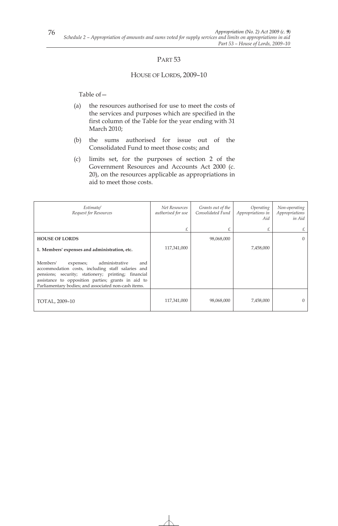### HOUSE OF LORDS, 2009–10

- (a) the resources authorised for use to meet the costs of the services and purposes which are specified in the first column of the Table for the year ending with 31 March 2010;
- (b) the sums authorised for issue out of the Consolidated Fund to meet those costs; and
- (c) limits set, for the purposes of section 2 of the Government Resources and Accounts Act 2000 (c. 20), on the resources applicable as appropriations in aid to meet those costs.

| Estimate/<br>Request for Resources                                                                                                                                                                                                                                       | Net Resources<br>authorised for use | Grants out of the<br>Consolidated Fund | Operating<br>Appropriations in<br>Aid | Non-operating<br>Appropriations<br>in Aid |
|--------------------------------------------------------------------------------------------------------------------------------------------------------------------------------------------------------------------------------------------------------------------------|-------------------------------------|----------------------------------------|---------------------------------------|-------------------------------------------|
|                                                                                                                                                                                                                                                                          | £                                   | £                                      | £                                     | £                                         |
| <b>HOUSE OF LORDS</b>                                                                                                                                                                                                                                                    |                                     | 98,068,000                             |                                       | $\Omega$                                  |
| 1. Members' expenses and administration, etc.                                                                                                                                                                                                                            | 117,341,000                         |                                        | 7,458,000                             |                                           |
| Members'<br>administrative<br>and<br>expenses;<br>accommodation costs, including staff salaries and<br>pensions; security; stationery; printing; financial<br>assistance to opposition parties; grants in aid to<br>Parliamentary bodies; and associated non-cash items. |                                     |                                        |                                       |                                           |
| TOTAL, 2009-10                                                                                                                                                                                                                                                           | 117,341,000                         | 98,068,000                             | 7,458,000                             | $\overline{0}$                            |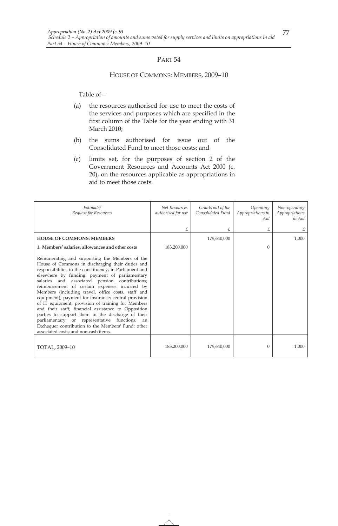#### HOUSE OF COMMONS: MEMBERS, 2009–10

- (a) the resources authorised for use to meet the costs of the services and purposes which are specified in the first column of the Table for the year ending with 31 March 2010;
- (b) the sums authorised for issue out of the Consolidated Fund to meet those costs; and
- (c) limits set, for the purposes of section 2 of the Government Resources and Accounts Act 2000 (c. 20), on the resources applicable as appropriations in aid to meet those costs.

| Estimate/<br>Request for Resources                                                                                                                                                                                                                                                                                                                                                                                                                                                                                                                                                                                                                                                                                                                    | Net Resources<br>authorised for use | Grants out of the<br>Consolidated Fund | Operating<br>Appropriations in<br>Aid | Non-operating<br>Appropriations<br>in Aid |
|-------------------------------------------------------------------------------------------------------------------------------------------------------------------------------------------------------------------------------------------------------------------------------------------------------------------------------------------------------------------------------------------------------------------------------------------------------------------------------------------------------------------------------------------------------------------------------------------------------------------------------------------------------------------------------------------------------------------------------------------------------|-------------------------------------|----------------------------------------|---------------------------------------|-------------------------------------------|
|                                                                                                                                                                                                                                                                                                                                                                                                                                                                                                                                                                                                                                                                                                                                                       | £                                   | £                                      | £                                     | £                                         |
| <b>HOUSE OF COMMONS: MEMBERS</b>                                                                                                                                                                                                                                                                                                                                                                                                                                                                                                                                                                                                                                                                                                                      |                                     | 179,640,000                            |                                       | 1,000                                     |
| 1. Members' salaries, allowances and other costs                                                                                                                                                                                                                                                                                                                                                                                                                                                                                                                                                                                                                                                                                                      | 183,200,000                         |                                        | $\Omega$                              |                                           |
| Remunerating and supporting the Members of the<br>House of Commons in discharging their duties and<br>responsibilities in the constituency, in Parliament and<br>elsewhere by funding: payment of parliamentary<br>salaries and associated pension contributions;<br>reimbursement of certain expenses incurred by<br>Members (including travel, office costs, staff and<br>equipment); payment for insurance; central provision<br>of IT equipment; provision of training for Members<br>and their staff; financial assistance to Opposition<br>parties to support them in the discharge of their<br>parliamentary or representative functions;<br>an<br>Exchequer contribution to the Members' Fund; other<br>associated costs; and non-cash items. |                                     |                                        |                                       |                                           |
| TOTAL, 2009-10                                                                                                                                                                                                                                                                                                                                                                                                                                                                                                                                                                                                                                                                                                                                        | 183,200,000                         | 179,640,000                            | $\theta$                              | 1,000                                     |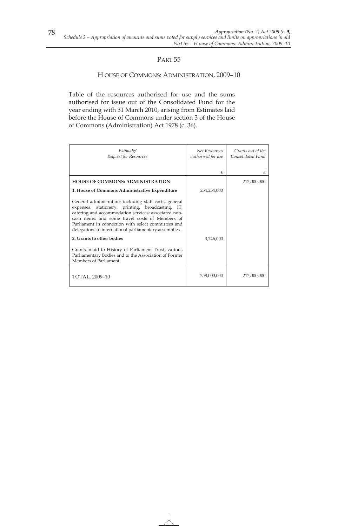### H OUSE OF COMMONS: ADMINISTRATION, 2009–10

Table of the resources authorised for use and the sums authorised for issue out of the Consolidated Fund for the year ending with 31 March 2010, arising from Estimates laid before the House of Commons under section 3 of the House of Commons (Administration) Act 1978 (c. 36).

| Estimate/<br>Request for Resources                                                                                                                                                                                                                                                                                                      | Net Resources<br>authorised for use | Grants out of the<br>Consolidated Fund |
|-----------------------------------------------------------------------------------------------------------------------------------------------------------------------------------------------------------------------------------------------------------------------------------------------------------------------------------------|-------------------------------------|----------------------------------------|
|                                                                                                                                                                                                                                                                                                                                         | £                                   | £                                      |
| <b>HOUSE OF COMMONS: ADMINISTRATION</b>                                                                                                                                                                                                                                                                                                 |                                     | 212,000,000                            |
| 1. House of Commons Administrative Expenditure                                                                                                                                                                                                                                                                                          | 254,254,000                         |                                        |
| General administration: including staff costs, general<br>expenses, stationery, printing, broadcasting, IT,<br>catering and accommodation services; associated non-<br>cash items; and some travel costs of Members of<br>Parliament in connection with select committees and<br>delegations to international parliamentary assemblies. |                                     |                                        |
| 2. Grants to other bodies                                                                                                                                                                                                                                                                                                               | 3,746,000                           |                                        |
| Grants-in-aid to History of Parliament Trust, various<br>Parliamentary Bodies and to the Association of Former<br>Members of Parliament.                                                                                                                                                                                                |                                     |                                        |
| TOTAL, 2009-10                                                                                                                                                                                                                                                                                                                          | 258,000,000                         | 212,000,000                            |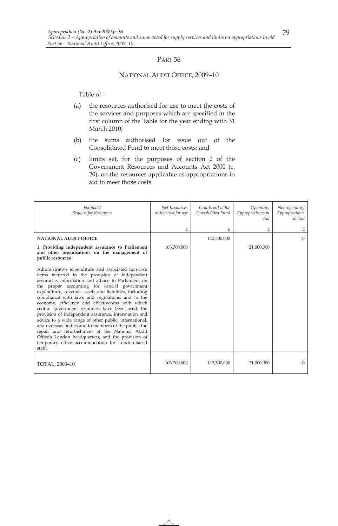#### NATIONAL AUDIT OFFICE, 2009–10

- (a) the resources authorised for use to meet the costs of the services and purposes which are specified in the first column of the Table for the year ending with 31 March 2010;
- (b) the sums authorised for issue out of the Consolidated Fund to meet those costs; and
- (c) limits set, for the purposes of section 2 of the Government Resources and Accounts Act 2000 (c. 20), on the resources applicable as appropriations in aid to meet those costs.

| Estimate/<br>Request for Resources                                                                                                                                                                                                                                                                                                                                                                                                                                                                                                                                                                                                                                                                                                                                               | Net Resources<br>authorised for use | Grants out of the<br>Consolidated Fund | Operating<br>Appropriations in<br>Aid | Non-operating<br>Appropriations<br>in Aid |
|----------------------------------------------------------------------------------------------------------------------------------------------------------------------------------------------------------------------------------------------------------------------------------------------------------------------------------------------------------------------------------------------------------------------------------------------------------------------------------------------------------------------------------------------------------------------------------------------------------------------------------------------------------------------------------------------------------------------------------------------------------------------------------|-------------------------------------|----------------------------------------|---------------------------------------|-------------------------------------------|
|                                                                                                                                                                                                                                                                                                                                                                                                                                                                                                                                                                                                                                                                                                                                                                                  | £                                   | £                                      | £                                     | £                                         |
| <b>NATIONAL AUDIT OFFICE</b>                                                                                                                                                                                                                                                                                                                                                                                                                                                                                                                                                                                                                                                                                                                                                     |                                     | 112,500,000                            |                                       | $\Omega$                                  |
| 1. Providing independent assurance to Parliament<br>and other organisations on the management of<br>public resources                                                                                                                                                                                                                                                                                                                                                                                                                                                                                                                                                                                                                                                             | 103,700,000                         |                                        | 21,000,000                            |                                           |
| Administrative expenditure and associated non-cash<br>items incurred in the provision of independent<br>assurance, information and advice to Parliament on<br>the proper accounting for central government<br>expenditure, revenue, assets and liabilities, including<br>compliance with laws and regulations, and in the<br>economy, efficiency and effectiveness with which<br>central government resources have been used; the<br>provision of independent assurance, information and<br>advice to a wide range of other public, international,<br>and overseas bodies and to members of the public; the<br>repair and refurbishment of the National Audit<br>Office's London headquarters; and the provision of<br>temporary office accommodation for London-based<br>staff. |                                     |                                        |                                       |                                           |
| TOTAL, 2009-10                                                                                                                                                                                                                                                                                                                                                                                                                                                                                                                                                                                                                                                                                                                                                                   | 103,700,000                         | 112,500,000                            | 21,000,000                            | $\Omega$                                  |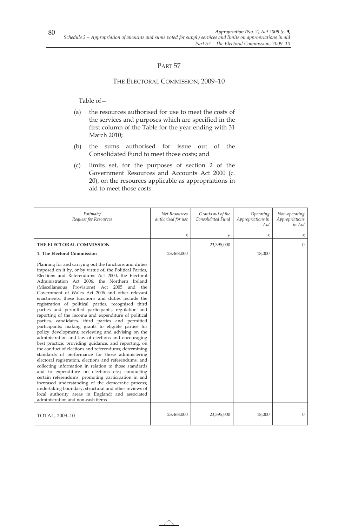# THE ELECTORAL COMMISSION, 2009–10

- (a) the resources authorised for use to meet the costs of the services and purposes which are specified in the first column of the Table for the year ending with 31 March 2010;
- (b) the sums authorised for issue out of the Consolidated Fund to meet those costs; and
- (c) limits set, for the purposes of section 2 of the Government Resources and Accounts Act 2000 (c. 20), on the resources applicable as appropriations in aid to meet those costs.

| Estimate/<br>Request for Resources                                                                                                                                                                                                                                                                                                                                                                                                                                                                                                                                                                                                                                                                                                                                                                                                                                                                                                                                                                                                                                                                                                                                                                                                                                                                                                                                                        | Net Resources<br>authorised for use | Grants out of the<br>Consolidated Fund | Operating<br>Appropriations in<br>Aid | Non-operating<br>Appropriations<br>in Aid |
|-------------------------------------------------------------------------------------------------------------------------------------------------------------------------------------------------------------------------------------------------------------------------------------------------------------------------------------------------------------------------------------------------------------------------------------------------------------------------------------------------------------------------------------------------------------------------------------------------------------------------------------------------------------------------------------------------------------------------------------------------------------------------------------------------------------------------------------------------------------------------------------------------------------------------------------------------------------------------------------------------------------------------------------------------------------------------------------------------------------------------------------------------------------------------------------------------------------------------------------------------------------------------------------------------------------------------------------------------------------------------------------------|-------------------------------------|----------------------------------------|---------------------------------------|-------------------------------------------|
|                                                                                                                                                                                                                                                                                                                                                                                                                                                                                                                                                                                                                                                                                                                                                                                                                                                                                                                                                                                                                                                                                                                                                                                                                                                                                                                                                                                           | £                                   | £                                      | £                                     | £                                         |
| THE ELECTORAL COMMISSION                                                                                                                                                                                                                                                                                                                                                                                                                                                                                                                                                                                                                                                                                                                                                                                                                                                                                                                                                                                                                                                                                                                                                                                                                                                                                                                                                                  |                                     | 23,395,000                             |                                       | $\Omega$                                  |
| 1. The Electoral Commission                                                                                                                                                                                                                                                                                                                                                                                                                                                                                                                                                                                                                                                                                                                                                                                                                                                                                                                                                                                                                                                                                                                                                                                                                                                                                                                                                               | 23,468,000                          |                                        | 18,000                                |                                           |
| Planning for and carrying out the functions and duties<br>imposed on it by, or by virtue of, the Political Parties,<br>Elections and Referendums Act 2000, the Electoral<br>Administration Act 2006, the Northern Ireland<br>(Miscellaneous Provisions) Act 2005 and the<br>Government of Wales Act 2006 and other relevant<br>enactments: these functions and duties include the<br>registration of political parties, recognised third<br>parties and permitted participants; regulation and<br>reporting of the income and expenditure of political<br>parties, candidates, third parties and permitted<br>participants; making grants to eligible parties for<br>policy development; reviewing and advising on the<br>administration and law of elections and encouraging<br>best practice; providing guidance, and reporting, on<br>the conduct of elections and referendums; determining<br>standards of performance for those administering<br>electoral registration, elections and referendums, and<br>collecting information in relation to those standards<br>and to expenditure on elections etc.; conducting<br>certain referendums; promoting participation in and<br>increased understanding of the democratic process;<br>undertaking boundary, structural and other reviews of<br>local authority areas in England; and associated<br>administration and non-cash items. |                                     |                                        |                                       |                                           |
| TOTAL, 2009-10                                                                                                                                                                                                                                                                                                                                                                                                                                                                                                                                                                                                                                                                                                                                                                                                                                                                                                                                                                                                                                                                                                                                                                                                                                                                                                                                                                            | 23,468,000                          | 23,395,000                             | 18,000                                | $\Omega$                                  |